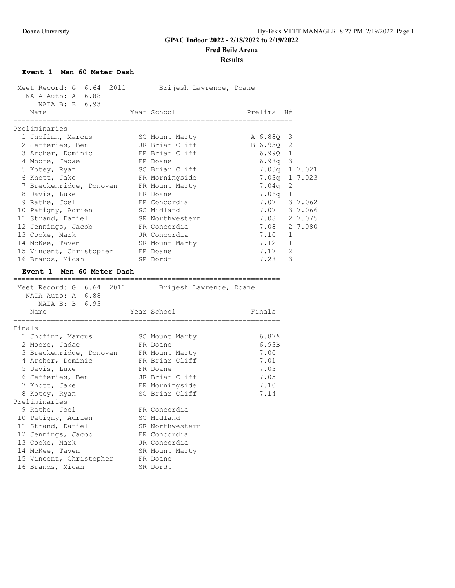**Fred Beile Arena**

**Results**

**Event 1 Men 60 Meter Dash**

| Meet Record: G 6.64 2011 Brijesh Lawrence, Doane<br>NAIA Auto: A 6.88<br>NAIA B: B 6.93 |             |                 | ,,,,,,,,,,,,,,,,,,,,,,,,, |              |              |
|-----------------------------------------------------------------------------------------|-------------|-----------------|---------------------------|--------------|--------------|
| Name<br>--------------                                                                  | =========== | Year School     | Prelims H#                |              |              |
| Preliminaries                                                                           |             |                 |                           |              |              |
| 1 Jnofinn, Marcus                                                                       |             | SO Mount Marty  | A 6.88Q 3                 |              |              |
| 2 Jefferies, Ben                                                                        |             | JR Briar Cliff  | B 6.93Q                   | 2            |              |
| 3 Archer, Dominic                                                                       |             | FR Briar Cliff  | 6.99Q                     | $\mathbf{1}$ |              |
| 4 Moore, Jadae                                                                          |             | FR Doane        | 6.98q                     | 3            |              |
| 5 Kotey, Ryan                                                                           |             | SO Briar Cliff  | 7.03q                     |              | 1 7.021      |
| 6 Knott, Jake                                                                           |             | FR Morningside  | 7.03q                     |              | 1 7.023      |
| 7 Breckenridge, Donovan                                                                 |             | FR Mount Marty  | 7.04q                     | 2            |              |
| 8 Davis, Luke                                                                           |             | FR Doane        | 7.06q                     | 1            |              |
| 9 Rathe, Joel                                                                           |             | FR Concordia    |                           |              | 7.07 3 7.062 |
| 10 Patigny, Adrien                                                                      |             | SO Midland      |                           |              | 7.07 3 7.066 |
| 11 Strand, Daniel                                                                       |             | SR Northwestern | 7.08                      |              | 2 7.075      |
| 12 Jennings, Jacob                                                                      |             | FR Concordia    | 7.08                      |              | 2 7.080      |
| 13 Cooke, Mark                                                                          |             | JR Concordia    | 7.10                      | 1            |              |
| 14 McKee, Taven                                                                         |             | SR Mount Marty  | 7.12                      | 1            |              |
| 15 Vincent, Christopher                                                                 |             | FR Doane        | 7.17                      | 2            |              |
| 16 Brands, Micah                                                                        |             | SR Dordt        | 7.28                      | 3            |              |
| Event 1 Men 60 Meter Dash                                                               |             |                 |                           |              |              |
|                                                                                         |             |                 |                           |              |              |
| Meet Record: G 6.64 2011 Brijesh Lawrence, Doane                                        |             |                 |                           |              |              |
| NAIA Auto: A 6.88                                                                       |             |                 |                           |              |              |
| NAIA B: B 6.93                                                                          |             |                 |                           |              |              |
| Name                                                                                    |             | Year School     | Finals                    |              |              |
| Finals                                                                                  |             |                 |                           |              |              |
| 1 Jnofinn, Marcus                                                                       |             | SO Mount Marty  | 6.87A                     |              |              |
| 2 Moore, Jadae                                                                          |             | FR Doane        | 6.93B                     |              |              |
| 3 Breckenridge, Donovan FR Mount Marty                                                  |             |                 | 7.00                      |              |              |
| 4 Archer, Dominic                                                                       |             | FR Briar Cliff  | 7.01                      |              |              |
| 5 Davis, Luke                                                                           |             | FR Doane        | 7.03                      |              |              |
| 6 Jefferies, Ben                                                                        |             | JR Briar Cliff  | 7.05                      |              |              |
| 7 Knott, Jake                                                                           |             | FR Morningside  | 7.10                      |              |              |
| 8 Kotey, Ryan                                                                           |             | SO Briar Cliff  | 7.14                      |              |              |
| Preliminaries                                                                           |             |                 |                           |              |              |
| 9 Rathe, Joel                                                                           |             | FR Concordia    |                           |              |              |
| 10 Patigny, Adrien                                                                      |             | SO Midland      |                           |              |              |
| 11 Strand, Daniel                                                                       |             | SR Northwestern |                           |              |              |
| 12 Jennings, Jacob                                                                      |             | FR Concordia    |                           |              |              |
| 13 Cooke, Mark                                                                          |             | JR Concordia    |                           |              |              |
| 14 McKee, Taven                                                                         |             | SR Mount Marty  |                           |              |              |
| 15 Vincent, Christopher                                                                 |             | FR Doane        |                           |              |              |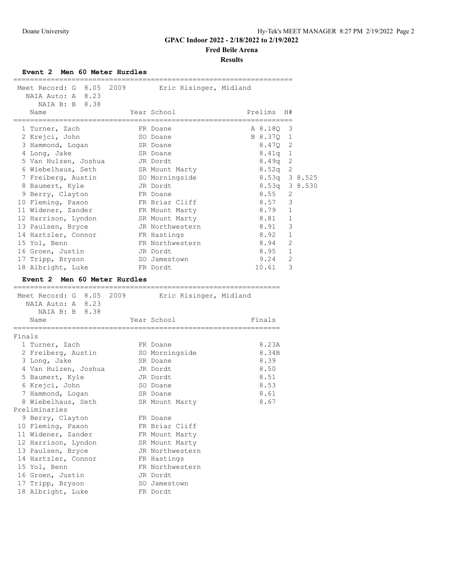**Fred Beile Arena**

**Results**

**Event 2 Men 60 Meter Hurdles**

| Meet Record: G 8.05 2009<br>NAIA Auto: A 8.23<br>NAIA B: B 8.38 | Eric Risinger, Midland   |                            |  |
|-----------------------------------------------------------------|--------------------------|----------------------------|--|
| Name                                                            | Year School              | Prelims<br>H#              |  |
| 1 Turner, Zach                                                  | FR Doane                 | 3<br>A 8.18Q               |  |
| 2 Krejci, John                                                  | SO Doane                 | B 8.37Q<br>$\mathbf 1$     |  |
| 3 Hammond, Logan                                                | SR Doane                 | 8.47Q<br>2                 |  |
| 4 Long, Jake                                                    | SR Doane                 | $\mathbf{1}$<br>8.41q      |  |
| 5 Van Hulzen, Joshua JR Dordt                                   |                          | 2<br>8.49q                 |  |
| 6 Wiebelhaus, Seth                                              | SR Mount Marty           | 2<br>8.52q                 |  |
| 7 Freiberg, Austin                                              | SO Morningside           | 8.53q 3 8.525              |  |
| 8 Baumert, Kyle                                                 | JR Dordt<br>FR Doane     | 8.53q 3 8.530<br>8.55<br>2 |  |
| 9 Berry, Clayton<br>10 Fleming, Paxon                           | FR Briar Cliff           | 8.57<br>3                  |  |
| 11 Widener, Zander                                              | FR Mount Marty           | 8.79<br>1                  |  |
| 12 Harrison, Lyndon SR Mount Marty                              |                          | 8.81<br>1                  |  |
| 13 Paulsen, Bryce                                               | JR Northwestern          | 3<br>8.91                  |  |
| 14 Hartzler, Connor                                             | FR Hastings              | $\mathbf 1$<br>8.92        |  |
| 15 Yol, Benn                                                    | FR Northwestern          | 2<br>8.94                  |  |
| 16 Groen, Justin                                                | JR Dordt                 | 8.95<br>1                  |  |
| 17 Tripp, Bryson                                                | SO Jamestown             | 2<br>9.24                  |  |
| 18 Albright, Luke                                               | FR Dordt                 | 3<br>10.61                 |  |
| Event 2 Men 60 Meter Hurdles                                    |                          |                            |  |
| ;============================                                   |                          |                            |  |
| Meet Record: G 8.05 2009                                        | Eric Risinger, Midland   |                            |  |
| NAIA Auto: A 8.23                                               |                          |                            |  |
| NAIA B: B 8.38                                                  |                          |                            |  |
| Name                                                            | Year School              | Finals                     |  |
| Finals                                                          |                          |                            |  |
| 1 Turner, Zach                                                  | FR Doane                 | 8.23A                      |  |
| 2 Freiberg, Austin SO Morningside                               |                          | 8.34B                      |  |
| 3 Long, Jake                                                    | SR Doane                 | 8.39                       |  |
| 4 Van Hulzen, Joshua                                            | JR Dordt                 | 8.50                       |  |
| 5 Baumert, Kyle                                                 | JR Dordt                 | 8.51                       |  |
| 6 Krejci, John                                                  | SO Doane                 | 8.53                       |  |
| 7 Hammond, Logan                                                | SR Doane                 | 8.61                       |  |
| 8 Wiebelhaus, Seth                                              | SR Mount Marty           | 8.67                       |  |
| Preliminaries                                                   |                          |                            |  |
| 9 Berry, Clayton                                                | FR Doane                 |                            |  |
| 10 Fleming, Paxon                                               | FR Briar Cliff           |                            |  |
| 11 Widener, Zander                                              | FR Mount Marty           |                            |  |
| 12 Harrison, Lyndon                                             | SR Mount Marty           |                            |  |
| 13 Paulsen, Bryce                                               | JR Northwestern          |                            |  |
| 14 Hartzler, Connor                                             |                          |                            |  |
| 15 Yol, Benn                                                    | FR Hastings              |                            |  |
|                                                                 | FR Northwestern          |                            |  |
| 16 Groen, Justin                                                | JR Dordt                 |                            |  |
| 17 Tripp, Bryson<br>18 Albright, Luke                           | SO Jamestown<br>FR Dordt |                            |  |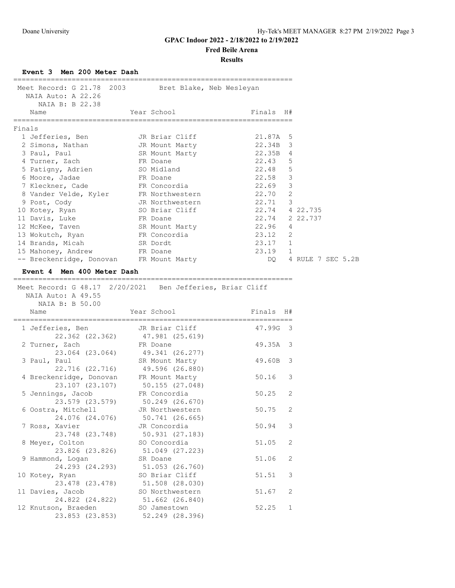**Fred Beile Arena**

**Results**

**Event 3 Men 200 Meter Dash**

|        | Meet Record: G 21.78 2003                                                                          | Bret Blake, Neb Wesleyan        |                |              |                   |  |
|--------|----------------------------------------------------------------------------------------------------|---------------------------------|----------------|--------------|-------------------|--|
|        | NAIA Auto: A 22.26                                                                                 |                                 |                |              |                   |  |
|        | NAIA B: B 22.38                                                                                    |                                 |                |              |                   |  |
|        | Name                                                                                               | Year School                     | Finals         | H#           |                   |  |
|        | =============                                                                                      |                                 |                |              |                   |  |
| Finals |                                                                                                    |                                 |                |              |                   |  |
|        | 1 Jefferies, Ben                                                                                   | JR Briar Cliff                  | 21.87A         | 5            |                   |  |
|        | 2 Simons, Nathan                                                                                   | JR Mount Marty                  | 22.34B         | 3            |                   |  |
|        | 3 Paul, Paul                                                                                       | SR Mount Marty                  | 22.35B         | 4            |                   |  |
|        | 4 Turner, Zach                                                                                     | FR Doane                        | 22.43          | 5            |                   |  |
|        | 5 Patigny, Adrien SO Midland                                                                       |                                 | 22.48          | 5            |                   |  |
|        | 6 Moore, Jadae                                                                                     | FR Doane                        | 22.58          | 3            |                   |  |
|        | 7 Kleckner, Cade                                                                                   | FR Concordia                    | 22.69          | 3            |                   |  |
|        | 8 Vander Velde, Kyler                                                                              | FR Northwestern                 | 22.70          | 2            |                   |  |
|        | 9 Post, Cody                                                                                       | JR Northwestern                 | 22.71          | 3            |                   |  |
|        | 10 Kotey, Ryan                                                                                     | SO Briar Cliff                  | 22.74 4 22.735 |              |                   |  |
|        | 11 Davis, Luke                                                                                     | FR Doane                        | 22.74          |              | 2 22.737          |  |
|        | 12 McKee, Taven                                                                                    | SR Mount Marty                  | 22.96          | 4            |                   |  |
|        | 13 Wokutch, Ryan                                                                                   | FR Concordia                    | 23.12          | 2            |                   |  |
|        | 14 Brands, Micah                                                                                   | SR Dordt                        | 23.17          | $\mathbf 1$  |                   |  |
|        | 15 Mahoney, Andrew                                                                                 | FR Doane                        | 23.19          | $\mathbf{1}$ |                   |  |
|        | -- Breckenridge, Donovan FR Mount Marty                                                            |                                 | DQ.            |              | 4 RULE 7 SEC 5.2B |  |
|        |                                                                                                    |                                 |                |              |                   |  |
|        | Event 4 Men 400 Meter Dash                                                                         |                                 |                |              |                   |  |
|        | Meet Record: G 48.17 2/20/2021 Ben Jefferies, Briar Cliff<br>NAIA Auto: A 49.55<br>NAIA B: B 50.00 |                                 |                |              |                   |  |
|        | Name                                                                                               | Year School                     | Finals         | H#           |                   |  |
|        | 1 Jefferies, Ben                                                                                   | JR Briar Cliff                  | 47.99G         | 3            |                   |  |
|        | 22.362 (22.362)                                                                                    | 47.981 (25.619)                 |                |              |                   |  |
|        | 2 Turner, Zach                                                                                     | FR Doane                        | 49.35A         | 3            |                   |  |
|        | 23.064 (23.064) 49.341 (26.277)                                                                    |                                 |                |              |                   |  |
|        | 3 Paul, Paul                                                                                       | SR Mount Marty                  | 49.60B         | 3            |                   |  |
|        | 22.716 (22.716) 49.596 (26.880)                                                                    |                                 |                |              |                   |  |
|        | 4 Breckenridge, Donovan FR Mount Marty                                                             |                                 | 50.16          | 3            |                   |  |
|        | 23.107 (23.107)                                                                                    | 50.155 (27.048)                 |                |              |                   |  |
|        | 5 Jennings, Jacob                                                                                  | FR Concordia                    | 50.25          | 2            |                   |  |
|        | 23.579 (23.579)                                                                                    | 50.249 (26.670)                 |                |              |                   |  |
|        | 6 Oostra, Mitchell                                                                                 | JR Northwestern                 | 50.75          | 2            |                   |  |
|        | 24.076 (24.076)                                                                                    | 50.741 (26.665)                 |                |              |                   |  |
|        | 7 Ross, Xavier                                                                                     | JR Concordia                    | 50.94          | 3            |                   |  |
|        | 23.748 (23.748)                                                                                    | 50.931 (27.183)                 |                |              |                   |  |
|        | 8 Meyer, Colton                                                                                    | SO Concordia                    | 51.05          | 2            |                   |  |
|        | 23.826 (23.826)                                                                                    | 51.049 (27.223)                 |                |              |                   |  |
|        | 9 Hammond, Logan                                                                                   | SR Doane                        | 51.06          | 2            |                   |  |
|        | 24.293 (24.293)                                                                                    | 51.053 (26.760)                 |                |              |                   |  |
|        | 10 Kotey, Ryan                                                                                     | SO Briar Cliff                  | 51.51          | 3            |                   |  |
|        |                                                                                                    |                                 |                |              |                   |  |
|        | 23.478 (23.478)                                                                                    | 51.508 (28.030)                 |                |              |                   |  |
|        | 11 Davies, Jacob                                                                                   | SO Northwestern                 | 51.67          | 2            |                   |  |
|        | 24.822 (24.822)                                                                                    | 51.662 (26.840)                 |                |              |                   |  |
|        | 12 Knutson, Braeden                                                                                | SO Jamestown<br>52.249 (28.396) | 52.25          | $\mathbf{1}$ |                   |  |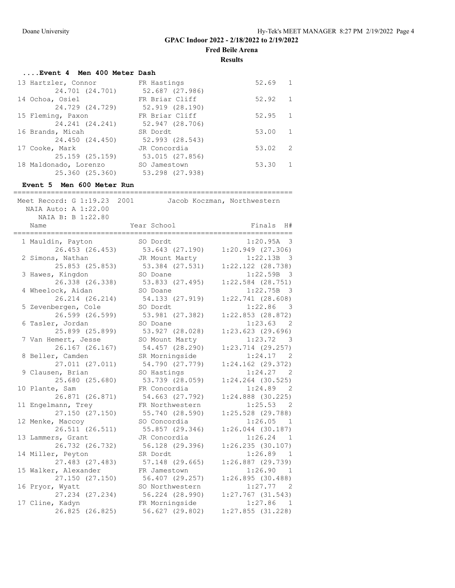**Fred Beile Arena**

**Results**

# **....Event 4 Men 400 Meter Dash**

| FR Hastings     | 52.69 | $\overline{1}$ |
|-----------------|-------|----------------|
| 52.687 (27.986) |       |                |
| FR Briar Cliff  | 52.92 | $\overline{1}$ |
| 52.919 (28.190) |       |                |
| FR Briar Cliff  | 52.95 | 1              |
| 52.947 (28.706) |       |                |
| SR Dordt        | 53.00 | 1              |
| 52.993 (28.543) |       |                |
| JR Concordia    | 53.02 | - 2            |
| 53.015 (27.856) |       |                |
| SO Jamestown    | 53.30 | $\overline{1}$ |
| 53.298 (27.938) |       |                |
|                 |       |                |

## **Event 5 Men 600 Meter Run**

| Meet Record: $G$ 1:19.23<br>NAIA Auto: A 1:22.00<br>NAIA B: B 1:22.80 | 2001            | Jacob Koczman, Northwestern          |
|-----------------------------------------------------------------------|-----------------|--------------------------------------|
| Name<br>:===================                                          | Year School     | Finals<br>H#                         |
| 1 Mauldin, Payton                                                     | SO Dordt        | 1:20.95A<br>$\overline{\phantom{a}}$ |
| 26.453 (26.453)                                                       | 53.643 (27.190) | $1:20.949$ $(27.306)$                |
| 2 Simons, Nathan                                                      | JR Mount Marty  | 1:22.13B<br>- 3                      |
| 25.853 (25.853)                                                       | 53.384 (27.531) | $1:22.122$ $(28.738)$                |
| 3 Hawes, Kingdon                                                      | SO Doane        | 1:22.59B<br>$\overline{\mathbf{3}}$  |
| 26.338 (26.338)                                                       | 53.833 (27.495) | $1:22.584$ $(28.751)$                |
| 4 Wheelock, Aidan                                                     | SO Doane        | 1:22.75B<br>- 3                      |
| 26.214 (26.214)                                                       | 54.133 (27.919) | 1:22.741(28.608)                     |
| 5 Zevenbergen, Cole                                                   | SO Dordt        | 1:22.86<br>$\overline{\mathbf{3}}$   |
| 26.599 (26.599)                                                       | 53.981 (27.382) | $1:22.853$ $(28.872)$                |
| 6 Tasler, Jordan                                                      | SO Doane        | 1:23.63<br>- 2                       |
| 25.899 (25.899)                                                       | 53.927 (28.028) | $1:23.623$ (29.696)                  |
| 7 Van Hemert, Jesse                                                   | SO Mount Marty  | 1:23.72<br>- 3                       |
| 26.167 (26.167)                                                       | 54.457 (28.290) | $1:23.714$ $(29.257)$                |
| 8 Beller, Camden                                                      | SR Morningside  | 1:24.17<br>$\overline{2}$            |
| 27.011 (27.011)                                                       | 54.790 (27.779) | $1:24.162$ $(29.372)$                |
| 9 Clausen, Brian                                                      | SO Hastings     | 1:24.27 2                            |
| 25.680 (25.680)                                                       | 53.739 (28.059) | $1:24.264$ $(30.525)$                |
| 10 Plante, Sam                                                        | FR Concordia    | 1:24.89<br>- 2                       |
| 26.871 (26.871)                                                       | 54.663 (27.792) | $1:24.888$ (30.225)                  |
| 11 Engelmann, Trey                                                    | FR Northwestern | 1:25.53<br>- 2                       |
| 27.150 (27.150)                                                       | 55.740 (28.590) | $1:25.528$ $(29.788)$                |
| 12 Menke, Maccoy                                                      | SO Concordia    | 1:26.05<br>-1                        |
| 26.511 (26.511)                                                       | 55.857 (29.346) | $1:26.044$ (30.187)                  |
| 13 Lammers, Grant                                                     | JR Concordia    | 1:26.24<br>$\overline{1}$            |
| 26.732 (26.732)                                                       | 56.128 (29.396) | 1:26.235(30.107)                     |
| 14 Miller, Peyton                                                     | SR Dordt        | 1:26.89<br>1                         |
| 27.483 (27.483)                                                       | 57.148 (29.665) | 1:26.887(29.739)                     |
| 15 Walker, Alexander                                                  | FR Jamestown    | 1:26.90<br>$\overline{1}$            |
| 27.150 (27.150)                                                       | 56.407 (29.257) | 1:26.895(30.488)                     |
| 16 Pryor, Wyatt                                                       | SO Northwestern | 1:27.77<br>$\overline{2}$            |
| 27.234 (27.234)                                                       | 56.224 (28.990) | $1:27.767$ (31.543)                  |
| 17 Cline, Kadyn                                                       | FR Morningside  | 1:27.86<br>$\overline{1}$            |
| 26.825 (26.825)                                                       | 56.627 (29.802) | $1:27.855$ (31.228)                  |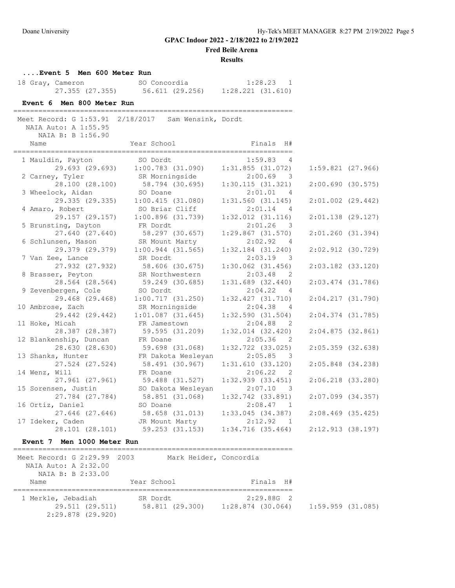**Fred Beile Arena**

#### **Results**

**....Event 5 Men 600 Meter Run**

| 18 Gray, Cameron |                 | SO Concordia    | 1:28.23               |
|------------------|-----------------|-----------------|-----------------------|
|                  | 27.355 (27.355) | 56.611 (29.256) | $1:28.221$ $(31.610)$ |

# **Event 6 Men 800 Meter Run**

===================================================================

 Meet Record: G 1:53.91 2/18/2017 Sam Wensink, Dordt NAIA Auto: A 1:55.95

| NAIA B: B 1:56.90      |                                                                                   |                                                                                                                                                                                                                                                                                                                                                                                                                                          |                                                                                                                                                                                                                                                                                                                                                      |                                                                                                                                                                                                                                                                                                                                                                                                                                                                    |
|------------------------|-----------------------------------------------------------------------------------|------------------------------------------------------------------------------------------------------------------------------------------------------------------------------------------------------------------------------------------------------------------------------------------------------------------------------------------------------------------------------------------------------------------------------------------|------------------------------------------------------------------------------------------------------------------------------------------------------------------------------------------------------------------------------------------------------------------------------------------------------------------------------------------------------|--------------------------------------------------------------------------------------------------------------------------------------------------------------------------------------------------------------------------------------------------------------------------------------------------------------------------------------------------------------------------------------------------------------------------------------------------------------------|
|                        |                                                                                   |                                                                                                                                                                                                                                                                                                                                                                                                                                          |                                                                                                                                                                                                                                                                                                                                                      |                                                                                                                                                                                                                                                                                                                                                                                                                                                                    |
| 1 Mauldin, Payton      |                                                                                   | 1:59.83 4                                                                                                                                                                                                                                                                                                                                                                                                                                |                                                                                                                                                                                                                                                                                                                                                      |                                                                                                                                                                                                                                                                                                                                                                                                                                                                    |
|                        |                                                                                   |                                                                                                                                                                                                                                                                                                                                                                                                                                          |                                                                                                                                                                                                                                                                                                                                                      |                                                                                                                                                                                                                                                                                                                                                                                                                                                                    |
| 2 Carney, Tyler        |                                                                                   | $2:00.69$ 3                                                                                                                                                                                                                                                                                                                                                                                                                              |                                                                                                                                                                                                                                                                                                                                                      |                                                                                                                                                                                                                                                                                                                                                                                                                                                                    |
|                        |                                                                                   | 1:30.115(31.321)                                                                                                                                                                                                                                                                                                                                                                                                                         |                                                                                                                                                                                                                                                                                                                                                      |                                                                                                                                                                                                                                                                                                                                                                                                                                                                    |
| 3 Wheelock, Aidan      |                                                                                   | 2:01.01<br>$\overline{4}$                                                                                                                                                                                                                                                                                                                                                                                                                |                                                                                                                                                                                                                                                                                                                                                      |                                                                                                                                                                                                                                                                                                                                                                                                                                                                    |
|                        |                                                                                   | 1:31.560(31.145)                                                                                                                                                                                                                                                                                                                                                                                                                         |                                                                                                                                                                                                                                                                                                                                                      |                                                                                                                                                                                                                                                                                                                                                                                                                                                                    |
| 4 Amaro, Robert        | SO Briar Cliff                                                                    | 2:01.14 4                                                                                                                                                                                                                                                                                                                                                                                                                                |                                                                                                                                                                                                                                                                                                                                                      |                                                                                                                                                                                                                                                                                                                                                                                                                                                                    |
| 29.157 (29.157)        |                                                                                   | $1:32.012$ $(31.116)$                                                                                                                                                                                                                                                                                                                                                                                                                    |                                                                                                                                                                                                                                                                                                                                                      |                                                                                                                                                                                                                                                                                                                                                                                                                                                                    |
| 5 Brunsting, Dayton    | FR Dordt                                                                          | $2:01.26$ 3                                                                                                                                                                                                                                                                                                                                                                                                                              |                                                                                                                                                                                                                                                                                                                                                      |                                                                                                                                                                                                                                                                                                                                                                                                                                                                    |
| 27.640 (27.640)        |                                                                                   | $1:29.867$ $(31.570)$                                                                                                                                                                                                                                                                                                                                                                                                                    |                                                                                                                                                                                                                                                                                                                                                      |                                                                                                                                                                                                                                                                                                                                                                                                                                                                    |
| 6 Schlunsen, Mason     |                                                                                   | 2:02.92 4                                                                                                                                                                                                                                                                                                                                                                                                                                |                                                                                                                                                                                                                                                                                                                                                      |                                                                                                                                                                                                                                                                                                                                                                                                                                                                    |
|                        |                                                                                   | $1:32.184$ $(31.240)$                                                                                                                                                                                                                                                                                                                                                                                                                    |                                                                                                                                                                                                                                                                                                                                                      |                                                                                                                                                                                                                                                                                                                                                                                                                                                                    |
| 7 Van Zee, Lance       | SR Dordt                                                                          | $2:03.19$ 3                                                                                                                                                                                                                                                                                                                                                                                                                              |                                                                                                                                                                                                                                                                                                                                                      |                                                                                                                                                                                                                                                                                                                                                                                                                                                                    |
|                        |                                                                                   |                                                                                                                                                                                                                                                                                                                                                                                                                                          |                                                                                                                                                                                                                                                                                                                                                      |                                                                                                                                                                                                                                                                                                                                                                                                                                                                    |
| 8 Brasser, Peyton      | SR Northwestern                                                                   | 2:03.48 2                                                                                                                                                                                                                                                                                                                                                                                                                                |                                                                                                                                                                                                                                                                                                                                                      |                                                                                                                                                                                                                                                                                                                                                                                                                                                                    |
|                        |                                                                                   |                                                                                                                                                                                                                                                                                                                                                                                                                                          |                                                                                                                                                                                                                                                                                                                                                      |                                                                                                                                                                                                                                                                                                                                                                                                                                                                    |
| 9 Zevenbergen, Cole    |                                                                                   | 2:04.22 4                                                                                                                                                                                                                                                                                                                                                                                                                                |                                                                                                                                                                                                                                                                                                                                                      |                                                                                                                                                                                                                                                                                                                                                                                                                                                                    |
|                        |                                                                                   |                                                                                                                                                                                                                                                                                                                                                                                                                                          |                                                                                                                                                                                                                                                                                                                                                      |                                                                                                                                                                                                                                                                                                                                                                                                                                                                    |
| 10 Ambrose, Zach       | SR Morningside                                                                    | 2:04.38 4                                                                                                                                                                                                                                                                                                                                                                                                                                |                                                                                                                                                                                                                                                                                                                                                      |                                                                                                                                                                                                                                                                                                                                                                                                                                                                    |
| 29.442 (29.442)        | $1:01.087$ (31.645)                                                               | 1:32.590(31.504)                                                                                                                                                                                                                                                                                                                                                                                                                         |                                                                                                                                                                                                                                                                                                                                                      |                                                                                                                                                                                                                                                                                                                                                                                                                                                                    |
| 11 Hoke, Micah         | FR Jamestown                                                                      | $2:04.88$ 2                                                                                                                                                                                                                                                                                                                                                                                                                              |                                                                                                                                                                                                                                                                                                                                                      |                                                                                                                                                                                                                                                                                                                                                                                                                                                                    |
|                        |                                                                                   |                                                                                                                                                                                                                                                                                                                                                                                                                                          |                                                                                                                                                                                                                                                                                                                                                      |                                                                                                                                                                                                                                                                                                                                                                                                                                                                    |
| 12 Blankenship, Duncan |                                                                                   | 2:05.36 2                                                                                                                                                                                                                                                                                                                                                                                                                                |                                                                                                                                                                                                                                                                                                                                                      |                                                                                                                                                                                                                                                                                                                                                                                                                                                                    |
| 28.630 (28.630)        |                                                                                   | $1:32.722$ $(33.025)$                                                                                                                                                                                                                                                                                                                                                                                                                    |                                                                                                                                                                                                                                                                                                                                                      |                                                                                                                                                                                                                                                                                                                                                                                                                                                                    |
| 13 Shanks, Hunter      |                                                                                   | 2:05.85 3                                                                                                                                                                                                                                                                                                                                                                                                                                |                                                                                                                                                                                                                                                                                                                                                      |                                                                                                                                                                                                                                                                                                                                                                                                                                                                    |
|                        |                                                                                   | 1:31.610(33.120)                                                                                                                                                                                                                                                                                                                                                                                                                         |                                                                                                                                                                                                                                                                                                                                                      |                                                                                                                                                                                                                                                                                                                                                                                                                                                                    |
| 14 Wenz, Will          | FR Doane                                                                          | 2:06.22 2                                                                                                                                                                                                                                                                                                                                                                                                                                |                                                                                                                                                                                                                                                                                                                                                      |                                                                                                                                                                                                                                                                                                                                                                                                                                                                    |
| 27.961 (27.961)        |                                                                                   | $1:32.939$ $(33.451)$                                                                                                                                                                                                                                                                                                                                                                                                                    |                                                                                                                                                                                                                                                                                                                                                      |                                                                                                                                                                                                                                                                                                                                                                                                                                                                    |
| 15 Sorensen, Justin    | SO Dakota Wesleyan                                                                | 2:07.10 3                                                                                                                                                                                                                                                                                                                                                                                                                                |                                                                                                                                                                                                                                                                                                                                                      |                                                                                                                                                                                                                                                                                                                                                                                                                                                                    |
| 27.784 (27.784)        |                                                                                   | $1:32.742$ (33.891)                                                                                                                                                                                                                                                                                                                                                                                                                      |                                                                                                                                                                                                                                                                                                                                                      |                                                                                                                                                                                                                                                                                                                                                                                                                                                                    |
|                        | SO Doane                                                                          | 2:08.47 1                                                                                                                                                                                                                                                                                                                                                                                                                                |                                                                                                                                                                                                                                                                                                                                                      |                                                                                                                                                                                                                                                                                                                                                                                                                                                                    |
|                        |                                                                                   |                                                                                                                                                                                                                                                                                                                                                                                                                                          |                                                                                                                                                                                                                                                                                                                                                      |                                                                                                                                                                                                                                                                                                                                                                                                                                                                    |
|                        |                                                                                   | 2:12.92<br>$\overline{1}$                                                                                                                                                                                                                                                                                                                                                                                                                |                                                                                                                                                                                                                                                                                                                                                      |                                                                                                                                                                                                                                                                                                                                                                                                                                                                    |
| 28.101 (28.101)        |                                                                                   |                                                                                                                                                                                                                                                                                                                                                                                                                                          |                                                                                                                                                                                                                                                                                                                                                      |                                                                                                                                                                                                                                                                                                                                                                                                                                                                    |
|                        | Name<br>28.564 (28.564)<br>28.387 (28.387)<br>27.524 (27.524)<br>16 Ortiz, Daniel | SO Dordt<br>SR Morningside<br>SO Doane<br>29.335 (29.335) 1:00.415 (31.080)<br>1:00.896 (31.739)<br>58.297 (30.657)<br>SR Mount Marty<br>$29.379$ (29.379) 1:00.944 (31.565)<br>27.932 (27.932) 58.606 (30.675)<br>59.249 (30.685)<br>SO Dordt<br>29.468 (29.468) 1:00.717 (31.250)<br>59.595 (31.209)<br>FR Doane<br>59.698 (31.068)<br>FR Dakota Wesleyan<br>58.491 (30.967)<br>59.488 (31.527)<br>58.851 (31.068)<br>17 Ideker, Caden | Year School <a> Finals<br/> H#<br/><math>29.693</math> (29.693) 1:00.783 (31.090) 1:31.855 (31.072)<br/><math>28.100</math> (28.100) 58.794 (30.695)<br><math>1:30.062</math> (31.456)<br/><math>1:31.689</math> (32.440)<br/>1:32.427(31.710)<br/><math>1:32.014</math> <math>(32.420)</math><br/>JR Mount Marty<br/>59.253 (31.153) 1:34.</br></a> | $1:59.821$ (27.966)<br>2:00.690(30.575)<br>$2:01.002$ $(29.442)$<br>$2:01.138$ (29.127)<br>2:01.260(31.394)<br>2:02.912 (30.729)<br>2:03.182 (33.120)<br>$2:03.474$ (31.786)<br>2:04.217(31.790)<br>$2:04.374$ (31.785)<br>$2:04.875$ (32.861)<br>$2:05.359$ $(32.638)$<br>$2:05.848$ $(34.238)$<br>2:06.218 (33.280)<br>$2:07.099$ (34.357)<br>$27.646$ (27.646) 58.658 (31.013) 1:33.045 (34.387)<br>$2:08.469$ (35.425)<br>1:34.716(35.464)<br>2:12.913(38.197) |

### **Event 7 Men 1000 Meter Run**

=================================================================== Meet Record: G 2:29.99 2003 Mark Heider, Concordia NAIA Auto: A 2:32.00 NAIA B: B 2:33.00 Name Year School Finals H# =================================================================== 1 Merkle, Jebadiah SR Dordt 2:29.88G 2 29.511 (29.511) 58.811 (29.300) 1:28.874 (30.064) 1:59.959 (31.085) 2:29.878 (29.920)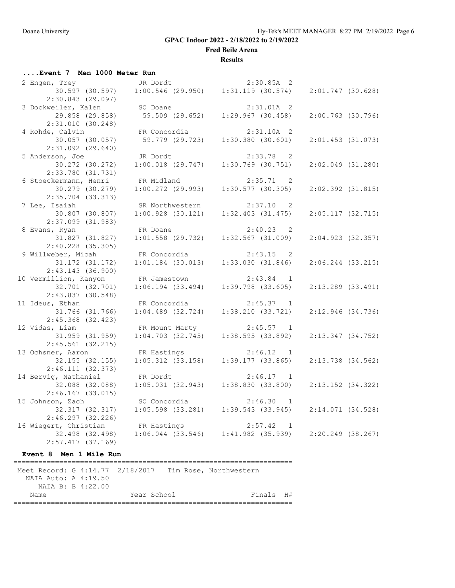**Fred Beile Arena**

#### **Results**

# **....Event 7 Men 1000 Meter Run**

| 2 Engen, Trey                                           | JR Dordt                                                              | $2:30.85A$ 2                            |                     |
|---------------------------------------------------------|-----------------------------------------------------------------------|-----------------------------------------|---------------------|
|                                                         | $30.597$ (30.597) $1:00.546$ (29.950) $1:31.119$ (30.574)             |                                         | $2:01.747$ (30.628) |
| $2:30.843$ (29.097)                                     |                                                                       |                                         |                     |
| 3 Dockweiler, Kalen                                     | SO Doane                                                              | $2:31.01A$ 2                            |                     |
| 29.858 (29.858)                                         | 59.509 (29.652)                                                       | 1:29.967(30.458)                        | $2:00.763$ (30.796) |
| 2:31.010(30.248)                                        |                                                                       |                                         |                     |
| 4 Rohde, Calvin                                         | FR Concordia                                                          | 2:31.10A 2                              |                     |
| 30.057 (30.057)                                         | 59.779 (29.723)                                                       | 1:30.380(30.601)                        | $2:01.453$ (31.073) |
| $2:31.092$ $(29.640)$                                   |                                                                       |                                         |                     |
| 5 Anderson, Joe                                         | JR Dordt                                                              | $2:33.78$ 2                             |                     |
| 30.272 (30.272)                                         | $1:00.018$ $(29.747)$                                                 | $1:30.769$ (30.751)                     | 2:02.049 (31.280)   |
| $2:33.780$ (31.731)                                     |                                                                       |                                         |                     |
| 6 Stoeckermann, Henri                                   | FR Midland                                                            | $2:35.71$ 2                             |                     |
| 30.279 (30.279)                                         | $1:00.272$ (29.993)                                                   | $1:30.577$ (30.305)                     | $2:02.392$ (31.815) |
| 2:35.704 (33.313)                                       |                                                                       |                                         |                     |
| 7 Lee, Isaiah                                           | SR Northwestern                                                       | $2:37.10$ 2                             |                     |
| 30.807 (30.807)                                         | $1:00.928$ (30.121)                                                   | 1:32.403(31.475)                        | $2:05.117$ (32.715) |
| 2:37.099 (31.983)                                       |                                                                       |                                         |                     |
| 8 Evans, Ryan                                           | FR Doane                                                              | $2:40.23$ 2                             |                     |
| 31.827 (31.827)                                         | $1:01.558$ (29.732)                                                   | $1:32.567$ (31.009)                     | 2:04.923 (32.357)   |
| 2:40.228 (35.305)                                       |                                                                       |                                         |                     |
| 9 Willweber, Micah                                      | FR Concordia                                                          | $2:43.15$ 2                             |                     |
| 31.172 (31.172)                                         | $1:01.184$ (30.013)                                                   | 1:33.030(31.846)                        | $2:06.244$ (33.215) |
| $2:43.143$ (36.900)                                     |                                                                       |                                         |                     |
| 10 Vermillion, Kanyon                                   | FR Jamestown                                                          | $2:43.84$ 1                             |                     |
| 32.701 (32.701)                                         | $1:06.194$ $(33.494)$                                                 | $1:39.798$ (33.605)                     | $2:13.289$ (33.491) |
| 2:43.837 (30.548)                                       |                                                                       |                                         |                     |
| 11 Ideus, Ethan                                         | FR Concordia                                                          | $2:45.37$ 1                             |                     |
| 31.766 (31.766)                                         | $1:04.489$ $(32.724)$                                                 | 1:38.210(33.721)                        | 2:12.946 (34.736)   |
| $2:45.368$ (32.423)                                     |                                                                       |                                         |                     |
| 12 Vidas, Liam                                          |                                                                       | FR Mount Marty 2:45.57 1                |                     |
| 31.959 (31.959)                                         | $1:04.703$ $(32.745)$                                                 | 1:38.595(33.892)                        | 2:13.347 (34.752)   |
| $2:45.561$ (32.215)                                     |                                                                       |                                         |                     |
| 13 Ochsner, Aaron                                       | FR Hastings                                                           | 2:46.12 1                               |                     |
| 32.155 (32.155)                                         | $1:05.312$ (33.158) $1:39$ <sup>1</sup>                               | 1:39.177(33.865)                        | 2:13.738 (34.562)   |
| 2:46.111(32.373)                                        |                                                                       |                                         |                     |
| 14 Bervig, Nathaniel                                    | FR Dordt                                                              | $2:46.17$ 1                             |                     |
|                                                         | 32.088 (32.088) 1:05.031 (32.943) 1:38.830 (33.800)                   |                                         | $2:13.152$ (34.322) |
| $2:46.167$ (33.015)                                     |                                                                       |                                         |                     |
| 15 Johnson, Zach                                        | SO Concordia                                                          | 2:46.30 1                               |                     |
|                                                         |                                                                       |                                         |                     |
| 32.317 (32.317)                                         |                                                                       | $1:05.598$ (33.281) $1:39.543$ (33.945) | 2:14.071 (34.528)   |
| 2:46.297(32.226)                                        |                                                                       |                                         |                     |
| 16 Wiegert, Christian                                   | FR Hastings                                                           | 2:57.42 1                               |                     |
|                                                         | 32.498 (32.498) 1:06.044 (33.546) 1:41.982 (35.939) 2:20.249 (38.267) |                                         |                     |
| 2:57.417(37.169)                                        |                                                                       |                                         |                     |
| Event 8 Men 1 Mile Run                                  |                                                                       |                                         |                     |
|                                                         |                                                                       |                                         |                     |
| Meet Record: G 4:14.77 2/18/2017 Tim Rose, Northwestern |                                                                       |                                         |                     |

 NAIA Auto: A 4:19.50 NAIA B: B 4:22.00

Name Year School Finals H# ===================================================================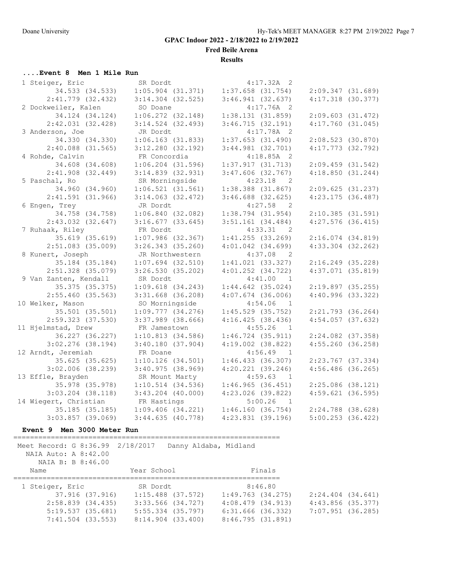**Fred Beile Arena**

**Results**

## **....Event 8 Men 1 Mile Run**

| 1 Steiger, Eric       | SR Dordt              | $4:17.32A$ 2              |                       |
|-----------------------|-----------------------|---------------------------|-----------------------|
| 34.533 (34.533)       | $1:05.904$ (31.371)   | $1:37.658$ (31.754)       | 2:09.347(31.689)      |
| 2:41.779 (32.432)     | $3:14.304$ (32.525)   | 3:46.941(32.637)          | $4:17.318$ (30.377)   |
| 2 Dockweiler, Kalen   | SO Doane              | $4:17.76A$ 2              |                       |
| 34.124 (34.124)       | $1:06.272$ $(32.148)$ | 1:38.131(31.859)          | $2:09.603$ $(31.472)$ |
| 2:42.031(32.428)      | $3:14.524$ (32.493)   | 3:46.715(32.191)          | $4:17.760$ $(31.045)$ |
| 3 Anderson, Joe       | JR Dordt              | $4:17.78A$ 2              |                       |
| 34.330 (34.330)       | $1:06.163$ (31.833)   | $1:37.653$ (31.490)       | $2:08.523$ (30.870)   |
| $2:40.088$ (31.565)   | $3:12.280$ (32.192)   | $3:44.981$ (32.701)       | $4:17.773$ (32.792)   |
| 4 Rohde, Calvin       | FR Concordia          | $4:18.85A$ 2              |                       |
| 34.608 (34.608)       | $1:06.204$ (31.596)   | 1:37.917(31.713)          | $2:09.459$ $(31.542)$ |
| $2:41.908$ (32.449)   | $3:14.839$ $(32.931)$ | $3:47.606$ (32.767)       | 4:18.850(31.244)      |
| 5 Paschal, Ro         | SR Morningside        | 4:23.18<br>$\overline{2}$ |                       |
| 34.960 (34.960)       | 1:06.521(31.561)      | $1:38.388$ $(31.867)$     | 2:09.625(31.237)      |
| 2:41.591(31.966)      | $3:14.063$ (32.472)   | $3:46.688$ (32.625)       | $4:23.175$ (36.487)   |
| 6 Engen, Trey         | JR Dordt              | 4:27.58 2                 |                       |
| 34.758 (34.758)       | 1:06.840(32.082)      | $1:38.794$ (31.954)       | $2:10.385$ (31.591)   |
| $2:43.032$ $(32.647)$ | $3:16.677$ (33.645)   | $3:51.161$ (34.484)       | $4:27.576$ (36.415)   |
| 7 Ruhaak, Riley       | FR Dordt              | 4:33.31 2                 |                       |
| 35.619 (35.619)       | $1:07.986$ (32.367)   | 1:41.255(33.269)          | $2:16.074$ $(34.819)$ |
| $2:51.083$ (35.009)   | $3:26.343$ (35.260)   | $4:01.042$ $(34.699)$     | $4:33.304$ $(32.262)$ |
| 8 Kunert, Joseph      | JR Northwestern       | 4:37.08<br>$\overline{2}$ |                       |
| 35.184 (35.184)       | $1:07.694$ $(32.510)$ | $1:41.021$ (33.327)       | $2:16.249$ (35.228)   |
| $2:51.328$ (35.079)   | $3:26.530$ (35.202)   | $4:01.252$ $(34.722)$     | $4:37.071$ $(35.819)$ |
| 9 Van Zanten, Kendall | SR Dordt              | 4:41.00 1                 |                       |
| 35.375 (35.375)       | $1:09.618$ $(34.243)$ | $1:44.642$ (35.024)       | $2:19.897$ (35.255)   |
| 2:55.460(35.563)      | $3:31.668$ (36.208)   | $4:07.674$ (36.006)       | $4:40.996$ (33.322)   |
| 10 Welker, Mason      | SO Morningside        | 4:54.06<br>$\overline{1}$ |                       |
| 35.501 (35.501)       | $1:09.777$ $(34.276)$ | $1:45.529$ (35.752)       | $2:21.793$ (36.264)   |
| 2:59.323 (37.530)     | $3:37.989$ $(38.666)$ | 4:16.425(38.436)          | $4:54.057$ (37.632)   |
| 11 Hjelmstad, Drew    | FR Jamestown          | 4:55.26<br>$\overline{1}$ |                       |
| 36.227 (36.227)       | 1:10.813(34.586)      | $1:46.724$ (35.911)       | $2:24.082$ (37.358)   |
| $3:02.276$ (38.194)   | 3:40.180(37.904)      | $4:19.002$ $(38.822)$     | 4:55.260(36.258)      |
| 12 Arndt, Jeremiah    | FR Doane              | $4:56.49$ 1               |                       |
| $35.625$ (35.625)     | $1:10.126$ (34.501)   | 1:46.433(36.307)          | $2:23.767$ (37.334)   |
| $3:02.006$ (38.239)   | 3:40.975(38.969)      | $4:20.221$ $(39.246)$     | $4:56.486$ (36.265)   |
| 13 Effle, Brayden     | SR Mount Marty        | 4:59.63 1                 |                       |
| 35.978 (35.978)       | $1:10.514$ (34.536)   | 1:46.965(36.451)          | $2:25.086$ (38.121)   |
| $3:03.204$ $(38.118)$ | $3:43.204$ (40.000)   | $4:23.026$ (39.822)       | $4:59.621$ (36.595)   |
| 14 Wiegert, Christian | FR Hastings           | 5:00.26<br>$\overline{1}$ |                       |
| 35.185 (35.185)       | $1:09.406$ $(34.221)$ | 1:46.160(36.754)          | $2:24.788$ (38.628)   |
| $3:03.857$ (39.069)   | 3:44.635(40.778)      | $4:23.831$ (39.196)       | $5:00.253$ (36.422)   |

### **Event 9 Men 3000 Meter Run**

================================================================

| Meet Record: G 8:36.99 2/18/2017<br>NAIA Auto: A 8:42.00<br>NAIA B: B 8:46.00 |                       | Danny Aldaba, Midland |                       |
|-------------------------------------------------------------------------------|-----------------------|-----------------------|-----------------------|
| Name                                                                          | Year School           | Finals                |                       |
| 1 Steiger, Eric                                                               | SR Dordt              | 8:46.80               |                       |
| 37.916 (37.916)                                                               | $1:15.488$ (37.572)   | $1:49.763$ $(34.275)$ | $2:24.404$ $(34.641)$ |
| 2:58.839(34.435)                                                              | 3:33.566 (34.727)     | 4:08.479(34.913)      | $4:43.856$ (35.377)   |
| 5:19.537(35.681)                                                              | $5:55.334$ (35.797)   | 6:31.666 (36.332)     | 7:07.951 (36.285)     |
| 7:41.504 (33.553)                                                             | $8:14.904$ $(33.400)$ | 8:46.795(31.891)      |                       |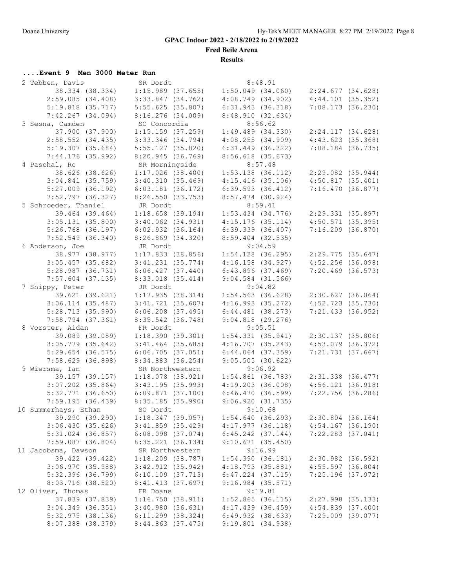**Fred Beile Arena**

**Results**

# **....Event 9 Men 3000 Meter Run**

| 2 Tebben, Davis       | SR Dordt              | 8:48.91                                     |                       |
|-----------------------|-----------------------|---------------------------------------------|-----------------------|
| 38.334 (38.334)       | $1:15.989$ (37.655)   | $1:50.049$ (34.060) $2:24.677$ (34.628)     |                       |
| $2:59.085$ (34.408)   | $3:33.847$ $(34.762)$ | 4:08.749(34.902)                            | 4:44.101(35.352)      |
| $5:19.818$ $(35.717)$ | 5:55.625(35.807)      | 6:31.943(36.318)                            | $7:08.173$ (36.230)   |
| $7:42.267$ (34.094)   | 8:16.276(34.009)      | 8:48.910 (32.634)                           |                       |
| 3 Sesna, Camden       | SO Concordia          | 8:56.62                                     |                       |
| 37.900 (37.900)       | $1:15.159$ $(37.259)$ | $1:49.489$ $(34.330)$                       | 2:24.117(34.628)      |
| $2:58.552$ (34.435)   | $3:33.346$ (34.794)   | 4:08.255(34.909)                            | 4:43.623(35.368)      |
| 5:19.307(35.684)      | $5:55.127$ (35.820)   | $6:31.449$ $(36.322)$                       | $7:08.184$ (36.735)   |
| $7:44.176$ (35.992)   | 8:20.945 (36.769)     | $8:56.618$ (35.673)                         |                       |
|                       |                       |                                             |                       |
| 4 Paschal, Ro         | SR Morningside        | 8:57.48                                     |                       |
| 38.626 (38.626)       | $1:17.026$ (38.400)   | $1:53.138$ (36.112)                         | $2:29.082$ (35.944)   |
| $3:04.841$ (35.759)   | 3:40.310(35.469)      | $4:15.416$ (35.106)                         | 4:50.817(35.401)      |
| $5:27.009$ (36.192)   | $6:03.181$ $(36.172)$ | $6:39.593$ $(36.412)$                       | 7:16.470(36.877)      |
| $7:52.797$ (36.327)   | 8:26.550(33.753)      | $8:57.474$ (30.924)                         |                       |
| 5 Schroeder, Thaniel  | JR Dordt              | 8:59.41                                     |                       |
| 39.464 (39.464)       | $1:18.658$ (39.194)   | $1:53.434$ $(34.776)$                       | 2:29.331 (35.897)     |
| 3:05.131(35.800)      | $3:40.062$ $(34.931)$ | 4:15.176(35.114)                            | $4:50.571$ (35.395)   |
| $5:26.768$ (36.197)   | 6:02.932(36.164)      | 6:39.339(36.407)                            | $7:16.209$ $(36.870)$ |
| $7:52.549$ (36.340)   | $8:26.869$ $(34.320)$ | $8:59.404$ (32.535)                         |                       |
| 6 Anderson, Joe       | JR Dordt              | 9:04.59                                     |                       |
| 38.977 (38.977)       | $1:17.833$ (38.856)   | $1:54.128$ (36.295)                         | 2:29.775 (35.647)     |
| $3:05.457$ (35.682)   | $3:41.231$ $(35.774)$ | $4:16.158$ $(34.927)$                       | $4:52.256$ (36.098)   |
| $5:28.987$ $(36.731)$ | 6:06.427(37.440)      | 6:43.896(37.469)                            | $7:20.469$ (36.573)   |
| $7:57.604$ (37.135)   | 8:33.018 (35.414)     | $9:04.584$ (31.566)                         |                       |
| 7 Shippy, Peter       | JR Dordt              | 9:04.82                                     |                       |
| 39.621 (39.621)       | 1:17.935(38.314)      | $1:54.563$ (36.628) $2:30.627$ (36.064)     |                       |
| $3:06.114$ (35.487)   | $3:41.721$ (35.607)   | 4:16.993(35.272)                            | 4:52.723 (35.730)     |
| 5:28.713(35.990)      | $6:06.208$ $(37.495)$ | $6:44.481$ (38.273)                         | $7:21.433$ (36.952)   |
| $7:58.794$ (37.361)   | 8:35.542 (36.748)     | $9:04.818$ $(29.276)$                       |                       |
| 8 Vorster, Aidan      | FR Dordt              | 9:05.51                                     |                       |
| 39.089 (39.089)       | 1:18.390(39.301)      | $1:54.331$ $(35.941)$ $2:30.137$ $(35.806)$ |                       |
| $3:05.779$ (35.642)   | $3:41.464$ (35.685)   | 4:16.707(35.243)                            | $4:53.079$ (36.372)   |
| $5:29.654$ (36.575)   | 6:06.705(37.051)      | $6:44.064$ $(37.359)$                       | 7:21.731 (37.667)     |
| $7:58.629$ (36.898)   | 8:34.883 (36.254)     | 9:05.505(30.622)                            |                       |
| 9 Wiersma, Ian        | SR Northwestern       | 9:06.92                                     |                       |
| 39.157 (39.157)       | $1:18.078$ (38.921)   | $1:54.861$ (36.783)                         | 2:31.338 (36.477)     |
| $3:07.202$ (35.864)   | 3:43.195(35.993)      | 4:19.203(36.008)                            | 4:56.121(36.918)      |
| $5:32.771$ (36.650)   | $6:09.871$ (37.100)   | 6:46.470 (36.599)                           | $7:22.756$ (36.286)   |
| 7:59.195(36.439)      | 8:35.185 (35.990)     | 9:06.920(31.735)                            |                       |
| 10 Summerhays, Ethan  | SO Dordt              | 9:10.68                                     |                       |
| 39.290 (39.290)       |                       | 1:54.640(36.293)                            | $2:30.804$ (36.164)   |
|                       | 1:18.347(39.057)      | 4:17.977(36.118)                            |                       |
| 3:06.430(35.626)      | $3:41.859$ (35.429)   |                                             | $4:54.167$ (36.190)   |
| $5:31.024$ (36.857)   | $6:08.098$ $(37.074)$ | $6:45.242$ $(37.144)$                       | $7:22.283$ $(37.041)$ |
| $7:59.087$ (36.804)   | $8:35.221$ (36.134)   | 9:10.671(35.450)                            |                       |
| 11 Jacobsma, Dawson   | SR Northwestern       | 9:16.99                                     |                       |
| 39.422 (39.422)       | 1:18.209 (38.787)     | 1:54.390(36.181)                            | 2:30.982 (36.592)     |
| $3:06.970$ (35.988)   | $3:42.912$ (35.942)   | 4:18.793 (35.881)                           | $4:55.597$ (36.804)   |
| 5:32.396 (36.799)     | $6:10.109$ $(37.713)$ | $6:47.224$ $(37.115)$                       | 7:25.196 (37.972)     |
| $8:03.716$ (38.520)   | 8:41.413 (37.697)     | $9:16.984$ $(35.571)$                       |                       |
| 12 Oliver, Thomas     | FR Doane              | 9:19.81                                     |                       |
| 37.839 (37.839)       | 1:16.750(38.911)      | $1:52.865$ (36.115)                         | $2:27.998$ (35.133)   |
| $3:04.349$ (36.351)   | 3:40.980(36.631)      | 4:17.439(36.459)                            | 4:54.839(37.400)      |
| $5:32.975$ (38.136)   | $6:11.299$ (38.324)   | 6:49.932(38.633)                            | $7:29.009$ $(39.077)$ |
| 8:07.388 (38.379)     | 8:44.863 (37.475)     | 9:19.801 (34.938)                           |                       |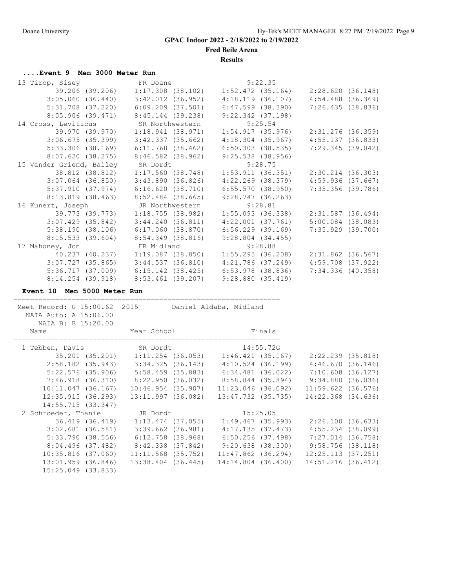**Fred Beile Arena**

**Results**

# **....Event 9 Men 3000 Meter Run**

| 39.206 (39.206) 1:17.308 (38.102)<br>$1:52.472$ (35.164) $2:28.620$ (36.148)<br>$3:05.060$ $(36.440)$<br>$3:42.012$ $(36.952)$<br>$4:54.488$ $(36.369)$<br>$4:18.119$ (36.107)<br>$6:09.209$ $(37.501)$<br>$6:47.599$ $(38.390)$<br>7:26.435(38.836)<br>$5:31.708$ $(37.220)$<br>8:05.906(39.471)<br>8:45.144 (39.238)<br>$9:22.342$ (37.198)<br>9:25.54<br>14 Cross, Leviticus<br>SR Northwestern<br>39.970 (39.970)<br>1:18.941(38.971)<br>1:54.917(35.976)<br>2:31.276 (36.359)<br>$3:06.675$ (35.399)<br>$3:42.337$ (35.662)<br>$4:18.304$ $(35.967)$<br>4:55.137(36.833)<br>$5:33.306$ $(38.169)$<br>$6:11.768$ (38.462)<br>$6:50.303$ (38.535)<br>7:29.345(39.042)<br>8:07.620(38.275)<br>$8:46.582$ (38.962)<br>$9:25.538$ (38.956)<br>15 Vander Griend, Bailey<br>SR Dordt<br>9:28.75<br>38.812 (38.812)<br>1:17.560(38.748)<br>$1:53.911$ (36.351) $2:30.214$ (36.303)<br>$3:07.064$ (36.850)<br>4:59.936(37.667)<br>3:43.890(36.826)<br>4:22.269 (38.379)<br>5:37.910(37.974)<br>6:16.620(38.710)<br>6:55.570(38.950)<br>7:35.356 (39.786)<br>9:28.747(36.263)<br>8:13.819(38.463)<br>8:52.484 (38.665)<br>16 Kunert, Joseph<br>9:28.81<br>JR Northwestern<br>39.773 (39.773)<br>1:18.755(38.982)<br>$1:55.093$ (36.338) $2:31.587$ (36.494)<br>3:44.240(36.811)<br>4:22.001 (37.761)<br>$5:00.084$ (38.083)<br>$3:07.429$ $(35.842)$<br>$6:56.229$ (39.169)<br>7:35.929 (39.700)<br>5:38.190(38.106)<br>$6:17.060$ (38.870)<br>8:15.533(39.604)<br>$8:54.349$ (38.816)<br>$9:28.804$ (34.455)<br>17 Mahoney, Jon<br>FR Midland<br>9:28.88<br>$40.237$ (40.237) 1:19.087 (38.850)<br>$1:55.295$ (36.208) $2:31.862$ (36.567)<br>4:21.786 (37.249)<br>$4:59.708$ (37.922)<br>$\begin{array}{cccc} 3:07.727 & (35.865) & 3:44.537 & (36.810) \\ 5:36.717 & (37.009) & 6:15.142 & (38.425) \end{array}$<br>$6:53.978$ (38.836)<br>7:34.336 (40.358)<br>$8:14.254$ (39.918)<br>9:28.880(35.419)<br>8:53.461 (39.207)<br>Event 10 Men 5000 Meter Run<br>Meet Record: G 15:00.62 2015 Daniel Aldaba, Midland<br>NAIA Auto: A 15:06.00<br>NAIA B: B 15:20.00<br>Finals<br>Year School<br>Name<br>1 Tebben, Davis 5R Dordt 14:55.72G<br>35.201 (35.201) 1:11.254 (36.053) 1:46.421 (35.167) 2:22.239 (35.818)<br>2:58.182 (35.943) 3:34.325 (36.143) 4:10.524 (36.199) 4:46.670 (36.146)<br>5:22.576 (35.906) 5:58.459 (35.883) 6:34.4 | 13 Tirop, Sisey | FR Doane |  | 9:22.35 |  |
|------------------------------------------------------------------------------------------------------------------------------------------------------------------------------------------------------------------------------------------------------------------------------------------------------------------------------------------------------------------------------------------------------------------------------------------------------------------------------------------------------------------------------------------------------------------------------------------------------------------------------------------------------------------------------------------------------------------------------------------------------------------------------------------------------------------------------------------------------------------------------------------------------------------------------------------------------------------------------------------------------------------------------------------------------------------------------------------------------------------------------------------------------------------------------------------------------------------------------------------------------------------------------------------------------------------------------------------------------------------------------------------------------------------------------------------------------------------------------------------------------------------------------------------------------------------------------------------------------------------------------------------------------------------------------------------------------------------------------------------------------------------------------------------------------------------------------------------------------------------------------------------------------------------------------------------------------------------------------------------------------------------------------------------------------------------------------------------------------------------------------------------------------------------------------------------------------------------------------------------------------------------------------------------------------------------------------------------|-----------------|----------|--|---------|--|
|                                                                                                                                                                                                                                                                                                                                                                                                                                                                                                                                                                                                                                                                                                                                                                                                                                                                                                                                                                                                                                                                                                                                                                                                                                                                                                                                                                                                                                                                                                                                                                                                                                                                                                                                                                                                                                                                                                                                                                                                                                                                                                                                                                                                                                                                                                                                          |                 |          |  |         |  |
|                                                                                                                                                                                                                                                                                                                                                                                                                                                                                                                                                                                                                                                                                                                                                                                                                                                                                                                                                                                                                                                                                                                                                                                                                                                                                                                                                                                                                                                                                                                                                                                                                                                                                                                                                                                                                                                                                                                                                                                                                                                                                                                                                                                                                                                                                                                                          |                 |          |  |         |  |
|                                                                                                                                                                                                                                                                                                                                                                                                                                                                                                                                                                                                                                                                                                                                                                                                                                                                                                                                                                                                                                                                                                                                                                                                                                                                                                                                                                                                                                                                                                                                                                                                                                                                                                                                                                                                                                                                                                                                                                                                                                                                                                                                                                                                                                                                                                                                          |                 |          |  |         |  |
|                                                                                                                                                                                                                                                                                                                                                                                                                                                                                                                                                                                                                                                                                                                                                                                                                                                                                                                                                                                                                                                                                                                                                                                                                                                                                                                                                                                                                                                                                                                                                                                                                                                                                                                                                                                                                                                                                                                                                                                                                                                                                                                                                                                                                                                                                                                                          |                 |          |  |         |  |
|                                                                                                                                                                                                                                                                                                                                                                                                                                                                                                                                                                                                                                                                                                                                                                                                                                                                                                                                                                                                                                                                                                                                                                                                                                                                                                                                                                                                                                                                                                                                                                                                                                                                                                                                                                                                                                                                                                                                                                                                                                                                                                                                                                                                                                                                                                                                          |                 |          |  |         |  |
|                                                                                                                                                                                                                                                                                                                                                                                                                                                                                                                                                                                                                                                                                                                                                                                                                                                                                                                                                                                                                                                                                                                                                                                                                                                                                                                                                                                                                                                                                                                                                                                                                                                                                                                                                                                                                                                                                                                                                                                                                                                                                                                                                                                                                                                                                                                                          |                 |          |  |         |  |
|                                                                                                                                                                                                                                                                                                                                                                                                                                                                                                                                                                                                                                                                                                                                                                                                                                                                                                                                                                                                                                                                                                                                                                                                                                                                                                                                                                                                                                                                                                                                                                                                                                                                                                                                                                                                                                                                                                                                                                                                                                                                                                                                                                                                                                                                                                                                          |                 |          |  |         |  |
|                                                                                                                                                                                                                                                                                                                                                                                                                                                                                                                                                                                                                                                                                                                                                                                                                                                                                                                                                                                                                                                                                                                                                                                                                                                                                                                                                                                                                                                                                                                                                                                                                                                                                                                                                                                                                                                                                                                                                                                                                                                                                                                                                                                                                                                                                                                                          |                 |          |  |         |  |
|                                                                                                                                                                                                                                                                                                                                                                                                                                                                                                                                                                                                                                                                                                                                                                                                                                                                                                                                                                                                                                                                                                                                                                                                                                                                                                                                                                                                                                                                                                                                                                                                                                                                                                                                                                                                                                                                                                                                                                                                                                                                                                                                                                                                                                                                                                                                          |                 |          |  |         |  |
|                                                                                                                                                                                                                                                                                                                                                                                                                                                                                                                                                                                                                                                                                                                                                                                                                                                                                                                                                                                                                                                                                                                                                                                                                                                                                                                                                                                                                                                                                                                                                                                                                                                                                                                                                                                                                                                                                                                                                                                                                                                                                                                                                                                                                                                                                                                                          |                 |          |  |         |  |
|                                                                                                                                                                                                                                                                                                                                                                                                                                                                                                                                                                                                                                                                                                                                                                                                                                                                                                                                                                                                                                                                                                                                                                                                                                                                                                                                                                                                                                                                                                                                                                                                                                                                                                                                                                                                                                                                                                                                                                                                                                                                                                                                                                                                                                                                                                                                          |                 |          |  |         |  |
|                                                                                                                                                                                                                                                                                                                                                                                                                                                                                                                                                                                                                                                                                                                                                                                                                                                                                                                                                                                                                                                                                                                                                                                                                                                                                                                                                                                                                                                                                                                                                                                                                                                                                                                                                                                                                                                                                                                                                                                                                                                                                                                                                                                                                                                                                                                                          |                 |          |  |         |  |
|                                                                                                                                                                                                                                                                                                                                                                                                                                                                                                                                                                                                                                                                                                                                                                                                                                                                                                                                                                                                                                                                                                                                                                                                                                                                                                                                                                                                                                                                                                                                                                                                                                                                                                                                                                                                                                                                                                                                                                                                                                                                                                                                                                                                                                                                                                                                          |                 |          |  |         |  |
|                                                                                                                                                                                                                                                                                                                                                                                                                                                                                                                                                                                                                                                                                                                                                                                                                                                                                                                                                                                                                                                                                                                                                                                                                                                                                                                                                                                                                                                                                                                                                                                                                                                                                                                                                                                                                                                                                                                                                                                                                                                                                                                                                                                                                                                                                                                                          |                 |          |  |         |  |
|                                                                                                                                                                                                                                                                                                                                                                                                                                                                                                                                                                                                                                                                                                                                                                                                                                                                                                                                                                                                                                                                                                                                                                                                                                                                                                                                                                                                                                                                                                                                                                                                                                                                                                                                                                                                                                                                                                                                                                                                                                                                                                                                                                                                                                                                                                                                          |                 |          |  |         |  |
|                                                                                                                                                                                                                                                                                                                                                                                                                                                                                                                                                                                                                                                                                                                                                                                                                                                                                                                                                                                                                                                                                                                                                                                                                                                                                                                                                                                                                                                                                                                                                                                                                                                                                                                                                                                                                                                                                                                                                                                                                                                                                                                                                                                                                                                                                                                                          |                 |          |  |         |  |
|                                                                                                                                                                                                                                                                                                                                                                                                                                                                                                                                                                                                                                                                                                                                                                                                                                                                                                                                                                                                                                                                                                                                                                                                                                                                                                                                                                                                                                                                                                                                                                                                                                                                                                                                                                                                                                                                                                                                                                                                                                                                                                                                                                                                                                                                                                                                          |                 |          |  |         |  |
|                                                                                                                                                                                                                                                                                                                                                                                                                                                                                                                                                                                                                                                                                                                                                                                                                                                                                                                                                                                                                                                                                                                                                                                                                                                                                                                                                                                                                                                                                                                                                                                                                                                                                                                                                                                                                                                                                                                                                                                                                                                                                                                                                                                                                                                                                                                                          |                 |          |  |         |  |
|                                                                                                                                                                                                                                                                                                                                                                                                                                                                                                                                                                                                                                                                                                                                                                                                                                                                                                                                                                                                                                                                                                                                                                                                                                                                                                                                                                                                                                                                                                                                                                                                                                                                                                                                                                                                                                                                                                                                                                                                                                                                                                                                                                                                                                                                                                                                          |                 |          |  |         |  |
|                                                                                                                                                                                                                                                                                                                                                                                                                                                                                                                                                                                                                                                                                                                                                                                                                                                                                                                                                                                                                                                                                                                                                                                                                                                                                                                                                                                                                                                                                                                                                                                                                                                                                                                                                                                                                                                                                                                                                                                                                                                                                                                                                                                                                                                                                                                                          |                 |          |  |         |  |
|                                                                                                                                                                                                                                                                                                                                                                                                                                                                                                                                                                                                                                                                                                                                                                                                                                                                                                                                                                                                                                                                                                                                                                                                                                                                                                                                                                                                                                                                                                                                                                                                                                                                                                                                                                                                                                                                                                                                                                                                                                                                                                                                                                                                                                                                                                                                          |                 |          |  |         |  |
|                                                                                                                                                                                                                                                                                                                                                                                                                                                                                                                                                                                                                                                                                                                                                                                                                                                                                                                                                                                                                                                                                                                                                                                                                                                                                                                                                                                                                                                                                                                                                                                                                                                                                                                                                                                                                                                                                                                                                                                                                                                                                                                                                                                                                                                                                                                                          |                 |          |  |         |  |
|                                                                                                                                                                                                                                                                                                                                                                                                                                                                                                                                                                                                                                                                                                                                                                                                                                                                                                                                                                                                                                                                                                                                                                                                                                                                                                                                                                                                                                                                                                                                                                                                                                                                                                                                                                                                                                                                                                                                                                                                                                                                                                                                                                                                                                                                                                                                          |                 |          |  |         |  |
|                                                                                                                                                                                                                                                                                                                                                                                                                                                                                                                                                                                                                                                                                                                                                                                                                                                                                                                                                                                                                                                                                                                                                                                                                                                                                                                                                                                                                                                                                                                                                                                                                                                                                                                                                                                                                                                                                                                                                                                                                                                                                                                                                                                                                                                                                                                                          |                 |          |  |         |  |
|                                                                                                                                                                                                                                                                                                                                                                                                                                                                                                                                                                                                                                                                                                                                                                                                                                                                                                                                                                                                                                                                                                                                                                                                                                                                                                                                                                                                                                                                                                                                                                                                                                                                                                                                                                                                                                                                                                                                                                                                                                                                                                                                                                                                                                                                                                                                          |                 |          |  |         |  |
|                                                                                                                                                                                                                                                                                                                                                                                                                                                                                                                                                                                                                                                                                                                                                                                                                                                                                                                                                                                                                                                                                                                                                                                                                                                                                                                                                                                                                                                                                                                                                                                                                                                                                                                                                                                                                                                                                                                                                                                                                                                                                                                                                                                                                                                                                                                                          |                 |          |  |         |  |
|                                                                                                                                                                                                                                                                                                                                                                                                                                                                                                                                                                                                                                                                                                                                                                                                                                                                                                                                                                                                                                                                                                                                                                                                                                                                                                                                                                                                                                                                                                                                                                                                                                                                                                                                                                                                                                                                                                                                                                                                                                                                                                                                                                                                                                                                                                                                          |                 |          |  |         |  |
|                                                                                                                                                                                                                                                                                                                                                                                                                                                                                                                                                                                                                                                                                                                                                                                                                                                                                                                                                                                                                                                                                                                                                                                                                                                                                                                                                                                                                                                                                                                                                                                                                                                                                                                                                                                                                                                                                                                                                                                                                                                                                                                                                                                                                                                                                                                                          |                 |          |  |         |  |
|                                                                                                                                                                                                                                                                                                                                                                                                                                                                                                                                                                                                                                                                                                                                                                                                                                                                                                                                                                                                                                                                                                                                                                                                                                                                                                                                                                                                                                                                                                                                                                                                                                                                                                                                                                                                                                                                                                                                                                                                                                                                                                                                                                                                                                                                                                                                          |                 |          |  |         |  |
|                                                                                                                                                                                                                                                                                                                                                                                                                                                                                                                                                                                                                                                                                                                                                                                                                                                                                                                                                                                                                                                                                                                                                                                                                                                                                                                                                                                                                                                                                                                                                                                                                                                                                                                                                                                                                                                                                                                                                                                                                                                                                                                                                                                                                                                                                                                                          |                 |          |  |         |  |
|                                                                                                                                                                                                                                                                                                                                                                                                                                                                                                                                                                                                                                                                                                                                                                                                                                                                                                                                                                                                                                                                                                                                                                                                                                                                                                                                                                                                                                                                                                                                                                                                                                                                                                                                                                                                                                                                                                                                                                                                                                                                                                                                                                                                                                                                                                                                          |                 |          |  |         |  |
|                                                                                                                                                                                                                                                                                                                                                                                                                                                                                                                                                                                                                                                                                                                                                                                                                                                                                                                                                                                                                                                                                                                                                                                                                                                                                                                                                                                                                                                                                                                                                                                                                                                                                                                                                                                                                                                                                                                                                                                                                                                                                                                                                                                                                                                                                                                                          |                 |          |  |         |  |
|                                                                                                                                                                                                                                                                                                                                                                                                                                                                                                                                                                                                                                                                                                                                                                                                                                                                                                                                                                                                                                                                                                                                                                                                                                                                                                                                                                                                                                                                                                                                                                                                                                                                                                                                                                                                                                                                                                                                                                                                                                                                                                                                                                                                                                                                                                                                          |                 |          |  |         |  |
|                                                                                                                                                                                                                                                                                                                                                                                                                                                                                                                                                                                                                                                                                                                                                                                                                                                                                                                                                                                                                                                                                                                                                                                                                                                                                                                                                                                                                                                                                                                                                                                                                                                                                                                                                                                                                                                                                                                                                                                                                                                                                                                                                                                                                                                                                                                                          |                 |          |  |         |  |
|                                                                                                                                                                                                                                                                                                                                                                                                                                                                                                                                                                                                                                                                                                                                                                                                                                                                                                                                                                                                                                                                                                                                                                                                                                                                                                                                                                                                                                                                                                                                                                                                                                                                                                                                                                                                                                                                                                                                                                                                                                                                                                                                                                                                                                                                                                                                          |                 |          |  |         |  |

| 12:35.915(36.293)    |                 | 13:11.997 (36.082)    | 13:47.732 (35.735)    |          | 14:22.368 (34.636)   |  |
|----------------------|-----------------|-----------------------|-----------------------|----------|----------------------|--|
| 14:55.715(33.347)    |                 |                       |                       |          |                      |  |
| 2 Schroeder, Thaniel |                 | JR Dordt              |                       | 15:25.05 |                      |  |
|                      | 36.419 (36.419) | $1:13.474$ (37.055)   | 1:49.467(35.993)      |          | 2:26.100(36.633)     |  |
| $3:02.681$ (36.581)  |                 | $3:39.662$ $(36.981)$ | 4:17.135(37.473)      |          | $4:55.234$ (38.099)  |  |
| 5:33.790(38.556)     |                 | $6:12.758$ $(38.968)$ | $6:50.256$ (37.498)   |          | 7:27.014 (36.758)    |  |
| 8:04.496(37.482)     |                 | 8:42.338 (37.842)     | $9:20.638$ $(38.300)$ |          | 9:58.756(38.118)     |  |
| $10:35.816$ (37.060) |                 | $11:11.568$ (35.752)  | $11:47.862$ (36.294)  |          | $12:25.113$ (37.251) |  |
| 13:01.959 (36.846)   |                 | 13:38.404 (36.445)    | 14:14.804 (36.400)    |          | 14:51.216 (36.412)   |  |
| 15:25.049 (33.833)   |                 |                       |                       |          |                      |  |

10:11.047 (36.167) 10:46.954 (35.907) 11:23.046 (36.092) 11:59.622 (36.576)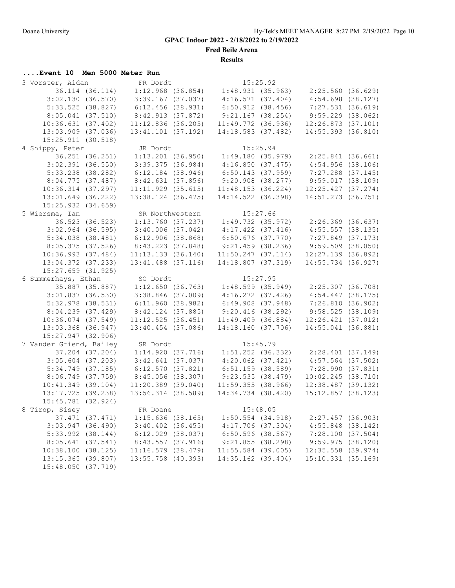**Fred Beile Arena**

**Results**

# **....Event 10 Men 5000 Meter Run**

| 3 Vorster, Aidan        |                 | FR Dordt               |                       | 15:25.92 |                                                             |  |
|-------------------------|-----------------|------------------------|-----------------------|----------|-------------------------------------------------------------|--|
| 36.114 (36.114)         |                 | $1:12.968$ (36.854)    | 1:48.931(35.963)      |          | 2:25.560(36.629)                                            |  |
| 3:02.130(36.570)        |                 | $3:39.167$ (37.037)    | 4:16.571(37.404)      |          | $4:54.698$ (38.127)                                         |  |
| $5:33.525$ (38.827)     |                 | $6:12.456$ (38.931)    | $6:50.912$ $(38.456)$ |          | $7:27.531$ (36.619)                                         |  |
| $8:05.041$ (37.510)     |                 | 8:42.913 (37.872)      | $9:21.167$ (38.254)   |          | $9:59.229$ $(38.062)$                                       |  |
| 10:36.631(37.402)       |                 | $11:12.836$ (36.205)   | 11:49.772(36.936)     |          | $12:26.873$ (37.101)                                        |  |
| 13:03.909 (37.036)      |                 | $13:41.101$ (37.192)   | $14:18.583$ (37.482)  |          | 14:55.393 (36.810)                                          |  |
| 15:25.911(30.518)       |                 |                        |                       |          |                                                             |  |
| 4 Shippy, Peter         |                 | JR Dordt               |                       | 15:25.94 |                                                             |  |
|                         | 36.251 (36.251) | $1:13.201$ (36.950)    |                       |          | $1:49.180$ (35.979) $2:25.841$ (36.661)                     |  |
| $3:02.391$ (36.550)     |                 | $3:39.375$ (36.984)    | 4:16.850(37.475)      |          | $4:54.956$ (38.106)                                         |  |
| $5:33.238$ (38.282)     |                 | $6:12.184$ (38.946)    | $6:50.143$ (37.959)   |          | $7:27.288$ (37.145)                                         |  |
|                         |                 |                        |                       |          |                                                             |  |
| 8:04.775(37.487)        |                 | 8:42.631(37.856)       | $9:20.908$ $(38.277)$ |          | 9:59.017(38.109)                                            |  |
| $10:36.314$ (37.297)    |                 | $11:11.929$ (35.615)   | 11:48.153(36.224)     |          | $12:25.427$ (37.274)                                        |  |
| 13:01.649 (36.222)      |                 | 13:38.124 (36.475)     | 14:14.522 (36.398)    |          | 14:51.273 (36.751)                                          |  |
| 15:25.932 (34.659)      |                 |                        |                       |          |                                                             |  |
| 5 Wiersma, Ian          |                 | SR Northwestern        | 15:27.66              |          |                                                             |  |
|                         | 36.523 (36.523) |                        |                       |          | $1:13.760$ (37.237) $1:49.732$ (35.972) $2:26.369$ (36.637) |  |
| $3:02.964$ (36.595)     |                 | $3:40.006$ (37.042)    | $4:17.422$ $(37.416)$ |          | $4:55.557$ (38.135)                                         |  |
| $5:34.038$ $(38.481)$   |                 | 6:12.906(38.868)       | $6:50.676$ (37.770)   |          | 7:27.849 (37.173)                                           |  |
| 8:05.375(37.526)        |                 | 8:43.223 (37.848)      | $9:21.459$ (38.236)   |          | $9:59.509$ (38.050)                                         |  |
| $10:36.993$ $(37.484)$  |                 | 11:13.133(36.140)      | 11:50.247(37.114)     |          | $12:27.139$ (36.892)                                        |  |
| $13:04.372$ (37.233)    |                 | $13:41.488$ $(37.116)$ | 14:18.807(37.319)     |          | 14:55.734 (36.927)                                          |  |
| $15:27.659$ $(31.925)$  |                 |                        |                       |          |                                                             |  |
| 6 Summerhays, Ethan     |                 | SO Dordt               |                       | 15:27.95 |                                                             |  |
|                         | 35.887 (35.887) | 1:12.650(36.763)       | $1:48.599$ (35.949)   |          | 2:25.307 (36.708)                                           |  |
| $3:01.837$ (36.530)     |                 | $3:38.846$ (37.009)    | $4:16.272$ $(37.426)$ |          | $4:54.447$ (38.175)                                         |  |
| 5:32.978 (38.531)       |                 | 6:11.960(38.982)       | $6:49.908$ $(37.948)$ |          | 7:26.810(36.902)                                            |  |
| 8:04.239(37.429)        |                 | $8:42.124$ (37.885)    | 9:20.416(38.292)      |          | 9:58.525(38.109)                                            |  |
| $10:36.074$ (37.549)    |                 | 11:12.525(36.451)      | $11:49.409$ (36.884)  |          | $12:26.421$ (37.012)                                        |  |
| 13:03.368 (36.947)      |                 |                        |                       |          |                                                             |  |
|                         |                 |                        |                       |          |                                                             |  |
|                         |                 | $13:40.454$ (37.086)   | 14:18.160(37.706)     |          | 14:55.041 (36.881)                                          |  |
| 15:27.947 (32.906)      |                 |                        |                       |          |                                                             |  |
| 7 Vander Griend, Bailey |                 | SR Dordt               |                       | 15:45.79 |                                                             |  |
|                         | 37.204 (37.204) | 1:14.920(37.716)       |                       |          | $1:51.252$ (36.332) $2:28.401$ (37.149)                     |  |
| $3:05.604$ (37.203)     |                 | $3:42.641$ (37.037)    | $4:20.062$ $(37.421)$ |          | $4:57.564$ (37.502)                                         |  |
| $5:34.749$ (37.185)     |                 | 6:12.570(37.821)       | $6:51.159$ (38.589)   |          | 7:28.990 (37.831)                                           |  |
| $8:06.749$ $(37.759)$   |                 | 8:45.056 (38.307)      | 9:23.535(38.479)      |          | $10:02.245$ (38.710)                                        |  |
| $10:41.349$ (39.104)    |                 | $11:20.389$ (39.040)   | 11:59.355(38.966)     |          | $12:38.487$ (39.132)                                        |  |
| 13:17.725 (39.238)      |                 | 13:56.314 (38.589)     | 14:34.734 (38.420)    |          | $15:12.857$ (38.123)                                        |  |
| 15:45.781 (32.924)      |                 |                        |                       |          |                                                             |  |
| 8 Tirop, Sisey          |                 | FR Doane               |                       | 15:48.05 |                                                             |  |
|                         | 37.471 (37.471) | $1:15.636$ (38.165)    | $1:50.554$ $(34.918)$ |          | $2:27.457$ (36.903)                                         |  |
| $3:03.947$ (36.490)     |                 | $3:40.402$ (36.455)    | $4:17.706$ $(37.304)$ |          | $4:55.848$ (38.142)                                         |  |
| $5:33.992$ $(38.144)$   |                 | $6:12.029$ $(38.037)$  | $6:50.596$ (38.567)   |          | 7:28.100(37.504)                                            |  |
| $8:05.641$ (37.541)     |                 | 8:43.557(37.916)       | 9:21.855(38.298)      |          | 9:59.975(38.120)                                            |  |
| 10:38.100 (38.125)      |                 | $11:16.579$ (38.479)   | $11:55.584$ (39.005)  |          | $12:35.558$ (39.974)                                        |  |
| 13:15.365 (39.807)      |                 | 13:55.758 (40.393)     | 14:35.162 (39.404)    |          | 15:10.331(35.169)                                           |  |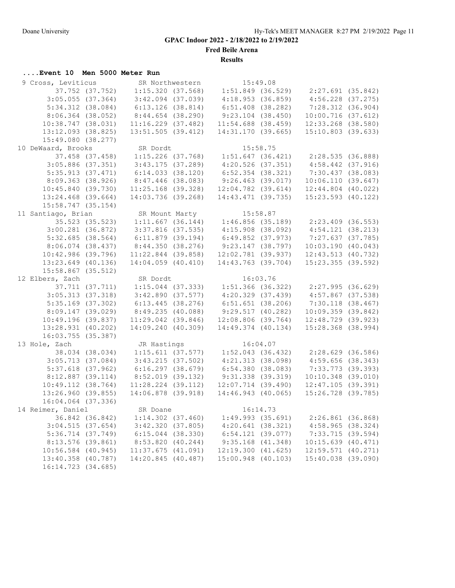**Fred Beile Arena**

**Results**

## **....Event 10 Men 5000 Meter Run**

| 9 Cross, Leviticus    |                 |                        | SR Northwestern 15:49.08 |          |                                                                                  |  |
|-----------------------|-----------------|------------------------|--------------------------|----------|----------------------------------------------------------------------------------|--|
| 37.752 (37.752)       |                 |                        |                          |          | $1:15.320$ (37.568) $1:51.849$ (36.529) $2:27.691$ (35.842)                      |  |
| $3:05.055$ (37.364)   |                 | $3:42.094$ (37.039)    | 4:18.953(36.859)         |          | $4:56.228$ $(37.275)$                                                            |  |
| $5:34.312$ $(38.084)$ |                 | 6:13.126(38.814)       | $6:51.408$ (38.282)      |          | $7:28.312$ (36.904)                                                              |  |
| $8:06.364$ (38.052)   |                 | 8:44.654(38.290)       | $9:23.104$ (38.450)      |          | 10:00.716(37.612)                                                                |  |
| 10:38.747(38.031)     |                 | $11:16.229$ $(37.482)$ | $11:54.688$ (38.459)     |          | $12:33.268$ (38.580)                                                             |  |
| 13:12.093 (38.825)    |                 | $13:51.505$ (39.412)   | 14:31.170(39.665)        |          | $15:10.803$ (39.633)                                                             |  |
| 15:49.080 (38.277)    |                 |                        |                          |          |                                                                                  |  |
| 10 DeWaard, Brooks    |                 | SR Dordt               |                          | 15:58.75 |                                                                                  |  |
|                       | 37.458 (37.458) |                        |                          |          | $1:15.226$ (37.768) $1:51.647$ (36.421) $2:28.535$ (36.888)                      |  |
| $3:05.886$ (37.351)   |                 | 3:43.175(37.289)       | $4:20.526$ $(37.351)$    |          | $4:58.442$ (37.916)                                                              |  |
|                       |                 |                        |                          |          |                                                                                  |  |
| 5:35.913(37.471)      |                 | $6:14.033$ $(38.120)$  | $6:52.354$ (38.321)      |          | 7:30.437 (38.083)                                                                |  |
| 8:09.363(38.926)      |                 | 8:47.446 (38.083)      | 9:26.463 (39.017)        |          | 10:06.110(39.647)                                                                |  |
| 10:45.840(39.730)     |                 | $11:25.168$ (39.328)   | $12:04.782$ (39.614)     |          | $12:44.804$ $(40.022)$                                                           |  |
| $13:24.468$ (39.664)  |                 | 14:03.736 (39.268)     | 14:43.471 (39.735)       |          | $15:23.593$ (40.122)                                                             |  |
| $15:58.747$ (35.154)  |                 |                        |                          |          |                                                                                  |  |
| 11 Santiago, Brian    |                 |                        |                          |          | SR Mount Marty 15:58.87<br>1:11.667 (36.144) 1:46.856 (35.189) 2:23.409 (36.553) |  |
|                       | 35.523 (35.523) |                        |                          |          |                                                                                  |  |
| $3:00.281$ (36.872)   |                 | $3:37.816$ $(37.535)$  |                          |          | $4:15.908(38.092)$ $4:54.121(38.213)$                                            |  |
| $5:32.685$ (38.564)   |                 | $6:11.879$ (39.194)    | $6:49.852$ $(37.973)$    |          | 7:27.637 (37.785)                                                                |  |
| $8:06.074$ (38.437)   |                 | 8:44.350(38.276)       | 9:23.147(38.797)         |          | 10:03.190(40.043)                                                                |  |
| $10:42.986$ (39.796)  |                 | $11:22.844$ (39.858)   | 12:02.781 (39.937)       |          | 12:43.513(40.732)                                                                |  |
| $13:23.649$ (40.136)  |                 | $14:04.059$ $(40.410)$ | $14:43.763$ (39.704)     |          | $15:23.355$ (39.592)                                                             |  |
| $15:58.867$ (35.512)  |                 |                        |                          |          |                                                                                  |  |
| 12 Elbers, Zach       |                 | SR Dordt               |                          | 16:03.76 |                                                                                  |  |
|                       | 37.711 (37.711) |                        |                          |          | $1:15.044$ (37.333) $1:51.366$ (36.322) $2:27.995$ (36.629)                      |  |
| $3:05.313$ $(37.318)$ |                 | 3:42.890(37.577)       |                          |          | $4:20.329$ (37.439) $4:57.867$ (37.538)                                          |  |
| $5:35.169$ (37.302)   |                 | 6:13.445(38.276)       | 6:51.651(38.206)         |          | $7:30.118$ $(38.467)$                                                            |  |
| 8:09.147(39.029)      |                 | 8:49.235(40.088)       | 9:29.517(40.282)         |          | 10:09.359(39.842)                                                                |  |
| 10:49.196(39.837)     |                 | $11:29.042$ (39.846)   |                          |          | 12:08.806 (39.764) 12:48.729 (39.923)                                            |  |
| 13:28.931 (40.202)    |                 | 14:09.240 (40.309)     | 14:49.374 (40.134)       |          | $15:28.368$ (38.994)                                                             |  |
| $16:03.755$ (35.387)  |                 |                        |                          |          |                                                                                  |  |
| 13 Hole, Zach         |                 | JR Hastings            |                          | 16:04.07 |                                                                                  |  |
|                       | 38.034 (38.034) |                        |                          |          |                                                                                  |  |
|                       |                 |                        |                          |          | $1:15.611$ (37.577) $1:52.043$ (36.432) $2:28.629$ (36.586)                      |  |
| $3:05.713$ (37.084)   |                 | 3:43.215(37.502)       | 4:21.313(38.098)         |          | $4:59.656$ (38.343)                                                              |  |
| $5:37.618$ (37.962)   |                 | 6:16.297(38.679)       | 6:54.380(38.083)         |          | 7:33.773 (39.393)                                                                |  |
| $8:12.887$ (39.114)   |                 | $8:52.019$ (39.132)    | $9:31.338$ (39.319)      |          | $10:10.348$ (39.010)                                                             |  |
| 10:49.112 (38.764)    |                 | $11:28.224$ (39.112)   | $12:07.714$ (39.490)     |          | $12:47.105$ (39.391)                                                             |  |
| $13:26.960$ (39.855)  |                 | $14:06.878$ (39.918)   | $14:46.943$ (40.065)     |          | 15:26.728 (39.785)                                                               |  |
| 16:04.064 (37.336)    |                 |                        |                          |          |                                                                                  |  |
| 14 Reimer, Daniel     |                 | SR Doane               |                          | 16:14.73 |                                                                                  |  |
|                       | 36.842 (36.842) | $1:14.302$ (37.460)    | $1:49.993$ (35.691)      |          | $2:26.861$ (36.868)                                                              |  |
| 3:04.515(37.654)      |                 | 3:42.320(37.805)       | 4:20.641(38.321)         |          | 4:58.965(38.324)                                                                 |  |
| $5:36.714$ $(37.749)$ |                 | $6:15.044$ $(38.330)$  | $6:54.121$ $(39.077)$    |          | 7:33.715(39.594)                                                                 |  |
| $8:13.576$ (39.861)   |                 | 8:53.820(40.244)       | $9:35.168$ $(41.348)$    |          | $10:15.639$ $(40.471)$                                                           |  |
| $10:56.584$ (40.945)  |                 | $11:37.675$ $(41.091)$ | 12:19.300(41.625)        |          | $12:59.571$ (40.271)                                                             |  |
| 13:40.358 (40.787)    |                 | 14:20.845 (40.487)     | $15:00.948$ (40.103)     |          | 15:40.038 (39.090)                                                               |  |
| 16:14.723 (34.685)    |                 |                        |                          |          |                                                                                  |  |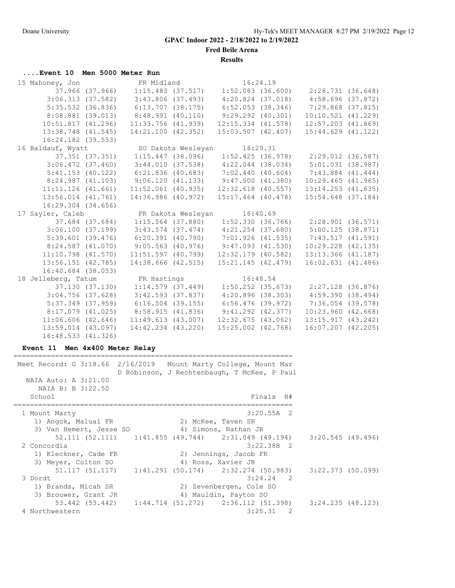**Fred Beile Arena**

**Results**

## **....Event 10 Men 5000 Meter Run**

| 15 Mahoney, Jon FR Midland 16:24.19          |                        |                                                             |                                       |                                                                         |  |
|----------------------------------------------|------------------------|-------------------------------------------------------------|---------------------------------------|-------------------------------------------------------------------------|--|
|                                              |                        |                                                             |                                       | 37.966 (37.966) 1:15.483 (37.517) 1:52.083 (36.600) 2:28.731 (36.648)   |  |
|                                              |                        |                                                             |                                       | 3:06.313 (37.582) 3:43.806 (37.493) 4:20.824 (37.018) 4:58.696 (37.872) |  |
|                                              | $5:35.532$ (36.836)    | $6:13.707$ (38.175)                                         |                                       | $6:52.053$ (38.346) 7:29.868 (37.815)                                   |  |
| 8:08.881 (39.013)                            |                        | $8:48.991$ (40.110)                                         | $9:29.292$ (40.301)                   | $10:10.521$ $(41.229)$                                                  |  |
|                                              | 10:51.817(41.296)      | $11:33.756$ $(41.939)$                                      | $12:15.334$ $(41.578)$                | $12:57.203$ $(41.869)$                                                  |  |
|                                              | 13:38.748 (41.545)     | 14:21.100 (42.352)                                          |                                       | 15:03.507 (42.407) 15:44.629 (41.122)                                   |  |
|                                              | $16:24.182$ (39.553)   |                                                             |                                       |                                                                         |  |
| 16 Baldauf, Wyatt                            |                        |                                                             | SO Dakota Wesleyan 16:29.31           |                                                                         |  |
|                                              | 37.351 (37.351)        | $1:15.447$ (38.096)                                         |                                       | $1:52.425$ (36.978) $2:29.012$ (36.587)                                 |  |
|                                              | $3:06.472$ $(37.460)$  | 3:44.010 (37.538)                                           | $4:22.044$ $(38.034)$                 | 5:01.031(38.987)                                                        |  |
|                                              | $5:41.153$ (40.122)    | $6:21.836$ (40.683)                                         |                                       | $7:02.440$ (40.604) $7:43.884$ (41.444)                                 |  |
|                                              |                        | $8:24.987$ (41.103) $9:06.120$ (41.133) $9:47.500$ (41.380) |                                       | $10:29.465$ $(41.965)$                                                  |  |
|                                              | $11:11.126$ $(41.661)$ |                                                             |                                       | $11:52.061$ (40.935) $12:32.618$ (40.557) $13:14.253$ (41.635)          |  |
|                                              | $13:56.014$ $(41.761)$ |                                                             | 14:36.986 (40.972) 15:17.464 (40.478) | $15:54.648$ (37.184)                                                    |  |
|                                              | $16:29.304$ $(34.656)$ |                                                             |                                       |                                                                         |  |
|                                              |                        |                                                             |                                       |                                                                         |  |
| 17 Sayler, Caleb TR Dakota Wesleyan 16:40.69 |                        |                                                             |                                       |                                                                         |  |
|                                              |                        | 37.684 (37.684) 1:15.564 (37.880)                           |                                       | $1:52.330$ (36.766) $2:28.901$ (36.571)                                 |  |
|                                              |                        |                                                             |                                       | 3:06.100 (37.199) 3:43.574 (37.474) 4:21.254 (37.680) 5:00.125 (38.871) |  |
| $5:39.601$ (39.476)                          |                        |                                                             |                                       | $6: 20.391$ (40.790) 7:01.926 (41.535) 7:43.517 (41.591)                |  |
|                                              |                        | $8:24.587$ (41.070) 9:05.563 (40.976) 9:47.093 (41.530)     |                                       | $10:29.228$ $(42.135)$                                                  |  |
|                                              | $11:10.798$ $(41.570)$ | $11:51.597$ (40.799)                                        | $12:32.179$ (40.582)                  | 13:13.366 (41.187)                                                      |  |
|                                              | $13:56.151$ (42.785)   | 14:38.666 (42.515)                                          | 15:21.145 (42.479)                    | $16:02.631$ $(41.486)$                                                  |  |
|                                              | $16:40.684$ (38.053)   |                                                             |                                       |                                                                         |  |
| 18 Jelleberg, Tatum FR Hastings 16:48.54     |                        |                                                             |                                       |                                                                         |  |
|                                              |                        |                                                             |                                       | 37.130 (37.130) 1:14.579 (37.449) 1:50.252 (35.673) 2:27.128 (36.876)   |  |
|                                              | $3:04.756$ (37.628)    | $3:42.593$ (37.837)                                         | 4:20.896 (38.303)                     | 4:59.390(38.494)                                                        |  |
|                                              | $5:37.349$ (37.959)    | $6:16.504$ (39.155)                                         | 6:56.476 (39.972)                     | 7:36.054 (39.578)                                                       |  |
|                                              | $8:17.079$ $(41.025)$  | 8:58.915 (41.836) 9:41.292 (42.377)                         |                                       | $10:23.960$ $(42.668)$                                                  |  |
|                                              | $11:06.606$ $(42.646)$ | 11:49.613(43.007)                                           | 12:32.675(43.062)                     | 13:15.917(43.242)                                                       |  |
| 16:48.533 (41.326)                           | 13:59.014 (43.097)     | 14:42.234 (43.220)                                          | $15:25.002$ $(42.768)$                | $16:07.207$ $(42.205)$                                                  |  |

### **Event 11 Men 4x400 Meter Relay**

=================================================================== Meet Record: G 3:18.66 2/16/2019 Mount Marty College, Mount Mar D Robinson, J Rechtenbaugh, T McKee, P Paul NAIA Auto: A 3:21.00 NAIA B: B 3:22.50 School Finals H# =================================================================== 1 Mount Marty 3:20.55A 2 1) Angok, Malual FR 2) McKee, Taven SR 3) Van Hemert, Jesse SO (4) Simons, Nathan JR 52.111 (52.111) 1:41.855 (49.744) 2:31.049 (49.194) 3:20.545 (49.496) 2 Concordia 3:22.38B 2 1) Kleckner, Cade FR 2) Jennings, Jacob FR 3) Meyer, Colton SO 4) Ross, Xavier JR 51.117 (51.117) 1:41.291 (50.174) 2:32.274 (50.983) 3:22.373 (50.099) 3 Dordt 3:24.24 2 1) Brands, Micah SR 2) Zevenbergen, Cole SO 3) Brouwer, Grant JR 4) Mauldin, Payton SO 53.442 (53.442) 1:44.714 (51.272) 2:36.112 (51.398) 3:24.235 (48.123) 4 Northwestern 3:25.31 2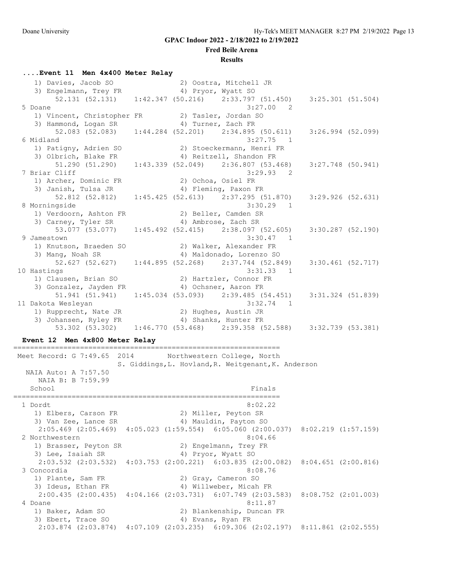#### **Fred Beile Arena**

#### **Results**

#### **....Event 11 Men 4x400 Meter Relay**

| 1) Davies, Jacob SO                             |  | 2) Oostra, Mitchell JR                                                                |                   |  |
|-------------------------------------------------|--|---------------------------------------------------------------------------------------|-------------------|--|
| 3) Engelmann, Trey FR                           |  | 4) Pryor, Wyatt SO                                                                    |                   |  |
|                                                 |  | 52.131 (52.131) 1:42.347 (50.216) 2:33.797 (51.450) 3:25.301 (51.504)                 |                   |  |
| 5 Doane                                         |  | $3:27.00$ 2                                                                           |                   |  |
| 1) Vincent, Christopher FR 2) Tasler, Jordan SO |  |                                                                                       |                   |  |
| 3) Hammond, Logan SR (4) Turner, Zach FR        |  |                                                                                       |                   |  |
|                                                 |  | 52.083 (52.083) 1:44.284 (52.201) 2:34.895 (50.611) 3:26.994 (52.099)                 |                   |  |
| 6 Midland                                       |  | $3:27.75$ 1                                                                           |                   |  |
| 1) Patigny, Adrien SO                           |  | 2) Stoeckermann, Henri FR                                                             |                   |  |
| 3) Olbrich, Blake FR                            |  | 4) Reitzell, Shandon FR                                                               |                   |  |
| 51.290 (51.290)                                 |  | $1:43.339$ (52.049) $2:36.807$ (53.468)                                               | 3:27.748 (50.941) |  |
| 7 Briar Cliff                                   |  | $3:29.93$ 2                                                                           |                   |  |
| 1) Archer, Dominic FR                           |  | 2) Ochoa, Osiel FR                                                                    |                   |  |
| 3) Janish, Tulsa JR                             |  | 4) Fleming, Paxon FR                                                                  |                   |  |
|                                                 |  | 52.812 (52.812) 1:45.425 (52.613) 2:37.295 (51.870)                                   | 3:29.926 (52.631) |  |
| 8 Morningside                                   |  | $3:30.29$ 1                                                                           |                   |  |
| 1) Verdoorn, Ashton FR                          |  | 2) Beller, Camden SR                                                                  |                   |  |
| 3) Carney, Tyler SR                             |  | 4) Ambrose, Zach SR                                                                   |                   |  |
|                                                 |  | 53.077 (53.077) 1:45.492 (52.415) 2:38.097 (52.605) 3:30.287 (52.190)                 |                   |  |
| 9 Jamestown                                     |  | $3:30.47$ 1                                                                           |                   |  |
| 1) Knutson, Braeden SO                          |  | 2) Walker, Alexander FR                                                               |                   |  |
| 3) Mang, Noah SR                                |  | 4) Maldonado, Lorenzo SO                                                              |                   |  |
|                                                 |  | $52.627$ (52.627) 1:44.895 (52.268) 2:37.744 (52.849)                                 | 3:30.461 (52.717) |  |
| 10 Hastings                                     |  | $3:31.33$ 1                                                                           |                   |  |
| 1) Clausen, Brian SO                            |  | 2) Hartzler, Connor FR                                                                |                   |  |
| 3) Gonzalez, Jayden FR 4) Ochsner, Aaron FR     |  |                                                                                       |                   |  |
|                                                 |  | $51.941$ $(51.941)$ $1:45.034$ $(53.093)$ $2:39.485$ $(54.451)$ $3:31.324$ $(51.839)$ |                   |  |
| 11 Dakota Wesleyan                              |  | $3:32.74$ 1                                                                           |                   |  |
| 1) Rupprecht, Nate JR                           |  | 2) Hughes, Austin JR                                                                  |                   |  |
| 3) Johansen, Ryley FR                           |  | 4) Shanks, Hunter FR                                                                  |                   |  |
|                                                 |  | 53.302 (53.302) 1:46.770 (53.468) 2:39.358 (52.588) 3:32.739 (53.381)                 |                   |  |

#### **Event 12 Men 4x800 Meter Relay**

================================================================

 Meet Record: G 7:49.65 2014 Northwestern College, North S. Giddings,L. Hovland,R. Weitgenant,K. Anderson NAIA Auto: A 7:57.50 NAIA B: B 7:59.99 School Finals ================================================================ 1 Dordt 8:02.22 1) Elbers, Carson FR 2) Miller, Peyton SR 3) Van Zee, Lance SR 4) Mauldin, Payton SO 2:05.469 (2:05.469) 4:05.023 (1:59.554) 6:05.060 (2:00.037) 8:02.219 (1:57.159) 2 Northwestern 8:04.66 1) Brasser, Peyton SR 2) Engelmann, Trey FR 3) Lee, Isaiah SR 4) Pryor, Wyatt SO 2:03.532 (2:03.532) 4:03.753 (2:00.221) 6:03.835 (2:00.082) 8:04.651 (2:00.816) 3 Concordia 8:08.76 1) Plante, Sam FR 2) Gray, Cameron SO 3) Ideus, Ethan FR 4) Willweber, Micah FR 4, 2004 2:00.435 (2:00.435) 4:04.166 (2:03.731) 6:07.749 (2:03.583) 8:08.752 (2:01.003) 4 Doane 8:11.87 1) Baker, Adam SO 2) Blankenship, Duncan FR 3) Ebert, Trace SO 4) Evans, Ryan FR 2:03.874 (2:03.874) 4:07.109 (2:03.235) 6:09.306 (2:02.197) 8:11.861 (2:02.555)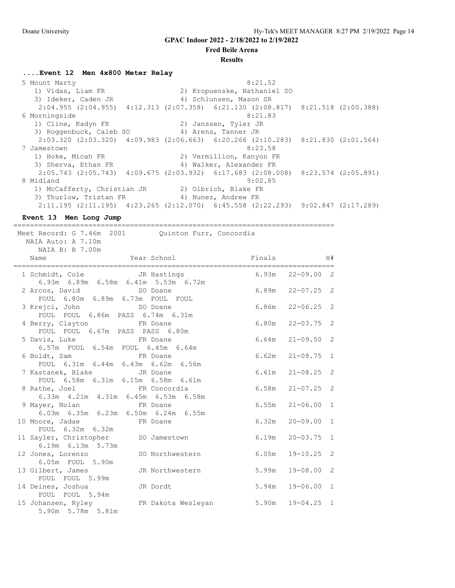**Fred Beile Arena**

#### **Results**

**....Event 12 Men 4x800 Meter Relay**

5 Mount Marty 8:21.52 1) Vidas, Liam FR 2) Kropuenske, Nathaniel SO 3) Ideker, Caden JR 4) Schlunsen, Mason SR 2:04.955 (2:04.955) 4:12.313 (2:07.358) 6:21.130 (2:08.817) 8:21.518 (2:00.388) 6 Morningside 8:21.83<br>1) Cline, Kadyn FR 2) Janssen, Tyler JR 1) Cline, Kadyn FR 2) Janssen, Tyler JR 3) Roggenbuck, Caleb SO 4) Arens, Tanner JR 2:03.320 (2:03.320) 4:09.983 (2:06.663) 6:20.266 (2:10.283) 8:21.830 (2:01.564) 7 Jamestown 8:23.58 1) Hoke, Micah FR 2) Vermillion, Kanyon FR 3) Sherva, Ethan FR 4) Walker, Alexander FR 2:05.743 (2:05.743) 4:09.675 (2:03.932) 6:17.683 (2:08.008) 8:23.574 (2:05.891)  $9:02.85$  1) McCafferty, Christian JR 2) Olbrich, Blake FR 3) Thurlow, Tristan FR 4) Nunez, Andrew FR 2:11.195 (2:11.195) 4:23.265 (2:12.070) 6:45.558 (2:22.293) 9:02.847 (2:17.289)

**Event 13 Men Long Jump** ============================================================================= Meet Record: G 7.46m 2001 Quinton Furr, Concordia NAIA Auto: A 7.10m NAIA B: B 7.00m Name  $Year School$  Finals H# ============================================================================= 1 Schmidt, Cole JR Hastings 6.93m 22-09.00 2 6.93m 6.89m 6.58m 6.41m 5.53m 6.72m 2 Arcos, David SO Doane 6.89m 22-07.25 2 FOUL 6.80m 6.89m 6.73m FOUL FOUL 3 Krejci, John SO Doane 6.86m 22-06.25 2 FOUL FOUL 6.86m PASS 6.74m 6.31m 4 Berry, Clayton FR Doane 6.80m 22-03.75 2 FOUL FOUL 6.67m PASS PASS 6.80m 5 Davis, Luke FR Doane 6.64m 21-09.50 2 6.57m FOUL 6.54m FOUL 6.45m 6.64m 6 Boldt, Sam FR Doane 6.62m 21-08.75 1 FOUL 6.31m 6.44m 6.43m 6.62m 6.56m 7 Kastanek, Blake JR Doane 6.61m 21-08.25 2 FOUL 6.58m 6.31m 6.15m 6.58m 6.61m 8 Rathe, Joel FR Concordia 6.58m 21-07.25 2 6.33m 4.21m 4.31m 6.45m 6.53m 6.58m 9 Mayer, Nolan FR Doane 6.55m 21-06.00 1 6.03m 6.35m 6.23m 6.50m 6.24m 6.55m 10 Moore, Jadae FR Doane 6.32m 20-09.00 1 FOUL 6.32m 6.32m 11 Sayler, Christopher SO Jamestown 6.19m 20-03.75 1 6.19m 6.13m 5.73m 12 Jones, Lorenzo SO Northwestern 6.05m 19-10.25 2 6.05m FOUL 5.90m 13 Gilbert, James JR Northwestern 5.99m 19-08.00 2 FOUL FOUL 5.99m 14 Deines, Joshua JR Dordt 5.94m 19-06.00 1 FOUL FOUL 5.94m 15 Johansen, Ryley FR Dakota Wesleyan 5.90m 19-04.25 1 5.90m 5.78m 5.81m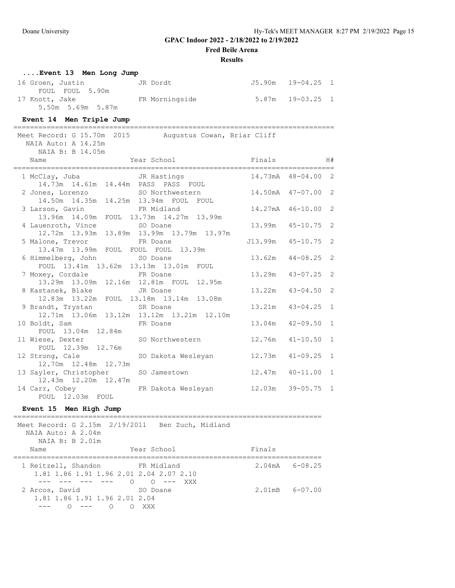**Fred Beile Arena**

### **Results**

| Event 13 Men Long Jump |                |                      |  |
|------------------------|----------------|----------------------|--|
| 16 Groen, Justin       | JR Dordt       | J5.90m 19-04.25 1    |  |
| FOUL FOUL 5.90m        |                |                      |  |
| 17 Knott, Jake         | FR Morningside | $5.87m$ $19-03.25$ 1 |  |
| 5.50m 5.69m 5.87m      |                |                      |  |

## **Event 14 Men Triple Jump**

| ________________<br>Meet Record: G 15.70m 2015 Augustus Cowan, Briar Cliff<br>NAIA Auto: A 14.25m<br>NAIA B: B 14.05m |                                       | ______________________________ |                       |                |
|-----------------------------------------------------------------------------------------------------------------------|---------------------------------------|--------------------------------|-----------------------|----------------|
| Name                                                                                                                  | Year School <a> Finals <a> H#</a></a> |                                |                       |                |
|                                                                                                                       |                                       |                                |                       |                |
| 2 Jones, Lorenzo SO Northwestern 14.50mA 47-07.00 2<br>14.50m  14.35m  14.25m  13.94m  FOUL  FOUL                     |                                       |                                |                       |                |
| 3 Larson, Gavin FR Midland<br>13.96m  14.09m  FOUL  13.73m  14.27m  13.99m                                            |                                       | 14.27mA 46-10.00 2             |                       |                |
| 4 Lauenroth, Vince 50 Doane<br>12.72m  13.93m  13.89m  13.99m  13.79m  13.97m                                         |                                       | 13.99m  45-10.75  2            |                       |                |
| 5 Malone, Trevor FR Doane<br>13.47m 13.99m FOUL FOUL FOUL 13.39m                                                      |                                       |                                | J13.99m 45-10.75 2    |                |
| 6 Himmelberg, John SO Doane<br>FOUL 13.41m 13.62m 13.13m 13.01m FOUL                                                  |                                       | 13.62m                         | $44 - 08.25$          | 2              |
| 7 Moxey, Cordale FR Doane<br>13.29m  13.09m  12.16m  12.81m  FOUL  12.95m                                             |                                       |                                | 13.29m 43-07.25       | $\overline{2}$ |
| 8 Kastanek, Blake JR Doane<br>12.83m  13.22m  FOUL  13.18m  13.14m  13.08m                                            |                                       |                                | $13.22m$ $43-04.50$ 2 |                |
| 9 Brandt, Trystan SR Doane<br>12.71m 13.06m 13.12m 13.12m 13.21m 12.10m                                               |                                       |                                | 13.21m  43-04.25  1   |                |
| 10 Boldt, Sam BR Doane<br>FOUL 13.04m 12.84m                                                                          |                                       |                                | 13.04m  42-09.50  1   |                |
| 11 Wiese, Dexter SO Northwestern 12.76m 41-10.50<br>FOUL 12.39m 12.76m                                                |                                       |                                |                       | $\mathbf{1}$   |
| 12 Strong, Cale<br>12.70m  12.48m  12.73m                                                                             | SO Dakota Wesleyan 12.73m 41-09.25    |                                |                       | $\overline{1}$ |
| 13 Sayler, Christopher SO Jamestown 12.47m 40-11.00 1<br>12.43m 12.20m 12.47m                                         |                                       |                                |                       |                |
| 14 Carr, Cobey<br>FOUL 12.03m FOUL                                                                                    | FR Dakota Wesleyan 12.03m 39-05.75 1  |                                |                       |                |

# **Event 15 Men High Jump**

| NAIA Auto: A 2.04m<br>NAIA B: B 2.01m           | Meet Record: G 2.15m 2/19/2011 Ben Zuch, Midland |                               |  |
|-------------------------------------------------|--------------------------------------------------|-------------------------------|--|
| Name                                            | Year School                                      | Finals                        |  |
| 1 Reitzell, Shandon FR Midland                  | 1.81 1.86 1.91 1.96 2.01 2.04 2.07 2.10          | $2.04 \text{ mA}$ $6 - 08.25$ |  |
| 2 Arcos, David<br>1.81 1.86 1.91 1.96 2.01 2.04 | $\bigcirc$<br>SO Doane                           | $2.01 \text{ mB}$ 6-07.00     |  |
| $\circ$                                         | XXX<br>$\left( \right)$                          |                               |  |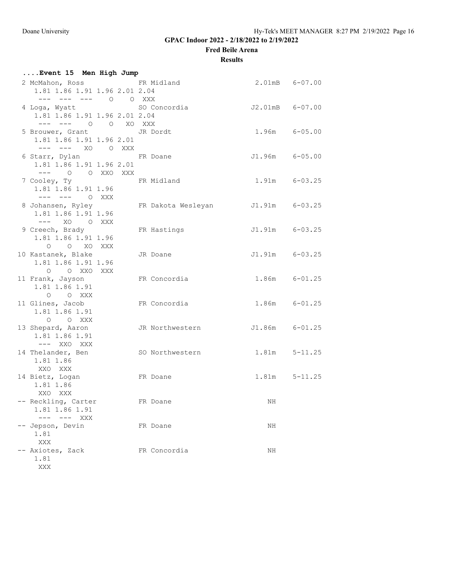**Fred Beile Arena**

### **Results**

| Event 15 Men High Jump                                      |                                        |                    |                   |
|-------------------------------------------------------------|----------------------------------------|--------------------|-------------------|
| 2 McMahon, Ross FR Midland<br>1.81 1.86 1.91 1.96 2.01 2.04 |                                        | 2.01mB 6-07.00     |                   |
| --- --- --- 0 0 XXX                                         |                                        |                    |                   |
| 4 Loga, Wyatt                                               | SO Concordia $J2.01 \text{mB}$ 6-07.00 |                    |                   |
| 1.81 1.86 1.91 1.96 2.01 2.04                               |                                        |                    |                   |
| --- --- 0 0 XO XXX                                          |                                        |                    |                   |
| 5 Brouwer, Grant JR Dordt                                   |                                        | $1.96m$ $6-05.00$  |                   |
| 1.81 1.86 1.91 1.96 2.01                                    |                                        |                    |                   |
| --- --- XO O XXX                                            |                                        |                    |                   |
| 6 Starr, Dylan New FR Doane                                 |                                        | J1.96m 6-05.00     |                   |
| 1.81 1.86 1.91 1.96 2.01                                    |                                        |                    |                   |
| $---$ 0 0 XXO XXX                                           |                                        |                    |                   |
| 7 Cooley, Ty                                                | FR Midland                             | $1.91m$ $6-03.25$  |                   |
| 1.81 1.86 1.91 1.96                                         |                                        |                    |                   |
| $-- ---$ 0 XXX                                              |                                        |                    |                   |
| 8 Johansen, Ryley                                           | FR Dakota Wesleyan J1.91m 6-03.25      |                    |                   |
| 1.81 1.86 1.91 1.96<br>$---$ XO O XXX                       |                                        |                    |                   |
| 9 Creech, Brady                                             | FR Hastings                            | $J1.91m$ $6-03.25$ |                   |
| 1.81 1.86 1.91 1.96                                         |                                        |                    |                   |
| O O XO XXX                                                  |                                        |                    |                   |
| 10 Kastanek, Blake                                          | JR Doane                               | $J1.91m$ $6-03.25$ |                   |
| 1.81 1.86 1.91 1.96                                         |                                        |                    |                   |
| O O XXO XXX                                                 |                                        |                    |                   |
| 11 Frank, Jayson                                            | FR Concordia                           | $1.86m$ $6-01.25$  |                   |
| 1.81 1.86 1.91                                              |                                        |                    |                   |
| O O XXX                                                     |                                        |                    |                   |
| 11 Glines, Jacob                                            | FR Concordia                           | $1.86m$ $6-01.25$  |                   |
| 1.81 1.86 1.91                                              |                                        |                    |                   |
| O O XXX                                                     |                                        |                    |                   |
| 13 Shepard, Aaron                                           | JR Northwestern J1.86m 6-01.25         |                    |                   |
| 1.81 1.86 1.91                                              |                                        |                    |                   |
| $---$ XXO XXX                                               |                                        |                    |                   |
| 14 Thelander, Ben                                           | SO Northwestern                        | $1.81m$ $5-11.25$  |                   |
| 1.81 1.86                                                   |                                        |                    |                   |
| XXO XXX                                                     |                                        |                    |                   |
| 14 Bietz, Logan                                             | FR Doane                               |                    | $1.81m$ $5-11.25$ |
| 1.81 1.86                                                   |                                        |                    |                   |
| XXO XXX                                                     |                                        |                    |                   |
| -- Reckling, Carter                                         | FR Doane                               | $\rm NH$           |                   |
| 1.81 1.86 1.91<br>$--- $ $--- $ XXX                         |                                        |                    |                   |
| -- Jepson, Devin                                            | FR Doane                               | ΝH                 |                   |
| 1.81                                                        |                                        |                    |                   |
| XXX                                                         |                                        |                    |                   |
| -- Axiotes, Zack                                            | FR Concordia                           | ΝH                 |                   |
| 1.81                                                        |                                        |                    |                   |
| XXX                                                         |                                        |                    |                   |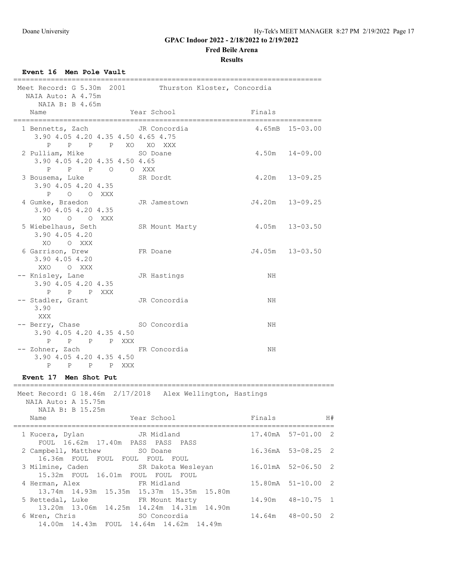**Fred Beile Arena**

### **Results**

**Event 16 Men Pole Vault**

| Meet Record: G 5.30m 2001 Thurston Kloster, Concordia                                               | =========                                 |                     |
|-----------------------------------------------------------------------------------------------------|-------------------------------------------|---------------------|
| NAIA Auto: A 4.75m<br>NAIA B: B 4.65m                                                               |                                           |                     |
| Name<br>======================================                                                      | Year School<br>__________________________ | Finals              |
| 1 Bennetts, Zach JR Concordia<br>3.90 4.05 4.20 4.35 4.50 4.65 4.75                                 |                                           | $4.65mB$ $15-03.00$ |
| P P P P XO XO XXX<br>2 Pulliam, Mike<br>3.90 4.05 4.20 4.35 4.50 4.65                               | SO Doane                                  | $4.50m$ $14-09.00$  |
| P P P O O XXX<br>3 Bousema, Luke SR Dordt<br>3.90 4.05 4.20 4.35                                    |                                           | $4.20m$ $13-09.25$  |
| P O O XXX<br>4 Gumke, Braedon<br>3.90 4.05 4.20 4.35                                                | JR Jamestown                              | $J4.20m$ $13-09.25$ |
| XO O O XXX<br>5 Wiebelhaus, Seth<br>3.90 4.05 4.20<br>XO O XXX                                      | SR Mount Marty                            | $4.05m$ $13-03.50$  |
| 6 Garrison, Drew<br>3.90 4.05 4.20<br>XXO OXXX                                                      | FR Doane                                  | J4.05m 13-03.50     |
| -- Knisley, Lane<br>3.90 4.05 4.20 4.35<br>P P P XXX                                                | JR Hastings                               | NH                  |
| -- Stadler, Grant<br>3.90<br>XXX                                                                    | JR Concordia                              | NH.                 |
| -- Berry, Chase SO Concordia<br>3.90 4.05 4.20 4.35 4.50<br>P<br>P P P XXX                          |                                           | NH.                 |
| -- Zohner, Zach FR Concordia<br>3.90 4.05 4.20 4.35 4.50<br>$\mathbf{P}$<br>$\mathbf{P}$<br>P P XXX |                                           | NH.                 |
|                                                                                                     |                                           |                     |

#### **Event 17 Men Shot Put**

| Meet Record: G 18.46m 2/17/2018 Alex Wellington, Hastings<br>NAIA Auto: A 15.75m |        |                        |
|----------------------------------------------------------------------------------|--------|------------------------|
| NAIA B: B 15.25m                                                                 |        |                        |
| Year School<br>Name                                                              | Finals | H#                     |
| JR Midland<br>1 Kucera, Dylan<br>FOUL 16.62m 17.40m PASS PASS PASS               |        | 17.40mA 57-01.00 2     |
| 2 Campbell, Matthew SO Doane<br>16.36m FOUL FOUL FOUL FOUL FOUL                  |        | 16.36mA 53-08.25 2     |
| 3 Milmine, Caden SR Dakota Wesleyan<br>15.32m FOUL 16.01m FOUL FOUL FOUL         |        | $16.01mA$ $52-06.50$ 2 |
| 4 Herman, Alex FR Midland<br>13.74m 14.93m 15.35m 15.37m 15.35m 15.80m           |        | 15.80mA 51-10.00 2     |
| 5 Rettedal, Luke FR Mount Marty<br>13.20m 13.06m 14.25m 14.24m 14.31m 14.90m     |        | 14.90m 48-10.75 1      |
| 6 Wren, Chris<br>so Concordia<br>14.00m  14.43m  FOUL  14.64m  14.62m  14.49m    |        | 14.64m 48-00.50 2      |

=============================================================================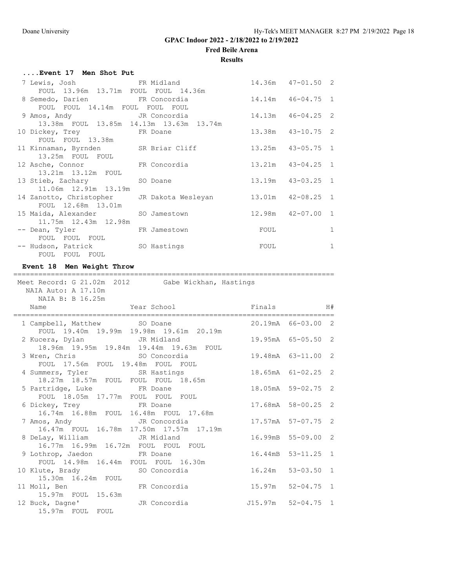$57 - 07.75$  2

## **GPAC Indoor 2022 - 2/18/2022 to 2/19/2022**

**Fred Beile Arena**

**Results**

| Event 17 Men Shot Put                                                                                   |                                                     |        |                       |                |
|---------------------------------------------------------------------------------------------------------|-----------------------------------------------------|--------|-----------------------|----------------|
| 7 Lewis, Josh                                                                                           | FR Midland                                          |        | $14.36m$ $47-01.50$ 2 |                |
| FOUL 13.96m 13.71m FOUL FOUL 14.36m<br>8 Semedo, Darien FR Concordia<br>FOUL FOUL 14.14m FOUL FOUL FOUL |                                                     | 14.14m | $46 - 04.75$ 1        |                |
| 9 Amos, Andy                                                                                            | JR Concordia                                        | 14.13m | $46 - 04.25$          | 2              |
| 10 Dickey, Trey<br>FOUL FOUL 13.38m                                                                     | 13.38m FOUL 13.85m 14.13m 13.63m 13.74m<br>FR Doane |        | 13.38m  43-10.75  2   |                |
| 11 Kinnaman, Byrnden<br>13.25m FOUL FOUL                                                                | SR Briar Cliff                                      |        | 13.25m  43-05.75  1   |                |
| 12 Asche, Connor<br>13.21m 13.12m FOUL                                                                  | FR Concordia                                        |        | $13.21m$ $43-04.25$   | $\overline{1}$ |
| 13 Stieb, Zachary<br>11.06m  12.91m  13.19m                                                             | SO Doane                                            |        | 13.19m  43-03.25      | $\mathbf{1}$   |
| 14 Zanotto, Christopher<br>FOUL 12.68m 13.01m                                                           | JR Dakota Wesleyan                                  |        | 13.01m  42-08.25      | $\overline{1}$ |
| 15 Maida, Alexander<br>11.75m  12.43m  12.98m                                                           | SO Jamestown                                        |        | 12.98m  42-07.00  1   |                |
| -- Dean, Tyler                                                                                          | FR Jamestown                                        | FOUL   |                       | 1              |
| FOUL FOUL FOUL<br>-- Hudson, Patrick SO Hastings<br>FOUL FOUL FOUL                                      |                                                     | FOUL   |                       | $\mathbf{1}$   |
| Event 18 Men Weight Throw                                                                               |                                                     |        |                       |                |
| NAIA Auto: A 17.10m                                                                                     | Meet Record: G 21.02m 2012 Gabe Wickhan, Hastings   |        |                       |                |
| NAIA B: B 16.25m<br>Name                                                                                | Year School                                         | Finals |                       | H#             |
| 1 Campbell, Matthew SO Doane                                                                            | FOUL 19.40m 19.99m 19.98m 19.61m 20.19m             |        | 20.19mA 66-03.00 2    |                |
| 2 Kucera, Dylan JR Midland                                                                              | 18.96m  19.95m  19.84m  19.44m  19.63m  FOUL        |        | 19.95mA 65-05.50 2    |                |
| 3 Wren, Chris SO Concordia<br>FOUL 17.56m FOUL 19.48m FOUL FOUL                                         |                                                     |        | 19.48mA 63-11.00 2    |                |
| 4 Summers, Tyler                                                                                        | SR Hastings<br>18.27m 18.57m FOUL FOUL FOUL 18.65m  |        | 18.65mA 61-02.25 2    |                |
| 5 Partridge, Luke                                                                                       | FR Doane                                            |        | 18.05mA 59-02.75 2    |                |
| FOUL 18.05m 17.77m FOUL FOUL FOUL<br>6 Dickey, Trey<br>16.74m 16.88m FOUL 16.48m FOUL 17.68m            | FR Doane                                            |        | 17.68mA 58-00.25 2    |                |

|                                     |                                         |                    | 17.57mA 57-07.75 2    |  |
|-------------------------------------|-----------------------------------------|--------------------|-----------------------|--|
|                                     | 16.47m FOUL 16.78m 17.50m 17.57m 17.19m |                    |                       |  |
| 8 DeLay, William G. JR Midland      |                                         |                    | 16.99mB 55-09.00 2    |  |
| 16.77m 16.99m 16.72m FOUL FOUL FOUL |                                         |                    |                       |  |
| 9 Lothrop, Jaedon FR Doane          |                                         |                    | 16.44mB 53-11.25 1    |  |
| FOUL 14.98m 16.44m FOUL FOUL 16.30m |                                         |                    |                       |  |
| 10 Klute, Brady 50 Concordia        |                                         |                    | $16.24m$ 53-03.50 1   |  |
| 15.30m 16.24m FOUL                  |                                         |                    |                       |  |
| 11 Moll, Ben                        | FR Concordia                            |                    | $15.97m$ $52-04.75$ 1 |  |
| 15.97m FOUL 15.63m                  |                                         |                    |                       |  |
| 12 Buck, Dagne'                     | JR Concordia                            | J15.97m 52-04.75 1 |                       |  |

15.97m FOUL FOUL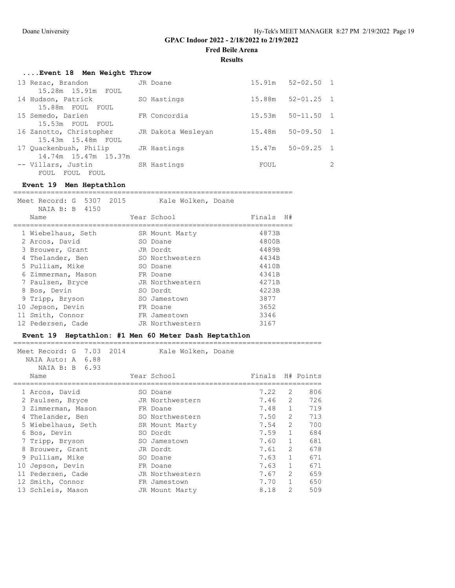**Fred Beile Arena**

**Results**

# **....Event 18 Men Weight Throw**

| 13 Rezac, Brandon       | JR Doane           |        | $15.91m$ $52-02.50$ 1 |  |
|-------------------------|--------------------|--------|-----------------------|--|
| 15.28m 15.91m FOUL      |                    |        |                       |  |
| 14 Hudson, Patrick      | SO Hastings        | 15.88m | $52 - 01.25$ 1        |  |
| 15.88m FOUL FOUL        |                    |        |                       |  |
| 15 Semedo, Darien       | FR Concordia       | 15.53m | $50 - 11.50$          |  |
| 15.53m FOUL FOUL        |                    |        |                       |  |
| 16 Zanotto, Christopher | JR Dakota Wesleyan | 15.48m | $50 - 09.50$ 1        |  |
| 15.43m 15.48m FOUL      |                    |        |                       |  |
| 17 Quackenbush, Philip  | JR Hastings        | 15.47m | $50 - 09.25$ 1        |  |
| 14.74m 15.47m 15.37m    |                    |        |                       |  |
| -- Villars, Justin      | SR Hastings        | FOUL   |                       |  |
| FOUL<br>FOUL<br>FOUL    |                    |        |                       |  |

## **Event 19 Men Heptathlon**

| Meet Record: G 5307 2015<br>NAIA B: B 4150 | Kale Wolken, Doane |              |
|--------------------------------------------|--------------------|--------------|
| Name                                       | Year School        | Finals<br>H# |
| 1 Wiebelhaus, Seth                         | SR Mount Marty     | 4873B        |
| 2 Arcos, David                             | SO Doane           | 4800B        |
| 3 Brouwer, Grant                           | JR Dordt           | 4489B        |
| 4 Thelander, Ben                           | SO Northwestern    | 4434B        |
| 5 Pulliam, Mike                            | SO Doane           | 4410B        |
| 6 Zimmerman, Mason                         | FR Doane           | 4341B        |
| 7 Paulsen, Bryce                           | JR Northwestern    | 4271B        |
| 8 Bos, Devin                               | SO Dordt           | 4223B        |
| 9 Tripp, Bryson                            | SO Jamestown       | 3877         |
| 10 Jepson, Devin                           | FR Doane           | 3652         |
| 11 Smith, Connor                           | FR Jamestown       | 3346         |
| 12 Pedersen, Cade                          | JR Northwestern    | 3167         |

### **Event 19 Heptathlon: #1 Men 60 Meter Dash Heptathlon**

|    | 7.03 2014<br>Meet Record: G<br>NAIA Auto: A 6.88<br>NAIA B: B 6.93 | Kale Wolken, Doane |        |                |           |
|----|--------------------------------------------------------------------|--------------------|--------|----------------|-----------|
|    | Name                                                               | Year School        | Finals |                | H# Points |
|    | 1 Arcos, David                                                     | SO Doane           | 7.22   | 2              | 806       |
|    | 2 Paulsen, Bryce                                                   | JR Northwestern    | 7.46   | $\mathcal{L}$  | 726       |
|    | 3 Zimmerman, Mason                                                 | FR Doane           | 7.48   | $\mathbf{1}$   | 719       |
| 4  | Thelander, Ben                                                     | SO Northwestern    | 7.50   | $\overline{2}$ | 713       |
|    | 5 Wiebelhaus, Seth                                                 | SR Mount Marty     | 7.54   | $\mathcal{L}$  | 700       |
| 6  | Bos, Devin                                                         | SO Dordt           | 7.59   | $\mathbf{1}$   | 684       |
|    | 7 Tripp, Bryson                                                    | SO Jamestown       | 7.60   | $\mathbf{1}$   | 681       |
| 8  | Brouwer, Grant                                                     | JR Dordt           | 7.61   | $\overline{2}$ | 678       |
|    | 9 Pulliam, Mike                                                    | SO Doane           | 7.63   | $\mathbf{1}$   | 671       |
| 10 | Jepson, Devin                                                      | FR Doane           | 7.63   | $\mathbf{1}$   | 671       |
| 11 | Pedersen, Cade                                                     | JR Northwestern    | 7.67   | $\mathcal{L}$  | 659       |
|    | 12 Smith, Connor                                                   | FR Jamestown       | 7.70   | $\mathbf{1}$   | 650       |
|    | 13 Schleis, Mason                                                  | JR Mount Marty     | 8.18   | $\mathcal{L}$  | 509       |
|    |                                                                    |                    |        |                |           |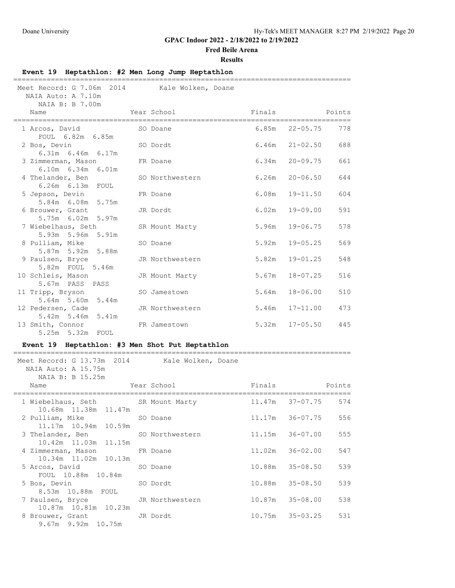FOUL 10.88m 10.84m

10.87m 10.81m 10.23m<br>8 Brouwer, Grant

9.67m 9.92m 10.75m

8.53m 10.88m FOUL

### **GPAC Indoor 2022 - 2/18/2022 to 2/19/2022**

#### **Fred Beile Arena**

#### **Results**

### **Event 19 Heptathlon: #2 Men Long Jump Heptathlon** ================================================================================= Meet Record: G 7.06m 2014 Kale Wolken, Doane NAIA Auto: A 7.10m NAIA B: B 7.00m Name Year School Finals Points ================================================================================= 1 Arcos, David FOUL 6.82m 6.85m 2 Bos, Devin SO Dordt 6.46m 21-02.50 688 6.31m 6.46m 6.17m 3 Zimmerman, Mason FR Doane 6.34m 20-09.75 661 6.10m 6.34m 6.01m 4 Thelander, Ben SO Northwestern 6.26m 20-06.50 644 6.26m 6.13m FOUL 5 Jepson, Devin FR Doane 6.08m 19-11.50 604 5.84m 6.08m 5.75m 6 Brouwer, Grant JR Dordt 6.02m 19-09.00 591 5.75m 6.02m 5.97m 7 Wiebelhaus, Seth SR Mount Marty 5.96m 19-06.75 578 5.93m 5.96m 5.91m<br>8 Pulliam, Mike 80 Doane 5.92m 19-05.25 569 5.87m 5.92m 5.88m 9 Paulsen, Bryce JR Northwestern 5.82m 19-01.25 548 5.82m FOUL 5.46m 10 Schleis, Mason JR Mount Marty 5.67m 18-07.25 516 5.67m PASS PASS 11 Tripp, Bryson SO Jamestown 5.64m 18-06.00 510 5.64m 5.60m 5.44m 12 Pedersen, Cade JR Northwestern 5.46m 17-11.00 473 5.42m 5.46m 5.41m 13 Smith, Connor FR Jamestown 5.32m 17-05.50 445 5.25m 5.32m FOUL **Event 19 Heptathlon: #3 Men Shot Put Heptathlon** ================================================================================= Meet Record: G 13.73m 2014 Kale Wolken, Doane NAIA Auto: A 15.75m NAIA B: B 15.25m Name Tear School Finals Points ================================================================================= 1 Wiebelhaus, Seth SR Mount Marty 11.47m 37-07.75 574 10.68m 11.38m 11.47m 2 Pulliam, Mike SO Doane 11.17m 36-07.75 556 11.17m 10.94m 10.59m 3 Thelander, Ben 30 Northwestern 11.15m 36-07.00 555 10.42m 11.03m 11.15m<br>4 Zimmerman, Mason FR Doane 11.02m 36-02.00 547 10.34m 11.02m 10.13m 5 Arcos, David SO Doane 10.88m 35-08.50 539

5 Bos, Devin SO Dordt 10.88m 35-08.50 539

8 Brouwer, Grant JR Dordt 10.75m 35-03.25 531

7 Paulsen, Bryce JR Northwestern 10.87m 35-08.00 538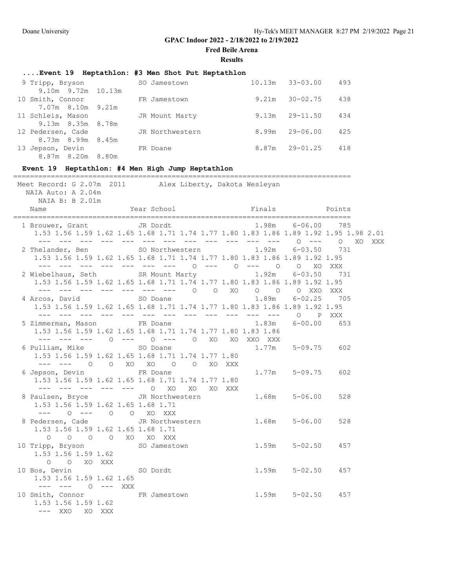**Fred Beile Arena**

|                          | Event 19 Heptathlon: #3 Men Shot Put Heptathlon |        |              |     |
|--------------------------|-------------------------------------------------|--------|--------------|-----|
| 9 Tripp, Bryson          | SO Jamestown                                    | 10.13m | $33 - 03.00$ | 493 |
| $9.10m$ $9.72m$ $10.13m$ |                                                 |        |              |     |
| 10 Smith, Connor         | FR Jamestown                                    | 9.21m  | $30 - 02.75$ | 438 |
| 7.07m 8.10m 9.21m        |                                                 |        |              |     |
| 11 Schleis, Mason        | JR Mount Marty                                  | 9.13m  | $29 - 11.50$ | 434 |
| 9.13m 8.35m 8.78m        |                                                 |        |              |     |
| 12 Pedersen, Cade        | JR Northwestern                                 | 8.99m  | $29 - 06.00$ | 425 |
| 8.73m 8.99m 8.45m        |                                                 |        |              |     |
| 13 Jepson, Devin         | FR Doane                                        | 8.87m  | 29-01.25     | 418 |
| 8.87m 8.20m 8.80m        |                                                 |        |              |     |

# **Event 19 Heptathlon: #4 Men High Jump Heptathlon**

| Meet Record: G 2.07m 2011 Alex Liberty, Dakota Wesleyan<br>NAIA Auto: A 2.04m<br>NAIA B: B 2.01m                                                                                                                                                                                                                                                                                                                                               |  |                   |     |     |
|------------------------------------------------------------------------------------------------------------------------------------------------------------------------------------------------------------------------------------------------------------------------------------------------------------------------------------------------------------------------------------------------------------------------------------------------|--|-------------------|-----|-----|
| Name Year School Finals Points                                                                                                                                                                                                                                                                                                                                                                                                                 |  |                   |     |     |
| 1 Brouwer, Grant Grant JR Dordt<br>1.53 1.56 1.59 1.62 1.65 1.68 1.71 1.74 1.77 1.80 1.83 1.86 1.89 1.92 1.95 1.98 2.01<br>$\frac{1}{2}$ $\frac{1}{2}$ $\frac{1}{2}$ $\frac{1}{2}$ $\frac{1}{2}$ $\frac{1}{2}$ $\frac{1}{2}$ $\frac{1}{2}$ $\frac{1}{2}$ $\frac{1}{2}$ $\frac{1}{2}$ $\frac{1}{2}$ $\frac{1}{2}$ $\frac{1}{2}$ $\frac{1}{2}$ $\frac{1}{2}$ $\frac{1}{2}$ $\frac{1}{2}$ $\frac{1}{2}$ $\frac{1}{2}$ $\frac{1}{2}$ $\frac{1}{2}$ |  | 1.98m 6-06.00 785 |     |     |
| 2 Thelander, Ben SO Northwestern 1.92m 6-03.50 731<br>1.53 1.56 1.59 1.62 1.65 1.68 1.71 1.74 1.77 1.80 1.83 1.86 1.89 1.92 1.95<br>--- --- --- --- --- --- --- 0 --- 0 --- 0 0 XO XXX                                                                                                                                                                                                                                                         |  |                   |     | XXX |
| 2 Wiebelhaus, Seth SR Mount Marty 1.92m 6-03.50 731<br>1.53 1.56 1.59 1.62 1.65 1.68 1.71 1.74 1.77 1.80 1.83 1.86 1.89 1.92 1.95                                                                                                                                                                                                                                                                                                              |  |                   |     |     |
| 1.53 1.56 1.59 1.62 1.65 1.68 1.71 1.74 1.77 1.80 1.83 1.86 1.89 1.92 1.95                                                                                                                                                                                                                                                                                                                                                                     |  |                   |     |     |
| 5 Zimmerman, Mason FR Doane<br>1.53 1.56 1.59 1.62 1.65 1.68 1.71 1.74 1.77 1.80 1.83 1.86<br>--- --- --- 0 --- 0 --- 0 X0 X0 XX0 XXX                                                                                                                                                                                                                                                                                                          |  | 1.83m 6-00.00 653 |     |     |
| 6 Pulliam, Mike $\sim$ SO Doane $\sim$ 1.77m 5-09.75 602<br>1.53 1.56 1.59 1.62 1.65 1.68 1.71 1.74 1.77 1.80<br>--- --- 0 0 XO XO 0 0 XO XXX                                                                                                                                                                                                                                                                                                  |  |                   |     |     |
| 6 Jepson, Devin FR Doane 1.77m 5-09.75 602<br>1.53 1.56 1.59 1.62 1.65 1.68 1.71 1.74 1.77 1.80<br>--- --- --- --- --- 0 X0 X0 X0 XXX                                                                                                                                                                                                                                                                                                          |  |                   |     |     |
| 8 Paulsen, Bryce Band JR Northwestern 1.68m 5-06.00<br>1.53 1.56 1.59 1.62 1.65 1.68 1.71<br>--- 0 --- 0 0 XO XXX                                                                                                                                                                                                                                                                                                                              |  |                   | 528 |     |
| 8 Pedersen, Cade 5-06.00 JR Northwestern 1.68m 5-06.00<br>1.53 1.56 1.59 1.62 1.65 1.68 1.71<br>O O O O XO XO XXX                                                                                                                                                                                                                                                                                                                              |  |                   | 528 |     |
| 10 Tripp, Bryson SO Jamestown 1.59m 5-02.50 457<br>1.53 1.56 1.59 1.62<br>O O XO XXX                                                                                                                                                                                                                                                                                                                                                           |  |                   |     |     |
| 10 Bos, Devin SO Dordt 1.59m 5-02.50<br>1.53 1.56 1.59 1.62 1.65<br>$--- - - - - - - - - 2XX$                                                                                                                                                                                                                                                                                                                                                  |  |                   | 457 |     |
| 10 Smith, Connor FR Jamestown 1.59m 5-02.50<br>1.53 1.56 1.59 1.62<br>--- XXO XO XXX                                                                                                                                                                                                                                                                                                                                                           |  |                   | 457 |     |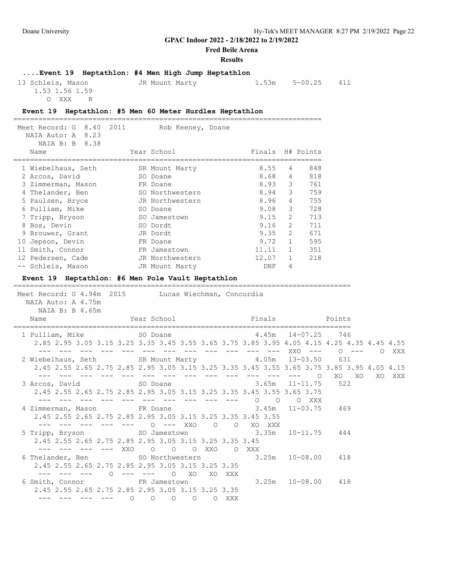O XXX R

**GPAC Indoor 2022 - 2/18/2022 to 2/19/2022**

**Fred Beile Arena**

#### **Results**

## **....Event 19 Heptathlon: #4 Men High Jump Heptathlon** 13 Schleis, Mason JR Mount Marty 1.53m 5-00.25 411 1.53 1.56 1.59

#### **Event 19 Heptathlon: #5 Men 60 Meter Hurdles Heptathlon**

|    | 8.40 2011<br>Meet Record: G<br>NAIA Auto: A 8.23<br>NAIA B: B 8.38 | Rob Keeney, Doane |       |                |                  |
|----|--------------------------------------------------------------------|-------------------|-------|----------------|------------------|
|    | Name                                                               | Year School       |       |                | Finals H# Points |
|    | 1 Wiebelhaus, Seth                                                 | SR Mount Marty    | 8.55  | 4              | 848              |
|    | 2 Arcos, David                                                     | SO Doane          | 8.68  | 4              | 818              |
|    | 3 Zimmerman, Mason                                                 | FR Doane          | 8.93  | 3              | 761              |
| 4  | Thelander, Ben                                                     | SO Northwestern   | 8.94  | 3              | 759              |
|    | 5 Paulsen, Bryce                                                   | JR Northwestern   | 8.96  | 4              | 755              |
| 6  | Pulliam, Mike                                                      | SO Doane          | 9.08  | 3              | 728              |
|    | 7 Tripp, Bryson                                                    | SO Jamestown      | 9.15  | 2              | 713              |
| 8  | Bos, Devin                                                         | SO Dordt          | 9.16  | $\mathfrak{L}$ | 711              |
|    | 9 Brouwer, Grant                                                   | JR Dordt          | 9.35  | $\mathcal{L}$  | 671              |
| 10 | Jepson, Devin                                                      | FR Doane          | 9.72  | $\mathbf{1}$   | 595              |
|    | 11 Smith, Connor                                                   | FR Jamestown      | 11.11 | $\mathbf{1}$   | 351              |
|    | 12 Pedersen, Cade                                                  | JR Northwestern   | 12.07 |                | 218              |
|    | -- Schleis, Mason                                                  | JR Mount Marty    | DNF   | 4              |                  |

#### **Event 19 Heptathlon: #6 Men Pole Vault Heptathlon**

================================================================================= Meet Record: G 4.94m 2015 Lucas Wiechman, Concordia NAIA Auto: A 4.75m NAIA B: B 4.65m Finals Points ================================================================================= 1 Pulliam, Mike SO Doane 4.45m 14-07.25 746 2.85 2.95 3.05 3.15 3.25 3.35 3.45 3.55 3.65 3.75 3.85 3.95 4.05 4.15 4.25 4.35 4.45 4.55 --- --- --- --- --- --- --- --- --- --- --- --- XXO --- O --- O XXX 2 Wiebelhaus, Seth SR Mount Marty 4.05m 13-03.50 631 2.45 2.55 2.65 2.75 2.85 2.95 3.05 3.15 3.25 3.35 3.45 3.55 3.65 3.75 3.85 3.95 4.05 4.15 --- --- --- --- --- --- --- --- --- --- --- --- --- O XO XO XO XXX 3 Arcos, David SO Doane 3.65m 11-11.75 522 2.45 2.55 2.65 2.75 2.85 2.95 3.05 3.15 3.25 3.35 3.45 3.55 3.65 3.75 --- --- --- --- --- --- --- --- --- --- O O O XXX 4 Zimmerman, Mason FR Doane 3.45m 11-03.75 469 2.45 2.55 2.65 2.75 2.85 2.95 3.05 3.15 3.25 3.35 3.45 3.55 --- --- --- --- --- 0 --- XXO 0 0 XO XXX 5 Tripp, Bryson SO Jamestown 3.35m 10-11.75 444 2.45 2.55 2.65 2.75 2.85 2.95 3.05 3.15 3.25 3.35 3.45 --- --- --- --- XXO O O O XXO O XXX 6 Thelander, Ben SO Northwestern 2.45 2.55 2.65 2.75 2.85 2.95 3.05 3.15 3.25 3.35 --- --- --- O --- --- O XO XO XXX 6 Smith, Connor FR Jamestown 3.25m 10-08.00 418 2.45 2.55 2.65 2.75 2.85 2.95 3.05 3.15 3.25 3.35 --- --- --- --- 0 0 0 0 0 0 XXX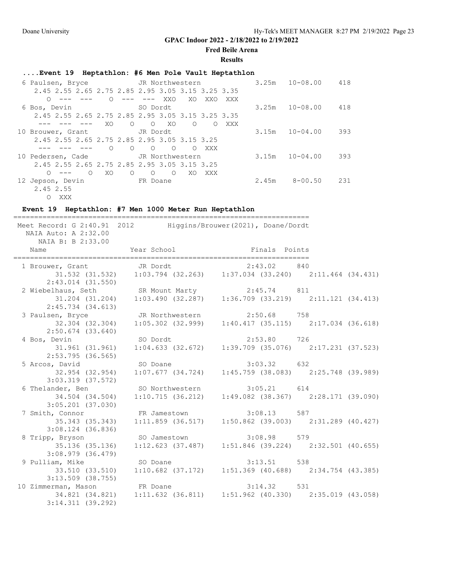### **Fred Beile Arena**

#### **Results**

# **....Event 19 Heptathlon: #6 Men Pole Vault Heptathlon**

| 6 Paulsen, Bryce                                  |            | JR Northwestern |                     |          |     |       | 3.25m | $10 - 08.00$ | 418 |
|---------------------------------------------------|------------|-----------------|---------------------|----------|-----|-------|-------|--------------|-----|
| 2.45 2.55 2.65 2.75 2.85 2.95 3.05 3.15 3.25 3.35 |            |                 |                     |          |     |       |       |              |     |
| $\bigcirc$                                        | $\bigcirc$ | $---$           | XXO                 | XO.      | XXO | XXX   |       |              |     |
| 6 Bos, Devin                                      |            |                 | SO Dordt            |          |     |       | 3.25m | $10 - 08.00$ | 418 |
| 2.45 2.55 2.65 2.75 2.85 2.95 3.05 3.15 3.25 3.35 |            |                 |                     |          |     |       |       |              |     |
| ____                                              | XO.        | $\circ$         | $\circ$<br>XO.      | $\Omega$ |     | O XXX |       |              |     |
| 10 Brouwer, Grant                                 |            | JR Dordt        |                     |          |     |       | 3.15m | $10 - 04.00$ | 393 |
| 2.45 2.55 2.65 2.75 2.85 2.95 3.05 3.15 3.25      |            |                 |                     |          |     |       |       |              |     |
|                                                   | $\bigcirc$ | $\circ$         | $\circ$<br>$\circ$  | $\Omega$ | XXX |       |       |              |     |
| 10 Pedersen, Cade GR Northwestern                 |            |                 |                     |          |     |       | 3.15m | $10 - 04.00$ | 393 |
| 2.45 2.55 2.65 2.75 2.85 2.95 3.05 3.15 3.25      |            |                 |                     |          |     |       |       |              |     |
| $\bigcirc$<br>$0 - - -$                           | XO         | $\circ$         | $\circ$<br>$\Omega$ | XO       | XXX |       |       |              |     |
| 12 Jepson, Devin                                  |            | FR Doane        |                     |          |     |       | 2.45m | $8 - 00.50$  | 231 |
| 2.45 2.55                                         |            |                 |                     |          |     |       |       |              |     |
| XXX<br>$\Omega$                                   |            |                 |                     |          |     |       |       |              |     |

# **Event 19 Heptathlon: #7 Men 1000 Meter Run Heptathlon**

| Meet Record: G 2:40.91 2012 Higgins/Brouwer (2021), Doane/Dordt<br>NAIA Auto: A 2:32.00<br>NAIA B: B 2:33.00      | ==================                                                                                                          | ---------------------- |  |
|-------------------------------------------------------------------------------------------------------------------|-----------------------------------------------------------------------------------------------------------------------------|------------------------|--|
| Name                                                                                                              | Year School <a> Finals Points</a> Finals Points                                                                             |                        |  |
| 1 Brouwer, Grant Grand JR Dordt                                                                                   | rouwer, Grant JR Dordt 2:43.02 840<br>31.532 (31.532) 1:03.794 (32.263) 1:37.034 (33.240) 2:11.464 (34.431)                 |                        |  |
| $2:43.014$ (31.550)                                                                                               |                                                                                                                             |                        |  |
|                                                                                                                   | 2 Wiebelhaus, Seth SR Mount Marty 2:45.74 811<br>31.204 (31.204) 1:03.490 (32.287) 1:36.709 (33.219) 2:11.121 (34.413)      |                        |  |
| 2:45.734(34.613)                                                                                                  |                                                                                                                             |                        |  |
|                                                                                                                   | 3 Paulsen, Bryce<br>32.304 (32.304) 1:05.302 (32.999) 1:40.417 (35.115) 2:17.034 (36.618)                                   |                        |  |
| $2:50.674$ (33.640)                                                                                               |                                                                                                                             |                        |  |
|                                                                                                                   | 4 Bos, Devin<br>31.961 (31.961) 1:04.633 (32.672) 1:39.709 (35.076) 2:17.231 (37.523)                                       |                        |  |
| 2:53.795 (36.565)                                                                                                 |                                                                                                                             |                        |  |
|                                                                                                                   | 5 Arcos, David 5 Arcos, David 50 Doane 3:03.32 632<br>32.954 (32.954) 1:07.677 (34.724) 1:45.759 (38.083) 2:25.748 (39.989) |                        |  |
| $3:03.319$ (37.572)                                                                                               |                                                                                                                             |                        |  |
|                                                                                                                   | 6 Thelander, Ben SO Northwestern 3:05.21 614                                                                                |                        |  |
| $3:05.201$ (37.030)                                                                                               | 34.504 (34.504) 1:10.715 (36.212) 1:49.082 (38.367) 2:28.171 (39.090)                                                       |                        |  |
|                                                                                                                   | 7 Smith, Connor FR Jamestown 3:08.13 587<br>35.343 (35.343) 1:11.859 (36.517) 1:50.862 (39.003) 2:31.289 (40.427)           |                        |  |
| 3:08.124 (36.836)                                                                                                 |                                                                                                                             |                        |  |
|                                                                                                                   | 8 Tripp, Bryson SO Jamestown 3:08.98 579                                                                                    |                        |  |
| 3:08.979 (36.479)                                                                                                 | 35.136 (35.136) 1:12.623 (37.487) 1:51.846 (39.224) 2:32.501 (40.655)                                                       |                        |  |
| 9 Pulliam, Mike SO Doane                                                                                          |                                                                                                                             | $3:13.51$ 538          |  |
| $3:13.509$ (38.755)                                                                                               | 33.510 (33.510) 1:10.682 (37.172) 1:51.369 (40.688) 2:34.754 (43.385)                                                       |                        |  |
| 10 Zimmerman, Mason FR Doane 3:14.32 531<br>34.821 (34.821) 1:11.632 (36.811) 1:51.962 (40.330) 2:35.019 (43.058) |                                                                                                                             |                        |  |
| $3:14.311$ (39.292)                                                                                               |                                                                                                                             |                        |  |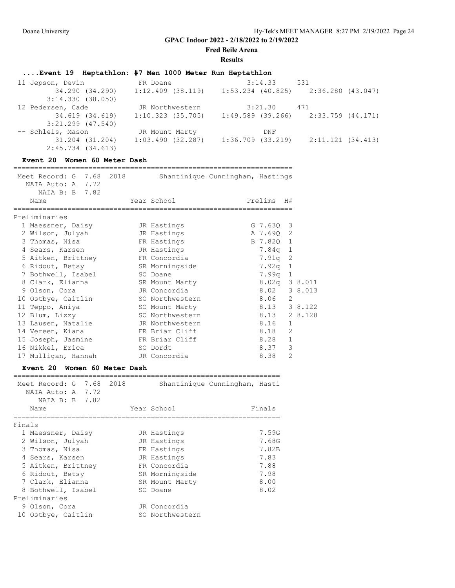**Fred Beile Arena**

#### **Results**

# **....Event 19 Heptathlon: #7 Men 1000 Meter Run Heptathlon**

| 11 Jepson, Devin      | FR Doane            | 3:14.33               | 531                                     |
|-----------------------|---------------------|-----------------------|-----------------------------------------|
| 34.290 (34.290)       | $1:12.409$ (38.119) |                       | $1:53.234$ (40.825) $2:36.280$ (43.047) |
| 3:14.330(38.050)      |                     |                       |                                         |
| 12 Pedersen, Cade     | JR Northwestern     | 3:21.30               | 471                                     |
| 34.619 (34.619)       | $1:10.323$ (35.705) |                       | $1:49.589$ (39.266) 2:33.759 (44.171)   |
| $3:21.299$ $(47.540)$ |                     |                       |                                         |
| -- Schleis, Mason     | JR Mount Marty      | DNF                   |                                         |
| 31.204 (31.204)       | 1:03.490(32.287)    | $1:36.709$ $(33.219)$ | 2:11.121 (34.413)                       |
| 2:45.734 (34.613)     |                     |                       |                                         |

### **Event 20 Women 60 Meter Dash**

| Meet Record: G 7.68 2018<br>NAIA Auto: A 7.72 |          |                 | Shantinique Cunningham, Hastings |                 |                |         |
|-----------------------------------------------|----------|-----------------|----------------------------------|-----------------|----------------|---------|
| NAIA B: B 7.82<br>Name                        |          | Year School     |                                  | Prelims         | H#             |         |
| Preliminaries                                 |          |                 |                                  |                 |                |         |
| 1 Maessner, Daisy                             |          | JR Hastings     |                                  | $G$ 7.630 3     |                |         |
| 2 Wilson, Julyah                              |          | JR Hastings     |                                  | A 7.690         | 2              |         |
| 3 Thomas, Nisa                                |          | FR Hastings     |                                  | B 7.820         | 1              |         |
| 4 Sears, Karsen                               |          | JR Hastings     |                                  | 7.84q           | $\mathbf{1}$   |         |
| 5 Aitken, Brittney FR Concordia               |          |                 |                                  | 7.91q           | 2              |         |
| 6 Ridout, Betsy                               |          | SR Morningside  |                                  | 7.92a           | $\mathbf{1}$   |         |
| 7 Bothwell, Isabel                            |          | SO Doane        |                                  | 7.99a           | 1              |         |
| 8 Clark, Elianna                              |          | SR Mount Marty  |                                  | $8.02q$ 3 8.011 |                |         |
| 9 Olson, Cora                                 |          | JR Concordia    |                                  | 8.02            |                | 3 8.013 |
| 10 Ostbye, Caitlin                            |          | SO Northwestern |                                  | 8.06            | $\overline{2}$ |         |
| 11 Teppo, Aniya                               |          | SO Mount Marty  |                                  | 8.13 3 8.122    |                |         |
| 12 Blum, Lizzy                                |          | SO Northwestern |                                  | 8.13            |                | 2 8.128 |
| 13 Lausen, Natalie                            |          | JR Northwestern |                                  | 8.16            | $\mathbf{1}$   |         |
| 14 Vereen, Kiana                              |          | FR Briar Cliff  |                                  | 8.18            | 2              |         |
| 15 Joseph, Jasmine FR Briar Cliff             |          |                 |                                  | 8.28            | $\mathbf{1}$   |         |
| 16 Nikkel, Erica                              | SO Dordt |                 |                                  | 8.37            | 3              |         |
| 17 Mulligan, Hannah                           |          | JR Concordia    |                                  | 8.38            | $\overline{2}$ |         |
| Women 60 Meter Dash<br>Event 20               |          |                 |                                  |                 |                |         |
| Meet Record: G 7.68                           | 2018     |                 | Shantinique Cunningham, Hasti    |                 |                |         |

| NAIA Auto: A 7.72<br>NAIA B: B 7.82<br>Name |  | Year School     | Finals |
|---------------------------------------------|--|-----------------|--------|
| Finals                                      |  |                 |        |
| 1 Maessner, Daisy                           |  | JR Hastings     | 7.59G  |
| 2 Wilson, Julyah                            |  | JR Hastings     | 7.68G  |
| 3 Thomas, Nisa                              |  | FR Hastings     | 7.82B  |
| 4 Sears, Karsen                             |  | JR Hastings     | 7.83   |
| 5 Aitken, Brittney                          |  | FR Concordia    | 7.88   |
| 6 Ridout, Betsy                             |  | SR Morningside  | 7.98   |
| 7 Clark, Elianna                            |  | SR Mount Marty  | 8.00   |
| 8 Bothwell, Isabel                          |  | SO Doane        | 8.02   |
| Preliminaries                               |  |                 |        |
| 9 Olson, Cora                               |  | JR Concordia    |        |
| 10 Ostbye, Caitlin                          |  | SO Northwestern |        |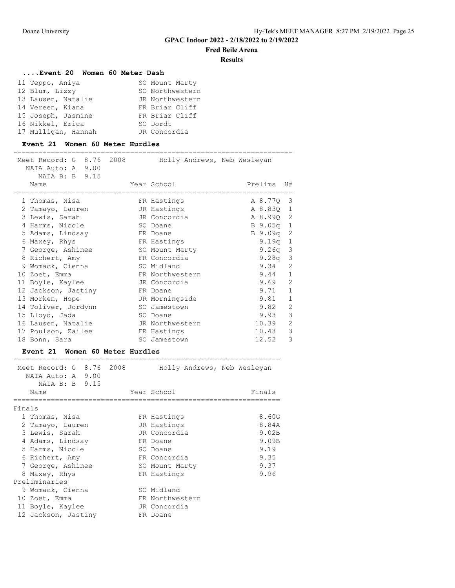## **Fred Beile Arena**

================================================================

#### **Results**

#### **....Event 20 Women 60 Meter Dash**

| 11 Teppo, Aniya     | SO Mount Marty  |
|---------------------|-----------------|
| 12 Blum, Lizzy      | SO Northwestern |
| 13 Lausen, Natalie  | JR Northwestern |
| 14 Vereen, Kiana    | FR Briar Cliff  |
| 15 Joseph, Jasmine  | FR Briar Cliff  |
| 16 Nikkel, Erica    | SO Dordt        |
| 17 Mulligan, Hannah | JR Concordia    |

## **Event 21 Women 60 Meter Hurdles** =================================================================== Meet Record: G 8.76 2008 Holly Andrews, Neb Wesleyan NAIA Auto: A 9.00 NAIA B: B 9.15 Name Year School Prelims H# =================================================================== 1 Thomas, Nisa **FR** Hastings A 8.77Q 3 2 Tamayo, Lauren JR Hastings A 8.83Q 1 3 Lewis, Sarah JR Concordia A 8.99Q 2 4 Harms, Nicole SO Doane B 9.05q 1 5 Adams, Lindsay **FR** Doane B 9.09q 2 6 Maxey, Rhys FR Hastings 9.19q 1 7 George, Ashinee SO Mount Marty 9.26q 3 8 Richert, Amy FR Concordia 9.28q 3 9 Womack, Cienna SO Midland 9.34 2 10 Zoet, Emma FR Northwestern 9.44 1 11 Boyle, Kaylee JR Concordia 9.69 2 12 Jackson, Jastiny FR Doane 9.71 1 13 Morken, Hope JR Morningside 9.81 1 14 Toliver, Jordynn SO Jamestown 9.82 2 15 Lloyd, Jada SO Doane 9.93 3 16 Lausen, Natalie Mark JR Northwestern 10.39 2 17 Poulson, Zailee FR Hastings 10.43 3 18 Bonn, Sara SO Jamestown 12.52 3

## **Event 21 Women 60 Meter Hurdles**

| Meet Record: G 8.76 2008<br>NAIA Auto: A 9.00<br>NAIA B: B 9.15 |  | Holly Andrews, Neb Wesleyan |        |
|-----------------------------------------------------------------|--|-----------------------------|--------|
| Name                                                            |  | Year School                 | Finals |
| Finals                                                          |  |                             |        |
| 1 Thomas, Nisa                                                  |  | FR Hastings                 | 8.60G  |
| 2 Tamayo, Lauren                                                |  | JR Hastings                 | 8.84A  |
| 3 Lewis, Sarah                                                  |  | JR Concordia                | 9.02B  |
| 4 Adams, Lindsay                                                |  | FR Doane                    | 9.09B  |
| 5 Harms, Nicole                                                 |  | SO Doane                    | 9.19   |
| 6 Richert, Amy                                                  |  | FR Concordia                | 9.35   |
| 7 George, Ashinee                                               |  | SO Mount Marty              | 9.37   |
| 8 Maxey, Rhys                                                   |  | FR Hastings                 | 9.96   |
| Preliminaries                                                   |  |                             |        |
| 9 Womack, Cienna                                                |  | SO Midland                  |        |
| 10 Zoet, Emma                                                   |  | FR Northwestern             |        |
| 11 Boyle, Kaylee                                                |  | JR Concordia                |        |
| 12 Jackson, Jastiny                                             |  | FR Doane                    |        |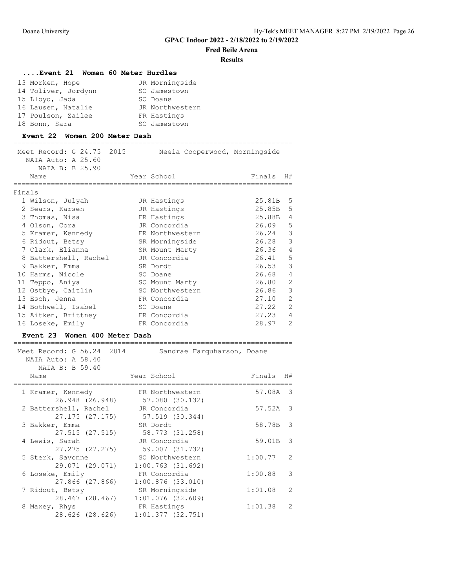# **Fred Beile Arena**

#### **Results**

### **....Event 21 Women 60 Meter Hurdles**

| 13 Morken, Hope     | JR Morningside  |
|---------------------|-----------------|
| 14 Toliver, Jordynn | SO Jamestown    |
| 15 Lloyd, Jada      | SO Doane        |
| 16 Lausen, Natalie  | JR Northwestern |
| 17 Poulson, Zailee  | FR Hastings     |
| 18 Bonn, Sara       | SO Jamestown    |

#### **Event 22 Women 200 Meter Dash**

| Meet Record: G 24.75<br>2015<br>NAIA Auto: A 25.60<br>NAIA B: B 25.90 | Neeia Cooperwood, Morningside      |         |                |
|-----------------------------------------------------------------------|------------------------------------|---------|----------------|
| Name<br>---------                                                     | Year School                        | Finals  | H#             |
| Finals                                                                |                                    |         |                |
| 1 Wilson, Julyah                                                      | JR Hastings                        | 25.81B  | 5              |
| 2 Sears, Karsen                                                       | JR Hastings                        | 25.85B  | 5              |
| 3 Thomas, Nisa                                                        | FR Hastings                        | 25.88B  | $\overline{4}$ |
| 4 Olson, Cora                                                         | JR Concordia                       | 26.09   | 5              |
| 5 Kramer, Kennedy                                                     | FR Northwestern                    | 26.24   | 3              |
| 6 Ridout, Betsy                                                       | SR Morningside                     | 26.28   | 3              |
| 7 Clark, Elianna                                                      | SR Mount Marty                     | 26.36   | 4              |
| 8 Battershell, Rachel                                                 | JR Concordia                       | 26.41   | 5              |
| 9 Bakker, Emma                                                        | SR Dordt                           | 26.53   | 3              |
| 10 Harms, Nicole                                                      | SO Doane                           | 26.68   | $\overline{4}$ |
| 11 Teppo, Aniya                                                       | SO Mount Marty                     | 26.80   | $\overline{2}$ |
| 12 Ostbye, Caitlin                                                    | SO Northwestern                    | 26.86   | 3              |
| 13 Esch, Jenna                                                        | FR Concordia                       | 27.10   | $\overline{c}$ |
| 14 Bothwell, Isabel                                                   | SO Doane                           | 27.22   | $\overline{2}$ |
| 15 Aitken, Brittney                                                   | FR Concordia                       | 27.23   | $\overline{4}$ |
| 16 Loseke, Emily                                                      | FR Concordia                       | 28.97   | $\mathcal{L}$  |
| <b>Event 23</b><br>Women 400 Meter Dash                               |                                    |         |                |
| Meet Record: G 56.24<br>2014<br>NAIA Auto: A 58.40<br>NAIA B: B 59.40 | Sandrae Farquharson, Doane         |         |                |
| Name                                                                  | Year School                        | Finals  | H#             |
| 1 Kramer, Kennedy<br>26.948 (26.948)                                  | FR Northwestern<br>57.080 (30.132) | 57.08A  | 3              |
| 2 Battershell, Rachel                                                 | JR Concordia                       | 57.52A  | 3              |
| 27.175 (27.175)                                                       | 57.519 (30.344)                    |         |                |
| 3 Bakker, Emma                                                        | SR Dordt                           | 58.78B  | 3              |
| 27.515 (27.515)                                                       | 58.773 (31.258)                    |         |                |
| 4 Lewis, Sarah                                                        | JR Concordia                       | 59.01B  | 3              |
| 27.275 (27.275)                                                       | 59.007 (31.732)                    |         |                |
| 5 Sterk, Savonne                                                      | SO Northwestern                    | 1:00.77 | 2              |

6 Loseke, Emily FR Concordia 1:00.88 3

7 Ridout, Betsy SR Morningside 1:01.08 2

8 Maxey, Rhys FR Hastings 1:01.38 2

29.071 (29.071) 1:00.763 (31.692)

27.866 (27.866) 1:00.876 (33.010)

28.467 (28.467) 1:01.076 (32.609)

28.626 (28.626) 1:01.377 (32.751)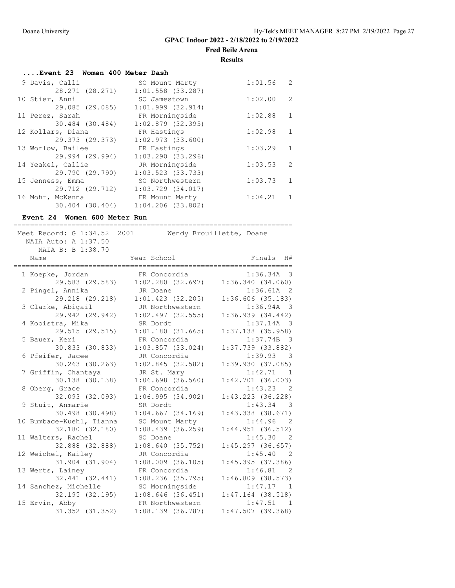**Fred Beile Arena**

**Results**

| Event 23 Women 400 Meter Dash |                       |         |                |
|-------------------------------|-----------------------|---------|----------------|
| 9 Davis, Calli                | SO Mount Marty        | 1:01.56 | $\overline{2}$ |
| 28.271 (28.271)               | $1:01.558$ (33.287)   |         |                |
| 10 Stier, Anni                | SO Jamestown          | 1:02.00 | 2              |
| 29.085 (29.085)               | $1:01.999$ $(32.914)$ |         |                |
| 11 Perez, Sarah               | FR Morningside        | 1:02.88 | 1              |
| 30.484 (30.484)               | $1:02.879$ (32.395)   |         |                |
| 12 Kollars, Diana             | FR Hastings           | 1:02.98 | 1              |
| 29.373 (29.373)               | $1:02.973$ $(33.600)$ |         |                |
| 13 Worlow, Bailee             | FR Hastings           | 1:03.29 | 1              |
| 29.994 (29.994)               | $1:03.290$ (33.296)   |         |                |
| 14 Yeakel, Callie             | JR Morningside        | 1:03.53 | -2             |
| 29.790 (29.790)               | $1:03.523$ (33.733)   |         |                |
| 15 Jenness, Emma              | SO Northwestern       | 1:03.73 | 1              |
| 29.712 (29.712)               | $1:03.729$ $(34.017)$ |         |                |
| 16 Mohr, McKenna              | FR Mount Marty        | 1:04.21 | $\overline{1}$ |
| 30.404 (30.404)               | $1:04.206$ $(33.802)$ |         |                |

#### **Event 24 Women 600 Meter Run**

| Meet Record: G 1:34.52 2001 |                       | Wendy Brouillette, Doane            |  |  |  |  |
|-----------------------------|-----------------------|-------------------------------------|--|--|--|--|
| NAIA Auto: A 1:37.50        |                       |                                     |  |  |  |  |
| NAIA B: B 1:38.70           |                       |                                     |  |  |  |  |
| Name                        | Year School           | Finals H#                           |  |  |  |  |
|                             |                       |                                     |  |  |  |  |
| 1 Koepke, Jordan            | FR Concordia          | 1:36.34A<br>-3                      |  |  |  |  |
| 29.583 (29.583)             | 1:02.280(32.697)      | 1:36.340(34.060)                    |  |  |  |  |
| 2 Pingel, Annika            | JR Doane              | $1:36.61A$ 2                        |  |  |  |  |
| 29.218 (29.218)             | $1:01.423$ (32.205)   | 1:36.606(35.183)                    |  |  |  |  |
| 3 Clarke, Abigail           | JR Northwestern       | 1:36.94A 3                          |  |  |  |  |
| 29.942 (29.942)             | $1:02.497$ (32.555)   | 1:36.939(34.442)                    |  |  |  |  |
| 4 Kooistra, Mika            | SR Dordt              | $1:37.14A$ 3                        |  |  |  |  |
| 29.515 (29.515)             | 1:01.180(31.665)      | $1:37.138$ (35.958)                 |  |  |  |  |
| 5 Bauer, Keri               | FR Concordia          | $1:37.74B$ 3                        |  |  |  |  |
| 30.833 (30.833)             | $1:03.857$ (33.024)   | 1:37.739 (33.882)                   |  |  |  |  |
| 6 Pfeifer, Jacee            | JR Concordia          | 1:39.93<br>$\overline{\phantom{a}}$ |  |  |  |  |
| 30.263 (30.263)             | 1:02.845(32.582)      | 1:39.930(37.085)                    |  |  |  |  |
| 7 Griffin, Chantaya         | JR St. Mary           | 1:42.71<br>$\overline{1}$           |  |  |  |  |
| 30.138 (30.138)             | $1:06.698$ (36.560)   | $1:42.701$ (36.003)                 |  |  |  |  |
| 8 Oberg, Grace              | FR Concordia          | 1:43.23<br>$\overline{2}$           |  |  |  |  |
| 32.093 (32.093)             | 1:06.995(34.902)      | $1:43.223$ (36.228)                 |  |  |  |  |
| 9 Stuit, Anmarie            | SR Dordt              | 1:43.34<br>-3                       |  |  |  |  |
| 30.498 (30.498)             | $1:04.667$ $(34.169)$ | $1:43.338$ $(38.671)$               |  |  |  |  |
| 10 Bumbace-Kuehl, Tianna    | SO Mount Marty        | 1:44.96<br>-2                       |  |  |  |  |
| 32.180 (32.180)             | $1:08.439$ (36.259)   | $1:44.951$ (36.512)                 |  |  |  |  |
| 11 Walters, Rachel          | SO Doane              | 1:45.30 2                           |  |  |  |  |
| 32.888 (32.888)             | 1:08.640(35.752)      | $1:45.297$ (36.657)                 |  |  |  |  |
| 12 Weichel, Kailey          | JR Concordia          | 1:45.40<br>$\overline{2}$           |  |  |  |  |
| 31.904 (31.904)             | $1:08.009$ $(36.105)$ | 1:45.395 (37.386)                   |  |  |  |  |
| 13 Werts, Lainey            | FR Concordia          | 1:46.81<br>-2                       |  |  |  |  |
| 32.441 (32.441)             | $1:08.236$ (35.795)   | $1:46.809$ (38.573)                 |  |  |  |  |
| 14 Sanchez, Michelle        | SO Morningside        | 1:47.17 1                           |  |  |  |  |
| 32.195 (32.195)             | $1:08.646$ (36.451)   | $1:47.164$ (38.518)                 |  |  |  |  |
| 15 Ervin, Abby              | FR Northwestern       | 1:47.51<br>$\overline{1}$           |  |  |  |  |
| 31.352 (31.352)             | 1:08.139(36.787)      | $1:47.507$ (39.368)                 |  |  |  |  |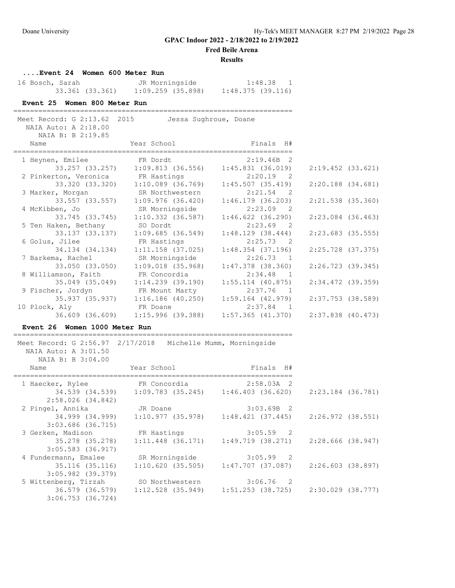**Fred Beile Arena**

#### **Results**

**....Event 24 Women 600 Meter Run**

| 16 Bosch, Sarah |                 | JR Morningside    |                  | 1:48.38 |  |
|-----------------|-----------------|-------------------|------------------|---------|--|
|                 | 33.361 (33.361) | 1:09.259 (35.898) | 1:48.375(39.116) |         |  |

### **Event 25 Women 800 Meter Run**

===================================================================

| Meet Record: G 2:13.62 2015<br>NAIA Auto: A 2:18.00<br>NAIA B: B 2:19.85 |                                                         | Jessa Sughroue, Doane |                       |  |
|--------------------------------------------------------------------------|---------------------------------------------------------|-----------------------|-----------------------|--|
| Name                                                                     |                                                         |                       |                       |  |
| 1 Heynen, Emilee                                                         | FR Dordt 2:19.46B 2                                     |                       |                       |  |
|                                                                          | 33.257 (33.257) 1:09.813 (36.556) 1:45.831 (36.019)     |                       | $2:19.452$ (33.621)   |  |
|                                                                          | 2 Pinkerton, Veronica FR Hastings 2:20.19 2             |                       |                       |  |
|                                                                          |                                                         | 1:45.507 (35.419)     | $2:20.188$ $(34.681)$ |  |
|                                                                          | 3 Marker, Morgan SR Northwestern                        | $2:21.54$ 2           |                       |  |
|                                                                          | 33.557 (33.557) 1:09.976 (36.420)                       | $1:46.179$ (36.203)   | 2:21.538 (35.360)     |  |
| 4 McKibben, Jo                                                           | SR Morningside                                          | $2:23.09$ 2           |                       |  |
| 33.745 (33.745)                                                          | 1:10.332 (36.587)                                       | $1:46.622$ (36.290)   | $2:23.084$ (36.463)   |  |
| 5 Ten Haken, Bethany SO Dordt                                            |                                                         | $2:23.69$ 2           |                       |  |
|                                                                          |                                                         | $1:48.129$ (38.444)   | $2:23.683$ (35.555)   |  |
| 6 Golus, Jilee FR Hastings                                               |                                                         | $2:25.73$ 2           |                       |  |
| 34.134 (34.134)                                                          | $1:11.158$ (37.025)                                     | $1:48.354$ (37.196)   | 2:25.728 (37.375)     |  |
| 7 Barkema, Rachel                                                        | SR Morningside                                          | $2:26.73$ 1           |                       |  |
| 33.050 (33.050)                                                          | $1:09.018$ (35.968)                                     | $1:47.378$ (38.360)   | $2:26.723$ (39.345)   |  |
| 8 Williamson, Faith FR Concordia                                         |                                                         | 2:34.48 1             |                       |  |
|                                                                          | 35.049 (35.049) 1:14.239 (39.190)                       | $1:55.114$ (40.875)   | 2:34.472 (39.359)     |  |
|                                                                          | 9 Fischer, Jordyn FR Mount Marty                        | 2:37.76 1             |                       |  |
|                                                                          | 35.937 (35.937) 1:16.186 (40.250) 1:59.164 (42.979)     |                       | 2:37.753 (38.589)     |  |
| 10 Plock, Aly                                                            | <b>ER Doane</b>                                         | $2:37.84$ 1           |                       |  |
|                                                                          | 36.609 (36.609)   1:15.996 (39.388)   1:57.365 (41.370) |                       | $2:37.838$ (40.473)   |  |

#### **Event 26 Women 1000 Meter Run**

===================================================================

 Meet Record: G 2:56.97 2/17/2018 Michelle Mumm, Morningside NAIA Auto: A 3:01.50 NAIA B: B 3:04.00 Name The Second Mear School Finals H#

| 1 Haecker, Rylee                         | FR Concordia        | $2:58.03A$ 2                                                |                   |
|------------------------------------------|---------------------|-------------------------------------------------------------|-------------------|
| 34.539 (34.539)<br>2:58.026(34.842)      |                     | $1:09.783$ (35.245) $1:46.403$ (36.620)                     | 2:23.184 (36.781) |
| 2 Pingel, Annika                         | JR Doane            | $3:03.69B$ 2                                                |                   |
| 34.999 (34.999)<br>$3:03.686$ (36.715)   |                     | $1:10.977$ (35.978) $1:48.421$ (37.445)                     | 2:26.972 (38.551) |
| 3 Gerken, Madison                        | FR Hastings         | $3:05.59$ 2                                                 |                   |
| 35.278 (35.278)<br>$3:05.583$ (36.917)   | $1:11.448$ (36.171) | 1:49.719 (38.271)                                           | 2:28.666 (38.947) |
| 4 Fundermann, Emalee                     | SR Morningside      | $3:05.99$ 2                                                 |                   |
| 35.116 (35.116)<br>$3:05.982$ (39.379)   | 1:10.620(35.505)    | 1:47.707 (37.087)                                           | 2:26.603 (38.897) |
| 5 Wittenberg, Tirzah                     | SO Northwestern     | $3:06.76$ 2                                                 |                   |
| 36.579 (36.579)<br>$3:06.753$ $(36.724)$ |                     | $1:12.528$ (35.949) $1:51.253$ (38.725) $2:30.029$ (38.777) |                   |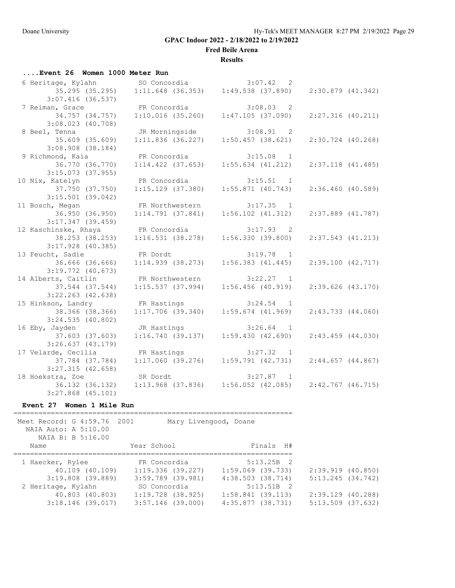**Fred Beile Arena**

### **Results**

| Event 26 Women 1000 Meter Run |  |
|-------------------------------|--|
|-------------------------------|--|

| 6 Heritage, Kylahn                         |                        | SO Concordia 3:07.42 2                                        |                       |
|--------------------------------------------|------------------------|---------------------------------------------------------------|-----------------------|
| 35.295 (35.295)                            |                        | $1:11.648$ (36.353) $1:49.538$ (37.890)                       | 2:30.879 (41.342)     |
| $3:07.416$ (36.537)                        |                        |                                                               |                       |
| 7 Reiman, Grace                            | FR Concordia           | $3:08.03$ 2                                                   |                       |
| 34.757 (34.757)                            | 1:10.016(35.260)       | 1:47.105(37.090)                                              | 2:27.316(40.211)      |
| $3:08.023$ (40.708)                        |                        |                                                               |                       |
| 8 Beel, Tenna                              | JR Morningside         | $3:08.91$ 2                                                   |                       |
| 35.609 (35.609)                            | $1:11.836$ (36.227)    | $1:50.457$ (38.621)                                           | $2:30.724$ (40.268)   |
| $3:08.908$ $(38.184)$                      |                        |                                                               |                       |
| 9 Richmond, Kaia                           | FR Concordia 3:15.08 1 |                                                               |                       |
| 36.770 (36.770)                            | $1:14.422$ (37.653)    | $1:55.634$ $(41.212)$                                         | $2:37.118$ $(41.485)$ |
| $3:15.073$ (37.955)                        |                        |                                                               |                       |
| 10 Nix, Katelyn                            | FR Concordia 3:15.51 1 |                                                               |                       |
| 37.750 (37.750)                            |                        | $1:15.129$ (37.380) $1:55.871$ (40.743)                       | 2:36.460(40.589)      |
| $3:15.501$ (39.042)                        |                        |                                                               |                       |
| 11 Bosch, Megan                            | FR Northwestern        | 1:14.791 (37.841) 1:56.102 (37.841)                           |                       |
| 36.950 (36.950)                            |                        | $1:56.102$ $(41.312)$                                         | $2:37.889$ $(41.787)$ |
| $3:17.347$ (39.459)                        |                        |                                                               |                       |
| 12 Kaschinske, Rhaya                       | FR Concordia           |                                                               |                       |
| 38.253 (38.253)                            |                        | FR Concordia 3:17.93 2<br>1:16.531 (38.278) 1:56.330 (39.800) | $2:37.543$ $(41.213)$ |
| $3:17.928$ (40.385)                        |                        |                                                               |                       |
| 13 Feucht, Sadie                           | FR Dordt               | $3:19.78$ 1                                                   |                       |
| 36.666 (36.666)                            | $1:14.939$ (38.273)    | $1:56.383$ $(41.445)$                                         | 2:39.100(42.717)      |
| $3:19.772$ (40.673)                        |                        |                                                               |                       |
| 14 Alberts, Caitlin                        | FR Northwestern        | $3:22.27$ 1                                                   |                       |
| 37.544 (37.544)                            | 1:15.537(37.994)       | $1:56.456$ (40.919)                                           | $2:39.626$ (43.170)   |
| $3:22.263$ (42.638)                        |                        |                                                               |                       |
| 15 Hinkson, Landry                         | FR Hastings            | $3:24.54$ 1                                                   |                       |
| 38.366 (38.366)                            | 1:17.706(39.340)       | $1:59.674$ $(41.969)$                                         | $2:43.733$ $(44.060)$ |
| $3:24.535$ (40.802)                        |                        |                                                               |                       |
| 16 Eby, Jayden                             | JR Hastings            | $3:26.64$ 1                                                   |                       |
| 37.603 (37.603)                            |                        | $1:16.740$ (39.137) $1:59.430$ (42.690)                       | $2:43.459$ (44.030)   |
| 3:26.637(43.179)                           |                        |                                                               |                       |
| 17 Velarde, Cecilia CFR Hastings 3:27.32 1 |                        |                                                               |                       |
| 37.784 (37.784)                            |                        | $1:17.060$ (39.276) $1:59.791$ (42.731)                       | 2:44.657(44.867)      |
| $3:27.315$ (42.658)                        |                        |                                                               |                       |
| 18 Hoekstra, Zoe                           | SR Dordt               | $3:27.87$ 1                                                   |                       |
| 36.132 (36.132)                            |                        | $1:13.968$ (37.836) $1:56.052$ (42.085)                       | $2:42.767$ (46.715)   |
|                                            |                        |                                                               |                       |
| $3:27.868$ $(45.101)$                      |                        |                                                               |                       |

## **Event 27 Women 1 Mile Run**

| Meet Record: G 4:59.76 2001<br>NAIA Auto: A 5:10.00<br>NAIA B: B 5:16.00 |                                          | Mary Livengood, Doane                   |                                          |
|--------------------------------------------------------------------------|------------------------------------------|-----------------------------------------|------------------------------------------|
| Name                                                                     | Year School                              | Finals H#                               |                                          |
| 1 Haecker, Rylee                                                         | FR Concordia                             | $5:13.25B$ 2                            |                                          |
| 40.109 (40.109)                                                          | $1:19.336$ (39.227)                      | 1:59.069 (39.733)                       | 2:39.919 (40.850)                        |
| 3:19.808 (39.889)                                                        | 3:59.789 (39.981)                        | 4:38.503 (38.714)                       | 5:13.245(34.742)                         |
| 2 Heritage, Kylahn                                                       | SO Concordia                             | $5:13.51B$ 2                            |                                          |
| 40.803 (40.803)<br>$3:18.146$ (39.017)                                   | $1:19.728$ (38.925)<br>3:57.146 (39.000) | $1:58.841$ (39.113)<br>4:35.877(38.731) | 2:39.129 (40.288)<br>$5:13.509$ (37.632) |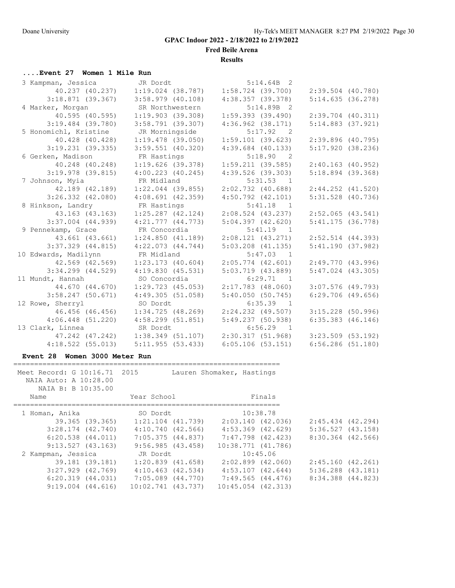**Fred Beile Arena**

**Results**

## **....Event 27 Women 1 Mile Run**

| 3 Kampman, Jessica    | JR Dordt                          | $5:14.64B$ 2          |                       |
|-----------------------|-----------------------------------|-----------------------|-----------------------|
|                       | 40.237 (40.237) 1:19.024 (38.787) | $1:58.724$ (39.700)   | $2:39.504$ (40.780)   |
| $3:18.871$ (39.367)   | $3:58.979$ (40.108)               | 4:38.357(39.378)      | 5:14.635(36.278)      |
| 4 Marker, Morgan      | SR Northwestern                   | $5:14.89B$ 2          |                       |
| 40.595 (40.595)       | 1:19.903(39.308)                  | $1:59.393$ (39.490)   | $2:39.704$ $(40.311)$ |
| $3:19.484$ (39.780)   | $3:58.791$ (39.307)               | $4:36.962$ $(38.171)$ | $5:14.883$ $(37.921)$ |
| 5 Honomichl, Kristine | JR Morningside                    | $5:17.92$ 2           |                       |
| 40.428 (40.428)       | $1:19.478$ (39.050)               | 1:59.101(39.623)      | $2:39.896$ (40.795)   |
| $3:19.231$ (39.335)   | $3:59.551$ (40.320)               | $4:39.684$ $(40.133)$ | 5:17.920(38.236)      |
| 6 Gerken, Madison     | FR Hastings                       | 5:18.90 2             |                       |
| 40.248 (40.248)       | 1:19.626(39.378)                  | 1:59.211(39.585)      | $2:40.163$ (40.952)   |
| $3:19.978$ (39.815)   | $4:00.223$ $(40.245)$             | $4:39.526$ (39.303)   | $5:18.894$ (39.368)   |
| 7 Johnson, Myia       | FR Midland                        | $5:31.53$ 1           |                       |
| 42.189 (42.189)       | $1:22.044$ (39.855)               | $2:02.732$ (40.688)   | $2:44.252$ $(41.520)$ |
| $3:26.332$ $(42.080)$ | $4:08.691$ $(42.359)$             | $4:50.792$ $(42.101)$ | $5:31.528$ (40.736)   |
| 8 Hinkson, Landry     | FR Hastings                       | $5:41.18$ 1           |                       |
| 43.163 (43.163)       | $1:25.287$ (42.124)               | $2:08.524$ (43.237)   | $2:52.065$ (43.541)   |
| $3:37.004$ $(44.939)$ | $4:21.777$ $(44.773)$             | 5:04.397(42.620)      | $5:41.175$ (36.778)   |
| 9 Pennekamp, Grace    | FR Concordia                      | $5:41.19$ 1           |                       |
| 43.661 (43.661)       | 1:24.850(41.189)                  | 2:08.121(43.271)      | $2:52.514$ (44.393)   |
| $3:37.329$ $(44.815)$ | $4:22.073$ $(44.744)$             | $5:03.208$ $(41.135)$ | 5:41.190(37.982)      |
| 10 Edwards, Madilynn  | FR Midland                        | $5:47.03$ 1           |                       |
| 42.569 (42.569)       | $1:23.173$ $(40.604)$             | $2:05.774$ $(42.601)$ | 2:49.770(43.996)      |
| $3:34.299$ $(44.529)$ | 4:19.830(45.531)                  | $5:03.719$ (43.889)   | $5:47.024$ (43.305)   |
| 11 Mundt, Hannah      | SO Concordia                      | 6:29.71 1             |                       |
| 44.670 (44.670)       | $1:29.723$ (45.053)               | $2:17.783$ (48.060)   | $3:07.576$ (49.793)   |
| $3:58.247$ (50.671)   | 4:49.305(51.058)                  | 5:40.050(50.745)      | $6:29.706$ (49.656)   |
| 12 Rowe, Sherryl      | SO Dordt                          | $6:35.39$ 1           |                       |
| 46.456 (46.456)       | 1:34.725(48.269)                  | $2:24.232$ (49.507)   | $3:15.228$ (50.996)   |
| $4:06.448$ $(51.220)$ | $4:58.299$ (51.851)               | 5:49.237(50.938)      | $6:35.383$ $(46.146)$ |
| 13 Clark, Linnea      | SR Dordt                          | $6:56.29$ 1           |                       |
|                       | 47.242 (47.242) 1:38.349 (51.107) | 2:30.317(51.968)      | $3:23.509$ (53.192)   |
| $4:18.522$ (55.013)   | 5:11.955(53.433)                  | 6:05.106(53.151)      | $6:56.286$ $(51.180)$ |

### **Event 28 Women 3000 Meter Run**

| Meet Record: G 10:16.71 2015<br>NAIA Auto: A 10:28.00<br>NAIA B: B 10:35.00<br>Name | Year School            | Lauren Shomaker, Hastings<br>Finals |                       |
|-------------------------------------------------------------------------------------|------------------------|-------------------------------------|-----------------------|
|                                                                                     |                        |                                     |                       |
| 1 Homan, Anika                                                                      | SO Dordt               | 10:38.78                            |                       |
| 39.365 (39.365)                                                                     | 1:21.104 (41.739)      | 2:03.140 (42.036)                   | $2:45.434$ $(42.294)$ |
| $3:28.174$ $(42.740)$                                                               | $4:10.740$ $(42.566)$  | $4:53.369$ $(42.629)$               | 5:36.527(43.158)      |
| $6:20.538$ $(44.011)$                                                               | 7:05.375 (44.837)      | 7:47.798 (42.423)                   | $8:30.364$ (42.566)   |
| 9:13.527(43.163)                                                                    | $9:56.985$ (43.458)    | 10:38.771 (41.786)                  |                       |
| 2 Kampman, Jessica                                                                  | JR Dordt               | 10:45.06                            |                       |
| 39.181 (39.181)                                                                     | $1:20.839$ $(41.658)$  | $2:02.899$ $(42.060)$               | 2:45.160(42.261)      |
| $3:27.929$ $(42.769)$                                                               | $4:10.463$ $(42.534)$  | $4:53.107$ $(42.644)$               | $5:36.288$ $(43.181)$ |
| $6:20.319$ $(44.031)$                                                               | 7:05.089 (44.770)      | 7:49.565 (44.476)                   | 8:34.388 (44.823)     |
| $9:19.004$ $(44.616)$                                                               | $10:02.741$ $(43.737)$ | $10:45.054$ $(42.313)$              |                       |

================================================================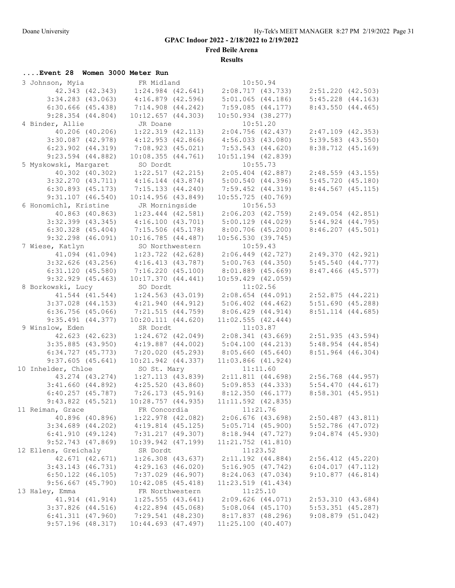**Fred Beile Arena**

**Results**

# **....Event 28 Women 3000 Meter Run**

| 3 Johnson, Myia       | FR Midland                              | 10:50.94                                                    |                       |
|-----------------------|-----------------------------------------|-------------------------------------------------------------|-----------------------|
| 42.343 (42.343)       |                                         | $1:24.984$ (42.641) $2:08.717$ (43.733) $2:51.220$ (42.503) |                       |
| $3:34.283$ (43.063)   | $4:16.879$ $(42.596)$                   | $5:01.065$ (44.186) $5:45.228$ (44.163)                     |                       |
| $6:30.666$ $(45.438)$ | $7:14.908$ $(44.242)$                   | $7:59.085$ (44.177)                                         | 8:43.550(44.465)      |
| $9:28.354$ $(44.804)$ | $10:12.657$ $(44.303)$                  | $10:50.934$ (38.277)                                        |                       |
| 4 Binder, Allie       | JR Doane                                | 10:51.20                                                    |                       |
| 40.206 (40.206)       | $1:22.319$ $(42.113)$                   | 2:04.756 (42.437) 2:47.109 (42.353)                         |                       |
| $3:30.087$ (42.978)   | 4:12.953(42.866)                        | $4:56.033$ $(43.080)$                                       | $5:39.583$ $(43.550)$ |
| $6:23.902$ $(44.319)$ |                                         |                                                             |                       |
|                       | 7:08.923 (45.021)                       | 7:53.543 (44.620)                                           | 8:38.712 (45.169)     |
| $9:23.594$ (44.882)   | 10:08.355(44.761)                       | $10:51.194$ $(42.839)$                                      |                       |
| 5 Myskowski, Margaret | SO Dordt                                | 10:55.73                                                    |                       |
| 40.302 (40.302)       | $1:22.517$ (42.215)                     | $2:05.404$ (42.887)                                         | $2:48.559$ (43.155)   |
| $3:32.270$ $(43.711)$ | $4:16.144$ $(43.874)$                   | 5:00.540(44.396)                                            | 5:45.720(45.180)      |
| $6:30.893$ $(45.173)$ | 7:15.133(44.240)                        | 7:59.452 (44.319)                                           | $8:44.567$ (45.115)   |
| $9:31.107$ $(46.540)$ | $10:14.956$ (43.849)                    | $10:55.725$ (40.769)                                        |                       |
| 6 Honomichl, Kristine | JR Morningside                          | 10:56.53                                                    |                       |
| 40.863 (40.863)       |                                         | $1:23.444$ (42.581) $2:06.203$ (42.759) $2:49.054$ (42.851) |                       |
| $3:32.399$ (43.345)   | 4:16.100(43.701)                        | 5:00.129 (44.029)                                           | $5:44.924$ $(44.795)$ |
| $6:30.328$ $(45.404)$ | 7:15.506 (45.178)                       | 8:00.706 (45.200)                                           | $8:46.207$ $(45.501)$ |
| $9:32.298$ $(46.091)$ | 10:16.785(44.487)                       | 10:56.530(39.745)                                           |                       |
| 7 Wiese, Katlyn       | SO Northwestern                         | 10:59.43                                                    |                       |
| 41.094 (41.094)       | 1:23.722 (42.628)                       | 2:06.449 (42.727)                                           | 2:49.370 (42.921)     |
| $3:32.626$ (43.256)   | 4:16.413(43.787)                        | 5:00.763(44.350)                                            | 5:45.540(44.777)      |
| 6:31.120(45.580)      | 7:16.220(45.100)                        | $8:01.889$ (45.669)                                         | $8:47.466$ (45.577)   |
| $9:32.929$ $(45.463)$ | 10:17.370(44.441)                       | $10:59.429$ $(42.059)$                                      |                       |
| 8 Borkowski, Lucy     | SO Dordt                                | 11:02.56                                                    |                       |
| 41.544 (41.544)       | $1:24.563$ $(43.019)$                   | $2:08.654$ (44.091) $2:52.875$ (44.221)                     |                       |
|                       | 4:21.940(44.912)                        |                                                             | 5:51.690(45.288)      |
| $3:37.028$ $(44.153)$ |                                         | $5:06.402$ $(44.462)$                                       |                       |
| $6:36.756$ (45.066)   | 7:21.515 (44.759)                       | 8:06.429(44.914)                                            | 8:51.114 (44.685)     |
| $9:35.491$ $(44.377)$ | $10:20.111$ $(44.620)$                  | 11:02.555(42.444)                                           |                       |
| 9 Winslow, Eden       | SR Dordt                                | 11:03.87                                                    |                       |
| 42.623 (42.623)       | $1:24.672$ $(42.049)$                   | $2:08.341$ (43.669) $2:51.935$ (43.594)                     |                       |
| $3:35.885$ (43.950)   | $4:19.887$ $(44.002)$                   | 5:04.100(44.213)                                            | 5:48.954(44.854)      |
| $6:34.727$ $(45.773)$ | 7:20.020 (45.293)                       | 8:05.660(45.640)                                            | 8:51.964 (46.304)     |
| $9:37.605$ (45.641)   | 10:21.942 (44.337)                      | $11:03.866$ $(41.924)$                                      |                       |
| 10 Inhelder, Chloe    | SO St. Mary                             | 11:11.60                                                    |                       |
| 43.274 (43.274)       | $1:27.113$ $(43.839)$                   | 2:11.811 (44.698) 2:56.768 (44.957)                         |                       |
|                       | $3:41.660$ (44.892) $4:25.520$ (43.860) | 5:09.853(44.333)                                            | 5:54.470(44.617)      |
|                       | $6:40.257$ (45.787) 7:26.173 (45.916)   | 8:12.350(46.177)                                            | $8:58.301$ (45.951)   |
| $9:43.822$ (45.521)   | $10:28.757$ $(44.935)$                  | $11:11.592$ (42.835)                                        |                       |
| 11 Reiman, Grace      | FR Concordia                            | 11:21.76                                                    |                       |
| 40.896 (40.896)       | $1:22.978$ (42.082)                     | $2:06.676$ (43.698)                                         | $2:50.487$ (43.811)   |
| $3:34.689$ $(44.202)$ | $4:19.814$ $(45.125)$                   | $5:05.714$ $(45.900)$                                       | $5:52.786$ (47.072)   |
| 6:41.910(49.124)      | 7:31.217 (49.307)                       | 8:18.944 (47.727)                                           | $9:04.874$ (45.930)   |
| $9:52.743$ (47.869)   | $10:39.942$ $(47.199)$                  | $11:21.752$ $(41.810)$                                      |                       |
| 12 Ellens, Greichaly  | SR Dordt                                | 11:23.52                                                    |                       |
| 42.671 (42.671)       | $1:26.308$ $(43.637)$                   | $2:11.192$ $(44.884)$                                       | $2:56.412$ (45.220)   |
| $3:43.143$ $(46.731)$ | $4:29.163$ $(46.020)$                   | 5:16.905(47.742)                                            | 6:04.017(47.112)      |
| $6:50.122$ (46.105)   | 7:37.029 (46.907)                       | 8:24.063 (47.034)                                           | 9:10.877(46.814)      |
| $9:56.667$ (45.790)   | 10:42.085(45.418)                       | $11:23.519$ $(41.434)$                                      |                       |
|                       |                                         |                                                             |                       |
| 13 Haley, Emma        | FR Northwestern                         | 11:25.10                                                    |                       |
| 41.914 (41.914)       | $1:25.555$ (43.641)                     | $2:09.626$ $(44.071)$                                       | $2:53.310$ (43.684)   |
| $3:37.826$ (44.516)   | $4:22.894$ $(45.068)$                   | $5:08.064$ $(45.170)$                                       | $5:53.351$ (45.287)   |
| $6:41.311$ $(47.960)$ | 7:29.541(48.230)                        | 8:17.837 (48.296)                                           | 9:08.879(51.042)      |
| $9:57.196$ (48.317)   | $10:44.693$ $(47.497)$                  | 11:25.100(40.407)                                           |                       |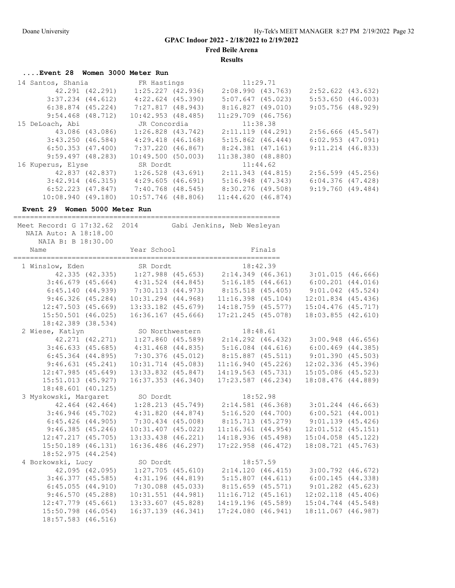**Fred Beile Arena**

**Results**

# **....Event 28 Women 3000 Meter Run**

| 14 Santos, Shania     |                 | FR Hastings            | 11:29.71              |          |                       |  |
|-----------------------|-----------------|------------------------|-----------------------|----------|-----------------------|--|
|                       | 42.291 (42.291) | 1:25.227(42.936)       | 2:08.990(43.763)      |          | $2:52.622$ $(43.632)$ |  |
| $3:37.234$ $(44.612)$ |                 | $4:22.624$ $(45.390)$  | $5:07.647$ (45.023)   |          | 5:53.650(46.003)      |  |
| $6:38.874$ $(45.224)$ |                 | 7:27.817 (48.943)      | 8:16.827 (49.010)     |          | $9:05.756$ (48.929)   |  |
| $9:54.468$ (48.712)   |                 | $10:42.953$ $(48.485)$ | $11:29.709$ (46.756)  |          |                       |  |
| 15 DeLoach, Abi       |                 | JR Concordia           | 11:38.38              |          |                       |  |
|                       | 43.086 (43.086) | $1:26.828$ $(43.742)$  | $2:11.119$ $(44.291)$ |          | $2:56.666$ (45.547)   |  |
| $3:43.250$ (46.584)   |                 | 4:29.418 (46.168)      | $5:15.862$ $(46.444)$ |          | $6:02.953$ $(47.091)$ |  |
| $6:50.353$ $(47.400)$ |                 | 7:37.220 (46.867)      | 8:24.381 (47.161)     |          | $9:11.214$ (46.833)   |  |
| 9:59.497(48.283)      |                 | 10:49.500(50.003)      | 11:38.380 (48.880)    |          |                       |  |
| 16 Kuperus, Elyse     |                 | SR Dordt               |                       | 11:44.62 |                       |  |
|                       | 42.837 (42.837) | $1:26.528$ $(43.691)$  | 2:11.343 (44.815)     |          | $2:56.599$ (45.256)   |  |
| $3:42.914$ (46.315)   |                 | 4:29.605(46.691)       | $5:16.948$ $(47.343)$ |          | $6:04.376$ $(47.428)$ |  |
| $6:52.223$ $(47.847)$ |                 | 7:40.768 (48.545)      | $8:30.276$ (49.508)   |          | 9:19.760(49.484)      |  |
| $10:08.940$ (49.180)  |                 | $10:57.746$ (48.806)   | 11:44.620(46.874)     |          |                       |  |

#### **Event 29 Women 5000 Meter Run**

================================================================

| Meet Record: G 17:32.62 2014<br>NAIA Auto: A 18:18.00<br>NAIA B: B 18:30.00                                                                                                           |                                                                         | Gabi Jenkins, Neb Wesleyan            |          |                                                          |  |
|---------------------------------------------------------------------------------------------------------------------------------------------------------------------------------------|-------------------------------------------------------------------------|---------------------------------------|----------|----------------------------------------------------------|--|
| Name                                                                                                                                                                                  |                                                                         | Year School Finals                    |          |                                                          |  |
| 1 Winslow, Eden SR Dordt 18:42.39<br>42.335 (42.335) 1:27.988 (45.653) 2:14.349 (46.361) 3:01.015 (46.666)<br>3:46.679 (45.664) 4:31.524 (44.845) 5:16.185 (44.661) 6:00.201 (44.016) |                                                                         |                                       |          |                                                          |  |
|                                                                                                                                                                                       |                                                                         |                                       |          |                                                          |  |
|                                                                                                                                                                                       |                                                                         |                                       |          |                                                          |  |
|                                                                                                                                                                                       | 6:45.140 (44.939) 7:30.113 (44.973) 8:15.518 (45.405) 9:01.042 (45.524) |                                       |          |                                                          |  |
| 9:46.326(45.284)                                                                                                                                                                      | 10:31.294 (44.968)                                                      | $11:16.398$ (45.104)                  |          | $12:01.834$ (45.436)                                     |  |
| $12:47.503$ (45.669)                                                                                                                                                                  |                                                                         | 13:33.182 (45.679) 14:18.759 (45.577) |          | $15:04.476$ (45.717)                                     |  |
| $15:50.501$ (46.025)                                                                                                                                                                  | 16:36.167 (45.666)                                                      | 17:21.245 (45.078)                    |          | $18:03.855$ $(42.610)$                                   |  |
| 18:42.389 (38.534)                                                                                                                                                                    |                                                                         |                                       |          |                                                          |  |
| 2 Wiese, Katlyn                                                                                                                                                                       |                                                                         | SO Northwestern 18:48.61              |          |                                                          |  |
|                                                                                                                                                                                       | 42.271 (42.271) 1:27.860 (45.589) 2:14.292 (46.432) 3:00.948 (46.656)   |                                       |          |                                                          |  |
|                                                                                                                                                                                       | 3:46.633 (45.685) 4:31.468 (44.835) 5:16.084 (44.616) 6:00.469 (44.385) |                                       |          |                                                          |  |
|                                                                                                                                                                                       | 6:45.364 (44.895) 7:30.376 (45.012) 8:15.887 (45.511) 9:01.390 (45.503) |                                       |          |                                                          |  |
| 9:46.631(45.241)                                                                                                                                                                      | $10:31.714$ $(45.083)$                                                  |                                       |          | 11:16.940 (45.226) 12:02.336 (45.396)                    |  |
| 12:47.985(45.649)                                                                                                                                                                     |                                                                         |                                       |          | 13:33.832 (45.847) 14:19.563 (45.731) 15:05.086 (45.523) |  |
| 15:51.013 (45.927)                                                                                                                                                                    | $16:37.353$ $(46.340)$                                                  | $17:23.587$ $(46.234)$                |          | 18:08.476 (44.889)                                       |  |
| $18:48.601$ (40.125)                                                                                                                                                                  |                                                                         |                                       |          |                                                          |  |
| 3 Myskowski, Margaret SO Dordt                                                                                                                                                        |                                                                         |                                       | 18:52.98 |                                                          |  |
|                                                                                                                                                                                       | 42.464 (42.464) 1:28.213 (45.749) 2:14.581 (46.368) 3:01.244 (46.663)   |                                       |          |                                                          |  |
|                                                                                                                                                                                       | 3:46.946 (45.702) 4:31.820 (44.874) 5:16.520 (44.700) 6:00.521 (44.001) |                                       |          |                                                          |  |
|                                                                                                                                                                                       | 6:45.426 (44.905) 7:30.434 (45.008) 8:15.713 (45.279) 9:01.139 (45.426) |                                       |          |                                                          |  |
| 9:46.385(45.246)                                                                                                                                                                      | 10:31.407 (45.022)                                                      | $11:16.361$ $(44.954)$                |          | $12:01.512$ $(45.151)$                                   |  |
| 12:47.217(45.705)                                                                                                                                                                     |                                                                         |                                       |          | 13:33.438 (46.221) 14:18.936 (45.498) 15:04.058 (45.122) |  |
| $15:50.189$ (46.131)                                                                                                                                                                  | 16:36.486 (46.297)                                                      | $17:22.958$ $(46.472)$                |          | 18:08.721 (45.763)                                       |  |
| 18:52.975(44.254)                                                                                                                                                                     |                                                                         |                                       |          |                                                          |  |
| 4 Borkowski, Lucy                                                                                                                                                                     | SO Dordt                                                                |                                       | 18:57.59 |                                                          |  |
|                                                                                                                                                                                       | $42.095$ (42.095) 1:27.705 (45.610) 2:14.120 (46.415) 3:00.792 (46.672) |                                       |          |                                                          |  |
|                                                                                                                                                                                       | $3:46.377$ (45.585) $4:31.196$ (44.819)                                 |                                       |          | 5:15.807 (44.611) 6:00.145 (44.338)                      |  |
| 6:45.055(44.910)                                                                                                                                                                      | $7:30.088$ (45.033)                                                     |                                       |          | 8:15.659 (45.571) 9:01.282 (45.623)                      |  |
| 9:46.570(45.288)                                                                                                                                                                      | $10:31.551$ $(44.981)$                                                  | $11:16.712$ $(45.161)$                |          | $12:02.118$ $(45.406)$                                   |  |
| $12:47.779$ $(45.661)$                                                                                                                                                                | 13:33.607 (45.828)                                                      | 14:19.196 (45.589)                    |          | $15:04.744$ (45.548)                                     |  |
| $15:50.798$ (46.054)                                                                                                                                                                  | $16:37.139$ $(46.341)$                                                  | 17:24.080(46.941)                     |          | 18:11.067 (46.987)                                       |  |
| 18:57.583 (46.516)                                                                                                                                                                    |                                                                         |                                       |          |                                                          |  |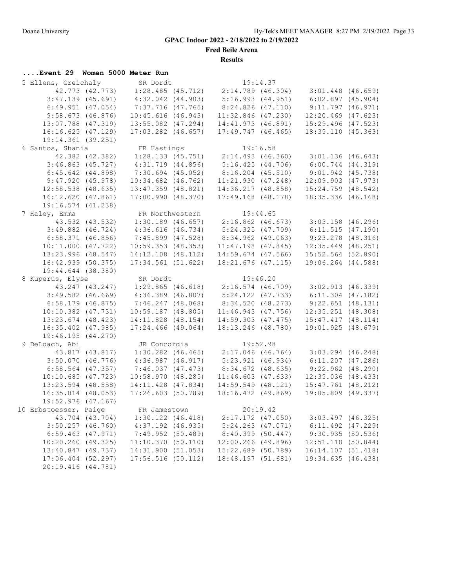**Fred Beile Arena**

**Results**

# **....Event 29 Women 5000 Meter Run**

| 5 Ellens, Greichaly    |                 | SR Dordt               |                                         | 19:14.37 |                                                             |  |
|------------------------|-----------------|------------------------|-----------------------------------------|----------|-------------------------------------------------------------|--|
| 42.773 (42.773)        |                 |                        | $1:28.485$ (45.712) $2:14.789$ (46.304) |          | $3:01.448$ (46.659)                                         |  |
| $3:47.139$ (45.691)    |                 | $4:32.042$ $(44.903)$  | 5:16.993(44.951)                        |          | $6:02.897$ (45.904)                                         |  |
| $6:49.951$ $(47.054)$  |                 | 7:37.716 (47.765)      | 8:24.826(47.110)                        |          | 9:11.797(46.971)                                            |  |
| 9:58.673(46.876)       |                 | $10:45.616$ (46.943)   | $11:32.846$ (47.230)                    |          | $12:20.469$ $(47.623)$                                      |  |
| 13:07.788 (47.319)     |                 | $13:55.082$ $(47.294)$ | 14:41.973(46.891)                       |          | 15:29.496 (47.523)                                          |  |
| 16:16.625(47.129)      |                 | $17:03.282$ $(46.657)$ | $17:49.747$ $(46.465)$                  |          | 18:35.110(45.363)                                           |  |
| 19:14.361 (39.251)     |                 |                        |                                         |          |                                                             |  |
| 6 Santos, Shania       |                 | FR Hastings            |                                         | 19:16.58 |                                                             |  |
|                        | 42.382 (42.382) |                        |                                         |          | $1:28.133$ (45.751) $2:14.493$ (46.360) $3:01.136$ (46.643) |  |
| $3:46.863$ (45.727)    |                 | $4:31.719$ $(44.856)$  | 5:16.425(44.706)                        |          | $6:00.744$ $(44.319)$                                       |  |
| $6:45.642$ $(44.898)$  |                 | $7:30.694$ (45.052)    | $8:16.204$ (45.510)                     |          | $9:01.942$ (45.738)                                         |  |
| 9:47.920(45.978)       |                 | $10:34.682$ $(46.762)$ | 11:21.930(47.248)                       |          | $12:09.903$ $(47.973)$                                      |  |
| $12:58.538$ (48.635)   |                 | 13:47.359 (48.821)     | 14:36.217(48.858)                       |          | $15:24.759$ $(48.542)$                                      |  |
| 16:12.620(47.861)      |                 | 17:00.990(48.370)      | $17:49.168$ $(48.178)$                  |          | $18:35.336$ (46.168)                                        |  |
| 19:16.574 (41.238)     |                 |                        |                                         |          |                                                             |  |
| 7 Haley, Emma          |                 | FR Northwestern        |                                         | 19:44.65 |                                                             |  |
|                        | 43.532 (43.532) |                        |                                         |          |                                                             |  |
| $3:49.882$ $(46.724)$  |                 | 4:36.616(46.734)       | 5:24.325(47.709)                        |          | 6:11.515(47.190)                                            |  |
| $6:58.371$ $(46.856)$  |                 | 7:45.899 (47.528)      | 8:34.962 (49.063)                       |          | $9:23.278$ (48.316)                                         |  |
| $10:11.000$ $(47.722)$ |                 | $10:59.353$ $(48.353)$ |                                         |          | $12:35.449$ (48.251)                                        |  |
|                        |                 |                        | $11:47.198$ (47.845)                    |          |                                                             |  |
| 13:23.996 (48.547)     |                 | $14:12.108$ $(48.112)$ | 14:59.674 (47.566)                      |          | $15:52.564$ (52.890)                                        |  |
| 16:42.939 (50.375)     |                 | 17:34.561(51.622)      | 18:21.676 (47.115)                      |          | 19:06.264 (44.588)                                          |  |
| 19:44.644 (38.380)     |                 |                        |                                         |          |                                                             |  |
|                        |                 |                        |                                         |          |                                                             |  |
| 8 Kuperus, Elyse       |                 | SR Dordt               |                                         | 19:46.20 |                                                             |  |
| 43.247 (43.247)        |                 |                        |                                         |          | $1:29.865$ (46.618) $2:16.574$ (46.709) $3:02.913$ (46.339) |  |
| $3:49.582$ (46.669)    |                 | $4:36.389$ $(46.807)$  | $5:24.122$ (47.733)                     |          | $6:11.304$ (47.182)                                         |  |
| $6:58.179$ $(46.875)$  |                 | 7:46.247 (48.068)      | 8:34.520 (48.273)                       |          | 9:22.651(48.131)                                            |  |
| $10:10.382$ $(47.731)$ |                 | $10:59.187$ (48.805)   | $11:46.943$ (47.756)                    |          | $12:35.251$ $(48.308)$                                      |  |
| $13:23.674$ (48.423)   |                 | 14:11.828 (48.154)     |                                         |          | 14:59.303 (47.475) 15:47.417 (48.114)                       |  |
| 16:35.402 (47.985)     |                 | $17:24.466$ (49.064)   | 18:13.246 (48.780)                      |          | 19:01.925 (48.679)                                          |  |
| 19:46.195 (44.270)     |                 |                        |                                         |          |                                                             |  |
| 9 DeLoach, Abi         |                 | JR Concordia           |                                         | 19:52.98 |                                                             |  |
|                        | 43.817 (43.817) |                        |                                         |          | $1:30.282$ (46.465) $2:17.046$ (46.764) $3:03.294$ (46.248) |  |
| $3:50.070$ (46.776)    |                 | 4:36.987(46.917)       | $5:23.921$ (46.934)                     |          | $6:11.207$ (47.286)                                         |  |
| $6:58.564$ $(47.357)$  |                 | 7:46.037(47.473)       | $8:34.672$ (48.635)                     |          | $9:22.962$ $(48.290)$                                       |  |
| $10:10.685$ (47.723)   |                 | 10:58.970(48.285)      | $11:46.603$ (47.633)                    |          | $12:35.036$ (48.433)                                        |  |
| 13:23.594 (48.558)     |                 | 14:11.428 (47.834)     | $14:59.549$ $(48.121)$                  |          | $15:47.761$ (48.212)                                        |  |
| 16:35.814 (48.053)     |                 | 17:26.603(50.789)      | 18:16.472 (49.869)                      |          | 19:05.809 (49.337)                                          |  |
| $19:52.976$ (47.167)   |                 |                        |                                         |          |                                                             |  |
| 10 Erbstoesser, Paige  |                 | FR Jamestown           |                                         | 20:19.42 |                                                             |  |
|                        | 43.704 (43.704) | $1:30.122$ $(46.418)$  | $2:17.172$ (47.050)                     |          | $3:03.497$ (46.325)                                         |  |
| $3:50.257$ $(46.760)$  |                 | 4:37.192 (46.935)      | $5:24.263$ $(47.071)$                   |          | $6:11.492$ $(47.229)$                                       |  |
| $6:59.463$ $(47.971)$  |                 | 7:49.952(50.489)       | $8:40.399$ (50.447)                     |          | 9:30.935(50.536)                                            |  |
| 10:20.260 (49.325)     |                 | 11:10.370(50.110)      | 12:00.266 (49.896)                      |          | 12:51.110 (50.844)                                          |  |
| 13:40.847 (49.737)     |                 | 14:31.900 (51.053)     | 15:22.689 (50.789)                      |          | 16:14.107 (51.418)                                          |  |
| $17:06.404$ (52.297)   |                 | $17:56.516$ (50.112)   | 18:48.197 (51.681)                      |          | 19:34.635 (46.438)                                          |  |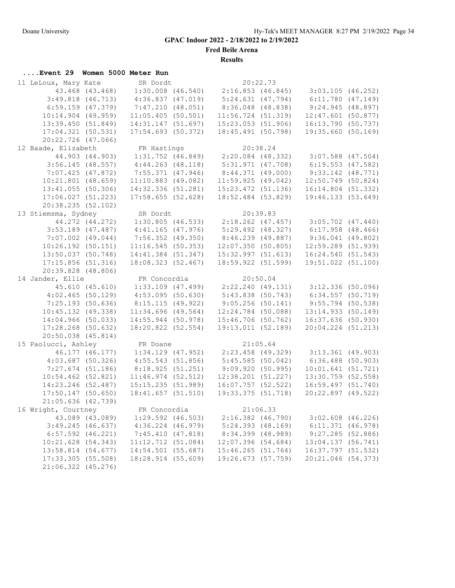**Fred Beile Arena**

**Results**

| Event 29 Women 5000 Meter Run             |                       |                                           |                                              |          |                                                                               |  |
|-------------------------------------------|-----------------------|-------------------------------------------|----------------------------------------------|----------|-------------------------------------------------------------------------------|--|
| 11 LeLoux, Mary Kate                      |                       | SR Dordt                                  |                                              | 20:22.73 |                                                                               |  |
|                                           |                       |                                           |                                              |          | 43.468 (43.468) 1:30.008 (46.540) 2:16.853 (46.845) 3:03.105 (46.252)         |  |
|                                           | $3:49.818$ $(46.713)$ | $4:36.837$ $(47.019)$                     | 5:24.631(47.794)                             |          | 6:11.780(47.149)                                                              |  |
| 6:59.159(47.379)                          |                       | 7:47.210 (48.051)                         | 8:36.048 (48.838)                            |          | 9:24.945(48.897)                                                              |  |
| $10:14.904$ (49.959)                      |                       | $11:05.405$ (50.501)                      | 11:56.724(51.319)                            |          | $12:47.601$ (50.877)                                                          |  |
| 13:39.450(51.849)                         |                       | 14:31.147(51.697)                         | 15:23.053(51.906)                            |          | 16:13.790(50.737)                                                             |  |
| 17:04.321(50.531)                         |                       | $17:54.693$ (50.372)                      | 18:45.491 (50.798)                           |          | 19:35.660 (50.169)                                                            |  |
| 20:22.726 (47.066)                        |                       |                                           |                                              |          |                                                                               |  |
| 12 Baade, Elizabeth                       |                       |                                           |                                              |          |                                                                               |  |
|                                           | 44.903 (44.903)       |                                           |                                              |          | FR Hastings 20:38.24<br>1:31.752 (46.849) 2:20.084 (48.332) 3:07.588 (47.504) |  |
| $3:56.145$ (48.557)                       |                       | $4:44.263$ $(48.118)$                     | 5:31.971 (47.708)                            |          | $6:19.553$ $(47.582)$                                                         |  |
| 7:07.425(47.872)                          |                       | $7:55.371$ (47.946)                       | 8:44.371(49.000)                             |          | $9:33.142$ (48.771)                                                           |  |
| $10:21.801$ (48.659)                      |                       | $11:10.883$ (49.082)                      | 11:59.925(49.042)                            |          | $12:50.749$ (50.824)                                                          |  |
| $13:41.055$ (50.306)                      |                       | 14:32.336(51.281)                         | $15:23.472$ (51.136)                         |          | 16:14.804 (51.332)                                                            |  |
| $17:06.027$ (51.223)                      |                       | $17:58.655$ (52.628)                      | 18:52.484 (53.829)                           |          | 19:46.133 (53.649)                                                            |  |
| 20:38.235 (52.102)                        |                       |                                           |                                              |          |                                                                               |  |
| 13 Stiemsma, Sydney                       |                       | SR Dordt                                  |                                              | 20:39.83 |                                                                               |  |
|                                           |                       |                                           |                                              |          | 44.272 (44.272) 1:30.805 (46.533) 2:18.262 (47.457) 3:05.702 (47.440)         |  |
| $3:53.189$ (47.487)                       |                       | $4:41.165$ $(47.976)$                     | $5:29.492$ (48.327)                          |          | $6:17.958$ $(48.466)$                                                         |  |
| $7:07.002$ (49.044)                       |                       | $7:56.352$ (49.350)                       | 8:46.239 (49.887)                            |          | $9:36.041$ (49.802)                                                           |  |
| $10:26.192$ (50.151)                      |                       | 11:16.545(50.353)                         |                                              |          | 12:07.350 (50.805) 12:59.289 (51.939)                                         |  |
| $13:50.037$ (50.748)                      |                       |                                           |                                              |          | 14:41.384 (51.347) 15:32.997 (51.613) 16:24.540 (51.543)                      |  |
| 17:15.856 (51.316)                        |                       | 18:08.323 (52.467)                        | 18:59.922 (51.599)                           |          | 19:51.022 (51.100)                                                            |  |
| 20:39.828 (48.806)                        |                       |                                           |                                              |          |                                                                               |  |
| 14 Jander, Ellie                          |                       | FR Concordia                              |                                              | 20:50.04 |                                                                               |  |
|                                           | 45.610 (45.610)       |                                           |                                              |          | $1:33.109$ (47.499) $2:22.240$ (49.131) $3:12.336$ (50.096)                   |  |
| $4:02.465$ (50.129)                       |                       | 4:53.095(50.630)                          | 5:43.838 (50.743)                            |          | 6:34.557(50.719)                                                              |  |
| 7:25.193(50.636)                          |                       | 8:15.115 (49.922)                         | 9:05.256(50.141)                             |          | $9:55.794$ (50.538)                                                           |  |
| $10:45.132$ (49.338)                      |                       | $11:34.696$ (49.564)                      | $12:24.784$ (50.088)                         |          | $13:14.933$ (50.149)                                                          |  |
| 14:04.966 (50.033)                        |                       | $14:55.944$ (50.978)                      | 15:46.706 (50.762)                           |          | $16:37.636$ (50.930)                                                          |  |
| $17:28.268$ (50.632)                      |                       | $18:20.822$ (52.554)                      | 19:13.011 (52.189)                           |          | 20:04.224 (51.213)                                                            |  |
| $20:50.038$ $(45.814)$                    |                       |                                           |                                              |          |                                                                               |  |
| 15 Paolucci, Ashley                       |                       |                                           |                                              |          |                                                                               |  |
|                                           | 46.177 (46.177)       |                                           |                                              |          | FR Doane 21:05.64<br>1:34.129 (47.952) 2:23.458 (49.329) 3:13.361 (49.903)    |  |
| $4:03.687$ (50.326)                       |                       | 4:55.543(51.856)                          | 5:45.585(50.042)                             |          | $6:36.488$ (50.903)                                                           |  |
| $7:27.674$ (51.186)                       |                       | 8:18.925(51.251)                          | 9:09.920(50.995)                             |          | 10:01.641(51.721)                                                             |  |
| $10:54.462$ (52.821)                      |                       | $11:46.974$ (52.512)                      | $12:38.201$ (51.227)                         |          | $13:30.759$ (52.558)                                                          |  |
| 14:23.246 (52.487)                        |                       | 15:15.235(51.989)                         | 16:07.757(52.522)                            |          | 16:59.497 (51.740)                                                            |  |
| $17:50.147$ (50.650)                      |                       | 18:41.657(51.510)                         | 19:33.375 (51.718)                           |          | 20:22.897 (49.522)                                                            |  |
|                                           | 21:05.636 (42.739)    |                                           |                                              |          |                                                                               |  |
|                                           |                       |                                           |                                              | 21:06.33 |                                                                               |  |
| 16 Wright, Courtney                       | 43.089 (43.089)       | FR Concordia<br>$1:29.592$ (46.503)       | $2:16.382$ (46.790)                          |          | $3:02.608$ (46.226)                                                           |  |
|                                           |                       |                                           | 5:24.393(48.169)                             |          |                                                                               |  |
| 3:49.245(46.637)<br>$6:57.592$ $(46.221)$ |                       | $4:36.224$ $(46.979)$<br>7:45.410(47.818) | 8:34.399 (48.989)                            |          | $6:11.371$ $(46.978)$<br>$9:27.285$ (52.886)                                  |  |
| 10:21.628 (54.343)                        |                       | $11:12.712$ (51.084)                      |                                              |          | 13:04.137(56.741)                                                             |  |
| 13:58.814 (54.677)                        |                       | 14:54.501 (55.687)                        | $12:07.396$ (54.684)<br>$15:46.265$ (51.764) |          | 16:37.797 (51.532)                                                            |  |
| $17:33.305$ (55.508)                      |                       | 18:28.914 (55.609)                        | 19:26.673 (57.759)                           |          |                                                                               |  |
|                                           |                       |                                           |                                              |          | 20:21.046 (54.373)                                                            |  |
| 21:06.322 (45.276)                        |                       |                                           |                                              |          |                                                                               |  |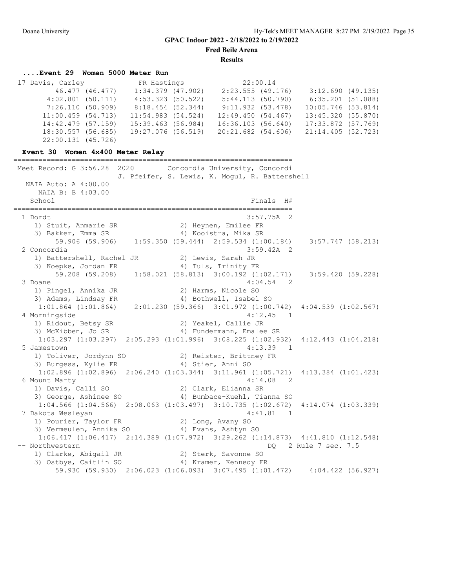**Fred Beile Arena**

**Results**

### **....Event 29 Women 5000 Meter Run**

| 17 Davis, Carley    |                  | FR Hastings           |                    | 22:00.14 |                      |  |
|---------------------|------------------|-----------------------|--------------------|----------|----------------------|--|
|                     | 46.477 (46.477)  | $1:34.379$ $(47.902)$ | 2:23.555(49.176)   |          | 3:12.690(49.135)     |  |
| $4:02.801$ (50.111) |                  | $4:53.323$ (50.522)   | 5:44.113(50.790)   |          | $6:35.201$ (51.088)  |  |
|                     | 7:26.110(50.909) | 8:18.454 (52.344)     | 9:11.932(53.478)   |          | $10:05.746$ (53.814) |  |
| 11:00.459(54.713)   |                  | $11:54.983$ (54.524)  | 12:49.450(54.467)  |          | 13:45.320 (55.870)   |  |
| 14:42.479 (57.159)  |                  | 15:39.463 (56.984)    | 16:36.103 (56.640) |          | 17:33.872 (57.769)   |  |
| 18:30.557 (56.685)  |                  | 19:27.076 (56.519)    | 20:21.682 (54.606) |          | 21:14.405 (52.723)   |  |
| 22:00.131 (45.726)  |                  |                       |                    |          |                      |  |

===================================================================

#### **Event 30 Women 4x400 Meter Relay**

 Meet Record: G 3:56.28 2020 Concordia University, Concordi J. Pfeifer, S. Lewis, K. Mogul, R. Battershell NAIA Auto: A 4:00.00 NAIA B: B 4:03.00 School Finals H# =================================================================== 1 Dordt 3:57.75A 2 1) Stuit, Anmarie SR 2) Heynen, Emilee FR 3) Bakker, Emma SR 4) Kooistra, Mika SR 59.906 (59.906) 1:59.350 (59.444) 2:59.534 (1:00.184) 3:57.747 (58.213) 2 Concordia 3:59.42A 2 1) Battershell, Rachel JR 2) Lewis, Sarah JR 3) Koepke, Jordan FR 4) Tuls, Trinity FR 59.208 (59.208) 1:58.021 (58.813) 3:00.192 (1:02.171) 3:59.420 (59.228) 3 Doane 4:04.54 2 1) Pingel, Annika JR 2) Harms, Nicole SO 3) Adams, Lindsay FR 4) Bothwell, Isabel SO 1:01.864 (1:01.864) 2:01.230 (59.366) 3:01.972 (1:00.742) 4:04.539 (1:02.567) 4 Morningside 4:12.45 1 1) Ridout, Betsy SR 2) Yeakel, Callie JR 3) McKibben, Jo SR 4) Fundermann, Emalee SR 1:03.297 (1:03.297) 2:05.293 (1:01.996) 3:08.225 (1:02.932) 4:12.443 (1:04.218) 5 Jamestown 4:13.39 1 1) Toliver, Jordynn SO 2) Reister, Brittney FR 3) Burgess, Kylie FR 4) Stier, Anni SO 1:02.896 (1:02.896) 2:06.240 (1:03.344) 3:11.961 (1:05.721) 4:13.384 (1:01.423) 6 Mount Marty 4:14.08 2<br>1) Davis, Calli SO 2 2 2 2 Clark, Elianna SR 1) Davis, Calli SO 2) Clark, Elianna SR 3) George, Ashinee SO 4) Bumbace-Kuehl, Tianna SO 1:04.566 (1:04.566) 2:08.063 (1:03.497) 3:10.735 (1:02.672) 4:14.074 (1:03.339) 7 Dakota Wesleyan 4:41.81 1 1) Pourier, Taylor FR 2) Long, Avany SO 3) Vermeulen, Annika SO 4) Evans, Ashtyn SO 1:06.417 (1:06.417) 2:14.389 (1:07.972) 3:29.262 (1:14.873) 4:41.810 (1:12.548) -- Northwestern DQ 2 Rule 7 sec. 7.5 1) Clarke, Abigail JR 2) Sterk, Savonne SO 3) Ostbye, Caitlin SO 4) Kramer, Kennedy FR 59.930 (59.930) 2:06.023 (1:06.093) 3:07.495 (1:01.472) 4:04.422 (56.927)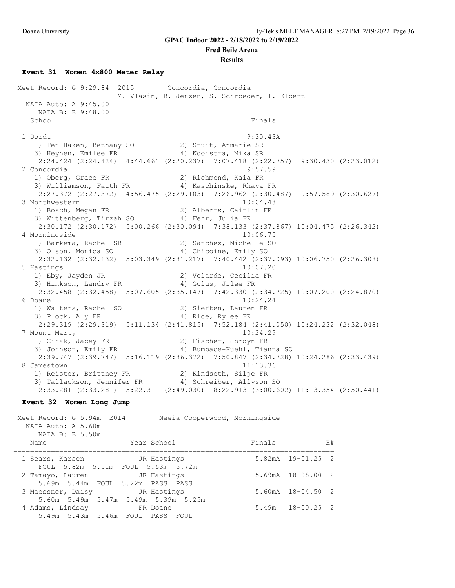#### **Fred Beile Arena**

#### **Results**

#### **Event 31 Women 4x800 Meter Relay**

================================================================ Meet Record: G 9:29.84 2015 Concordia, Concordia M. Vlasin, R. Jenzen, S. Schroeder, T. Elbert NAIA Auto: A 9:45.00 NAIA B: B 9:48.00 School Finals ================================================================ 1 Dordt 9:30.43A 1) Ten Haken, Bethany SO 2) Stuit, Anmarie SR 3) Heynen, Emilee FR 4) Kooistra, Mika SR 2:24.424 (2:24.424) 4:44.661 (2:20.237) 7:07.418 (2:22.757) 9:30.430 (2:23.012) 2 Concordia 9:57.59<br>
1) Oberg, Grace FR 2) Richmond, Kaia FR 1) Oberg, Grace FR 2) Richmond, Kaia FR 3) Williamson, Faith FR 4) Kaschinske, Rhaya FR 2:27.372 (2:27.372) 4:56.475 (2:29.103) 7:26.962 (2:30.487) 9:57.589 (2:30.627) 3 Northwestern 10:04.48<br>1) Bosch, Megan FR 2) Alberts, Caitlin FR 1) Bosch, Megan FR 2) Alberts, Caitlin FR 3) Wittenberg, Tirzah SO 4) Fehr, Julia FR 2:30.172 (2:30.172) 5:00.266 (2:30.094) 7:38.133 (2:37.867) 10:04.475 (2:26.342) 4 Morningside 10:06.75 1) Barkema, Rachel SR 2) Sanchez, Michelle SO 3) Olson, Monica SO 4) Chicoine, Emily SO 2:32.132 (2:32.132) 5:03.349 (2:31.217) 7:40.442 (2:37.093) 10:06.750 (2:26.308) 5 Hastings 10:07.20 1) Eby, Jayden JR 2) Velarde, Cecilia FR 3) Hinkson, Landry FR 4) Golus, Jilee FR 2:32.458 (2:32.458) 5:07.605 (2:35.147) 7:42.330 (2:34.725) 10:07.200 (2:24.870) 6 Doane 10:24.24 1) Walters, Rachel SO 2) Siefken, Lauren FR 3) Plock, Aly FR 4) Rice, Rylee FR 2:29.319 (2:29.319) 5:11.134 (2:41.815) 7:52.184 (2:41.050) 10:24.232 (2:32.048) 7 Mount Marty 10:24.29 1) Cihak, Jacey FR 2) Fischer, Jordyn FR 3) Johnson, Emily FR 4) Bumbace-Kuehl, Tianna SO 2:39.747 (2:39.747) 5:16.119 (2:36.372) 7:50.847 (2:34.728) 10:24.286 (2:33.439) 8 Jamestown 11:13.36 1) Reister, Brittney FR 2) Kindseth, Silje FR 3) Tallackson, Jennifer FR 4) Schreiber, Allyson SO 2:33.281 (2:33.281) 5:22.311 (2:49.030) 8:22.913 (3:00.602) 11:13.354 (2:50.441)

**Event 32 Women Long Jump**

| Meet Record: G 5.94m 2014<br>Neeia Cooperwood, Morningside<br>NAIA Auto: A 5.60m<br>NAIA B: B 5.50m |        |                       |
|-----------------------------------------------------------------------------------------------------|--------|-----------------------|
| Year School<br>Name                                                                                 | Finals | H#                    |
| 1 Sears, Karsen JR Hastings<br>FOUL 5.82m 5.51m FOUL 5.53m 5.72m                                    |        | $5.82mA$ $19-01.25$ 2 |
| JR Hastings<br>2 Tamayo, Lauren<br>5.69m 5.44m FOUL 5.22m PASS PASS                                 |        | $5.69mA$ $18-08.00$ 2 |
| 3 Maessner, Daisy Contract JR Hastings<br>5.60m 5.49m 5.47m 5.49m 5.39m 5.25m                       |        | $5.60mA$ $18-04.50$ 2 |
| 4 Adams, Lindsay 6 FR Doane<br>5.49m 5.43m 5.46m FOUL PASS FOUL                                     |        | $5.49m$ $18-00.25$ 2  |

=============================================================================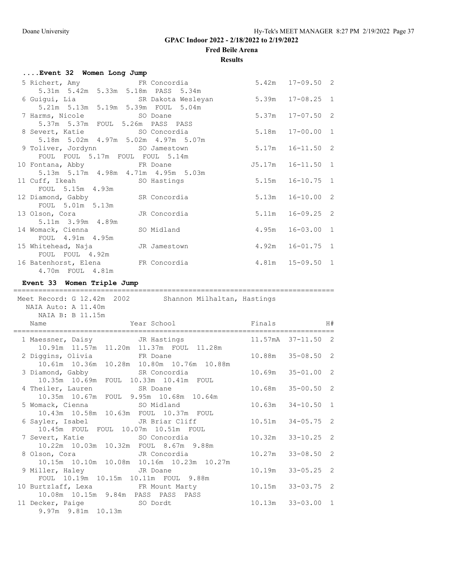**Fred Beile Arena**

### **Results**

| Event 32 Women Long Jump             |       |                      |  |
|--------------------------------------|-------|----------------------|--|
| 5 Richert, Amy FR Concordia          |       | $5.42m$ $17-09.50$ 2 |  |
| 5.31m 5.42m 5.33m 5.18m PASS 5.34m   |       |                      |  |
| 6 Guigui, Lia and SR Dakota Wesleyan |       | $5.39m$ $17-08.25$ 1 |  |
| 5.21m 5.13m 5.19m 5.39m FOUL 5.04m   |       |                      |  |
| 7 Harms, Nicole 50 Doane             |       | 5.37m 17-07.50 2     |  |
| 5.37m 5.37m FOUL 5.26m PASS PASS     |       |                      |  |
| 8 Severt, Katie 6 SO Concordia       |       | 5.18m  17-00.00  1   |  |
| 5.18m 5.02m 4.97m 5.02m 4.97m 5.07m  |       |                      |  |
| 9 Toliver, Jordynn SO Jamestown      |       | $5.17m$ $16-11.50$ 2 |  |
| FOUL FOUL 5.17m FOUL FOUL 5.14m      |       |                      |  |
| 10 Fontana, Abby FR Doane            |       | J5.17m 16-11.50 1    |  |
| 5.13m 5.17m 4.98m 4.71m 4.95m 5.03m  |       |                      |  |
| 11 Cuff, Ikeah SO Hastings           | 5.15m | $16 - 10.75$ 1       |  |
| FOUL 5.15m 4.93m                     |       |                      |  |
| 12 Diamond, Gabby SR Concordia       |       | $5.13m$ $16-10.00$ 2 |  |
| FOUL 5.01m 5.13m                     |       |                      |  |
| 13 Olson, Cora Marc JR Concordia     | 5.11m | $16 - 09.25$ 2       |  |
| 5.11m 3.99m 4.89m                    |       |                      |  |
| 14 Womack, Cienna SO Midland         |       | 4.95m 16-03.00 1     |  |
| FOUL 4.91m 4.95m                     |       |                      |  |
| 15 Whitehead, Naja Manustown         |       | 4.92m 16-01.75 1     |  |
| FOUL FOUL 4.92m                      |       |                      |  |
| 16 Batenhorst, Elena FR Concordia    |       | $4.81m$ $15-09.50$ 1 |  |
| 4.70m FOUL 4.81m                     |       |                      |  |

**Event 33 Women Triple Jump**

| =============<br>Meet Record: G 12.42m 2002 Shannon Milhaltan, Hastings<br>NAIA Auto: A 11.40m<br>NAIA B: B 11.15m |                                                  |
|--------------------------------------------------------------------------------------------------------------------|--------------------------------------------------|
| Name                                                                                                               | Year School Finals H#                            |
|                                                                                                                    | 1 Maessner, Daisy CR Hastings 11.57mA 37-11.50 2 |
| 10.91m  11.57m  11.20m  11.37m  FOUL  11.28m<br>2 Diggins, Olivia FR Doane                                         | 10.88m 35-08.50 2                                |
| 10.61m  10.36m  10.28m  10.80m  10.76m  10.88m<br>3 Diamond, Gabby SR Concordia                                    | $10.69m$ $35-01.00$ 2                            |
| 10.35m 10.69m FOUL 10.33m 10.41m FOUL<br>4 Theiler, Lauren SR Doane                                                | 10.68m 35-00.50 2                                |
| 10.35m 10.67m FOUL 9.95m 10.68m 10.64m<br>5 Womack, Cienna SO Midland                                              | $10.63m$ $34-10.50$ 1                            |
| 10.43m  10.58m  10.63m  FOUL  10.37m  FOUL<br>6 Sayler, Isabel             JR Briar Cliff                          | $10.51m$ $34-05.75$ 2                            |
| 10.45m FOUL FOUL 10.07m 10.51m FOUL<br>7 Severt, Katie                       SO Concordia                          | $10.32m$ $33-10.25$ 2                            |
| 10.22m 10.03m 10.32m FOUL 8.67m 9.88m<br>8 Olson, Cora Marc JR Concordia                                           | $10.27m$ $33-08.50$ 2                            |
| 10.15m  10.10m  10.08m  10.16m  10.23m  10.27m<br>9 Miller, Haley G. JR Doane                                      | $10.19m$ $33-05.25$ 2                            |
| FOUL 10.19m 10.15m 10.11m FOUL 9.88m<br>10 Burtzlaff, Lexa FR Mount Marty                                          | 10.15m  33-03.75  2                              |
| 10.08m  10.15m  9.84m  PASS  PASS  PASS<br>11 Decker, Paige 50 Dordt<br>9.97m 9.81m 10.13m                         | 10.13m 33-03.00 1                                |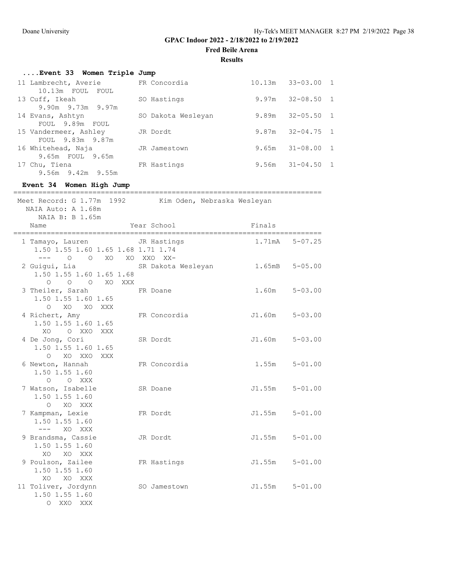**Fred Beile Arena**

### **Results**

| Event 33 Women Triple Jump        |                             |       |                       |  |
|-----------------------------------|-----------------------------|-------|-----------------------|--|
| 11 Lambrecht, Averie FR Concordia |                             |       | $10.13m$ $33-03.00$ 1 |  |
| 10.13m FOUL FOUL                  |                             |       |                       |  |
| 13 Cuff, Ikeah                    | SO Hastings                 |       | $9.97m$ $32-08.50$ 1  |  |
| 9.90m 9.73m 9.97m                 |                             |       |                       |  |
| 14 Evans, Ashtyn                  | SO Dakota Wesleyan          | 9.89m | $32 - 05.50$ 1        |  |
| FOUL 9.89m FOUL                   |                             |       |                       |  |
| 15 Vandermeer, Ashley             | JR Dordt                    |       | $9.87m$ $32-04.75$ 1  |  |
| FOUL 9.83m 9.87m                  |                             |       |                       |  |
| 16 Whitehead, Naja                | JR Jamestown                |       | $9.65m$ $31-08.00$ 1  |  |
| 9.65m FOUL 9.65m                  |                             |       |                       |  |
| 17 Chu, Tiena                     | FR Hastings                 |       | $9.56m$ $31-04.50$ 1  |  |
| 9.56m 9.42m 9.55m                 |                             |       |                       |  |
| Event 34 Women High Jump          |                             |       |                       |  |
|                                   |                             |       |                       |  |
| Meet Record: G 1.77m 1992         | Kim Oden, Nebraska Wesleyan |       |                       |  |
| NAIA Auto: A 1.68m                |                             |       |                       |  |

| NAIA B: B 1.65m                                                    |                                   |                    |               |
|--------------------------------------------------------------------|-----------------------------------|--------------------|---------------|
| Name                                                               | Year School Finals                |                    |               |
| 1 Tamayo, Lauren JR Hastings<br>1.50 1.55 1.60 1.65 1.68 1.71 1.74 |                                   | 1.71mA 5-07.25     | ============= |
| --- 0 0 XO XO XXO XX-<br>2 Guiqui, Lia<br>1.50 1.55 1.60 1.65 1.68 | SR Dakota Wesleyan 1.65mB 5-05.00 |                    |               |
| O O O XO XXX<br>3 Theiler, Sarah<br>1.50 1.55 1.60 1.65            | FR Doane                          | 1.60m              | $5 - 03.00$   |
| O XO XO XXX<br>4 Richert, Amy<br>1.50 1.55 1.60 1.65               | FR Concordia                      | $J1.60m$ $5-03.00$ |               |
| O XXO XXX<br>XO<br>4 De Jong, Cori<br>1.50 1.55 1.60 1.65          | SR Dordt                          | $J1.60m$ $5-03.00$ |               |
| XO XXO XXX<br>$\Omega$<br>6 Newton, Hannah<br>1.50 1.55 1.60       | FR Concordia                      | $1.55m$ $5-01.00$  |               |
| O O XXX<br>7 Watson, Isabelle<br>1.50 1.55 1.60                    | SR Doane                          | $J1.55m$ $5-01.00$ |               |
| O XO XXX<br>7 Kampman, Lexie<br>1.50 1.55 1.60                     | FR Dordt                          | J1.55m 5-01.00     |               |
| $--- XO XXX$<br>9 Brandsma, Cassie<br>1.50 1.55 1.60               | JR Dordt                          | $J1.55m$ $5-01.00$ |               |
| XO XO XXX<br>9 Poulson, Zailee<br>1.50 1.55 1.60                   | FR Hastings                       | J1.55m             | $5 - 01.00$   |
| XO XO XXX<br>11 Toliver, Jordynn<br>1.50 1.55 1.60<br>O XXO XXX    | SO Jamestown                      | $J1.55m$ $5-01.00$ |               |
|                                                                    |                                   |                    |               |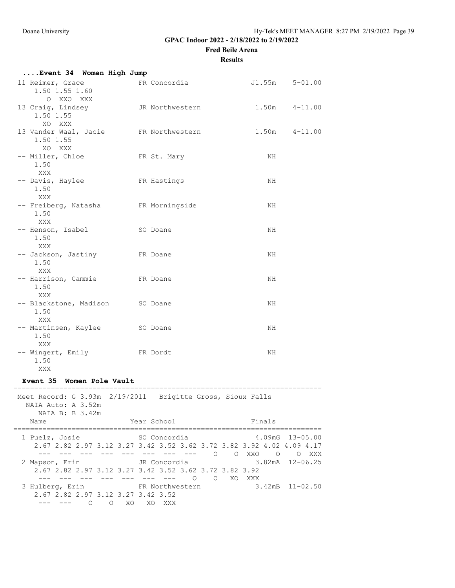**Fred Beile Arena**

### **Results**

| Event 34 Women High Jump                                                                              |                                        |                                                                    |
|-------------------------------------------------------------------------------------------------------|----------------------------------------|--------------------------------------------------------------------|
| 11 Reimer, Grace<br>1.50 1.55 1.60<br>O XXO XXX                                                       | FR Concordia                           | $J1.55m$ $5-01.00$                                                 |
| 13 Craig, Lindsey<br>1.50 1.55<br>XO XXX                                                              | JR Northwestern                        | $1.50m$ $4-11.00$                                                  |
| 13 Vander Waal, Jacie FR Northwestern<br>1.50 1.55<br>XO XXX                                          |                                        | $1.50m$ $4-11.00$                                                  |
| -- Miller, Chloe<br>1.50<br>XXX                                                                       | FR St. Mary                            | NH                                                                 |
| -- Davis, Haylee<br>1.50<br>XXX                                                                       | FR Hastings                            | NH.                                                                |
| -- Freiberg, Natasha FR Morningside<br>1.50<br>XXX                                                    |                                        | NH                                                                 |
| -- Henson, Isabel<br>1.50<br>XXX                                                                      | SO Doane                               | NH                                                                 |
| -- Jackson, Jastiny FR Doane<br>1.50<br>XXX                                                           |                                        | NH                                                                 |
| -- Harrison, Cammie FR Doane<br>1.50                                                                  |                                        | NH                                                                 |
| XXX<br>-- Blackstone, Madison SO Doane<br>1.50                                                        |                                        | NH                                                                 |
| XXX<br>-- Martinsen, Kaylee<br>1.50                                                                   | SO Doane                               | NH                                                                 |
| XXX<br>-- Wingert, Emily<br>1.50<br>XXX                                                               | FR Dordt                               | NH                                                                 |
| Event 35 Women Pole Vault                                                                             |                                        |                                                                    |
| Meet Record: G 3.93m 2/19/2011 Brigitte Gross, Sioux Falls<br>NAIA Auto: A 3.52m<br>NAIA B: B 3.42m   |                                        |                                                                    |
| Name                                                                                                  | Year School                            | Finals                                                             |
| 1 Puelz, Josie (50 Concordia<br>2.67 2.82 2.97 3.12 3.27 3.42 3.52 3.62 3.72 3.82 3.92 4.02 4.09 4.17 |                                        | 4.09mG 13-05.00<br>--- --- --- --- --- --- --- --- 0 0 XX0 0 0 XXX |
| 2 Mapson, Erin JR Concordia<br>2.67 2.82 2.97 3.12 3.27 3.42 3.52 3.62 3.72 3.82 3.92                 | --- --- --- --- --- --- --- 0 0 XO XXX | $3.82mA$ $12-06.25$                                                |
| 3 Hulberg, Erin FR Northwestern<br>2.67 2.82 2.97 3.12 3.27 3.42 3.52                                 |                                        | $3.42 \text{m}B$ $11-02.50$                                        |

--- --- O O XO XO XXX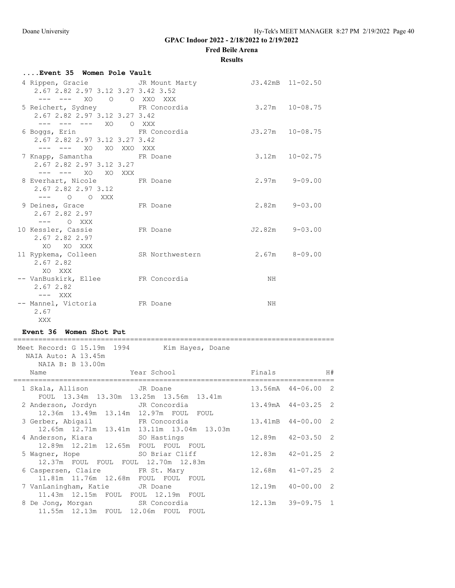**Fred Beile Arena**

### **Results**

| Event 35 Women Pole Vault          |                                                   |    |                     |  |  |  |
|------------------------------------|---------------------------------------------------|----|---------------------|--|--|--|
|                                    | 4 Rippen, Gracie CJR Mount Marty 53.42mB 11-02.50 |    |                     |  |  |  |
| 2.67 2.82 2.97 3.12 3.27 3.42 3.52 |                                                   |    |                     |  |  |  |
| --- --- XO O O XXO XXX             |                                                   |    |                     |  |  |  |
| 5 Reichert, Sydney FR Concordia    |                                                   |    | $3.27m$ $10-08.75$  |  |  |  |
| 2.67 2.82 2.97 3.12 3.27 3.42      |                                                   |    |                     |  |  |  |
| --- --- --- XO O XXX               |                                                   |    |                     |  |  |  |
| 6 Boqqs, Erin FR Concordia         |                                                   |    | $J3.27m$ $10-08.75$ |  |  |  |
| 2.67 2.82 2.97 3.12 3.27 3.42      |                                                   |    |                     |  |  |  |
| --- --- XO XO XXO XXX              |                                                   |    |                     |  |  |  |
| 7 Knapp, Samantha FR Doane         |                                                   |    | $3.12m$ $10-02.75$  |  |  |  |
| 2.67 2.82 2.97 3.12 3.27           |                                                   |    |                     |  |  |  |
| --- --- XO XO XXX                  |                                                   |    |                     |  |  |  |
| 8 Everhart, Nicole FR Doane        |                                                   |    | $2.97m$ $9-09.00$   |  |  |  |
| 2.67 2.82 2.97 3.12                |                                                   |    |                     |  |  |  |
| $---$ 0 0 XXX                      |                                                   |    |                     |  |  |  |
| 9 Deines, Grace FR Doane           |                                                   |    | $2.82m$ $9-03.00$   |  |  |  |
| 2.67 2.82 2.97                     |                                                   |    |                     |  |  |  |
| $---$ 0 XXX                        |                                                   |    |                     |  |  |  |
| 10 Kessler, Cassie FR Doane        |                                                   |    | J2.82m 9-03.00      |  |  |  |
| 2.67 2.82 2.97                     |                                                   |    |                     |  |  |  |
| xo xo xxx                          |                                                   |    |                     |  |  |  |
| 11 Rypkema, Colleen                | SR Northwestern                                   |    | $2.67m$ $8-09.00$   |  |  |  |
| 2.67 2.82                          |                                                   |    |                     |  |  |  |
| XO XXX                             |                                                   |    |                     |  |  |  |
| -- VanBuskirk, Ellee FR Concordia  |                                                   | NH |                     |  |  |  |
| 2.67 2.82                          |                                                   |    |                     |  |  |  |
|                                    |                                                   |    |                     |  |  |  |
| -- Mannel, Victoria FR Doane       |                                                   | NH |                     |  |  |  |
| 2.67                               |                                                   |    |                     |  |  |  |
| XXX                                |                                                   |    |                     |  |  |  |

## **Event 36 Women Shot Put**

| Meet Record: G 15.19m 1994<br>Kim Hayes, Doane<br>NAIA Auto: A 13.45m<br>NAIA B: B 13.00m |                       |  |
|-------------------------------------------------------------------------------------------|-----------------------|--|
| Name<br>======================                                                            |                       |  |
| 1 Skala, Allison JR Doane<br>FOUL 13.34m 13.30m 13.25m 13.56m 13.41m                      | 13.56mA 44-06.00 2    |  |
| 2 Anderson, Jordyn JR Concordia<br>12.36m  13.49m  13.14m  12.97m  FOUL  FOUL             | 13.49mA 44-03.25 2    |  |
| 3 Gerber, Abigail 6 FR Concordia<br>12.65m 12.71m 13.41m 13.11m 13.04m 13.03m             | 13.41mB 44-00.00 2    |  |
| 4 Anderson, Kiara 60 Hastings<br>12.89m  12.21m  12.65m  FOUL  FOUL  FOUL                 | $12.89m$ $42-03.50$ 2 |  |
| 5 Wagner, Hope SO Briar Cliff<br>12.37m FOUL FOUL FOUL 12.70m 12.83m                      | $12.83m$ $42-01.25$ 2 |  |
| 6 Caspersen, Claire FR St. Mary<br>11.81m  11.76m  12.68m  FOUL  FOUL  FOUL               | $12.68m$ $41-07.25$ 2 |  |
| 7 VanLaningham, Katie JR Doane<br>11.43m 12.15m FOUL FOUL 12.19m FOUL                     | $12.19m$ $40-00.00$ 2 |  |
| 8 De Jong, Morgan SR Concordia<br>11.55m  12.13m  FOUL  12.06m  FOUL  FOUL                | $12.13m$ $39-09.75$ 1 |  |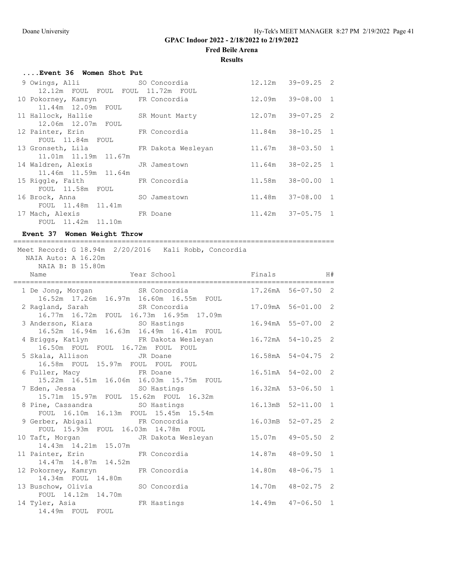**Fred Beile Arena**

### **Results**

| Event 36 Women Shot Put               |  |  |                       |  |  |  |  |  |
|---------------------------------------|--|--|-----------------------|--|--|--|--|--|
| 9 Owings, Alli SO Concordia           |  |  | $12.12m$ $39-09.25$ 2 |  |  |  |  |  |
| 12.12m FOUL FOUL FOUL 11.72m FOUL     |  |  |                       |  |  |  |  |  |
| 10 Pokorney, Kamryn Kart FR Concordia |  |  | $12.09m$ $39-08.00$ 1 |  |  |  |  |  |
| 11.44m 12.09m FOUL                    |  |  |                       |  |  |  |  |  |
| 11 Hallock, Hallie SR Mount Marty     |  |  | $12.07m$ $39-07.25$ 2 |  |  |  |  |  |
| 12.06m 12.07m FOUL                    |  |  |                       |  |  |  |  |  |
| 12 Painter, Erin FR Concordia         |  |  | 11.84m 38-10.25 1     |  |  |  |  |  |
| FOUL 11.84m FOUL                      |  |  |                       |  |  |  |  |  |
| 13 Gronseth, Lila KR Dakota Wesleyan  |  |  | 11.67m 38-03.50 1     |  |  |  |  |  |
| 11.01m  11.19m  11.67m                |  |  |                       |  |  |  |  |  |
| 14 Waldren, Alexis JR Jamestown       |  |  | 11.64m 38-02.25 1     |  |  |  |  |  |
| 11.46m 11.59m 11.64m                  |  |  |                       |  |  |  |  |  |
| 15 Riggle, Faith FR Concordia         |  |  | 11.58m 38-00.00 1     |  |  |  |  |  |
| FOUL 11.58m FOUL                      |  |  |                       |  |  |  |  |  |
| 16 Brock, Anna SO Jamestown           |  |  | 11.48m 37-08.00 1     |  |  |  |  |  |
| FOUL 11.48m 11.41m                    |  |  |                       |  |  |  |  |  |
| 17 Mach, Alexis FR Doane              |  |  | $11.42m$ $37-05.75$ 1 |  |  |  |  |  |
| FOUL 11.42m 11.10m                    |  |  |                       |  |  |  |  |  |

## **Event 37 Women Weight Throw**

| Meet Record: G 18.94m 2/20/2016 Kali Robb, Concordia<br>NAIA Auto: A 16.20m<br>NAIA B: B 15.80m   |                     |  |
|---------------------------------------------------------------------------------------------------|---------------------|--|
|                                                                                                   |                     |  |
| 1 De Jong, Morgan SR Concordia 17.26mA 56-07.50 2<br>16.52m  17.26m  16.97m  16.60m  16.55m  FOUL |                     |  |
|                                                                                                   |                     |  |
| 3 Anderson, Kiara               SO Hastings<br>16.52m  16.94m  16.63m  16.49m  16.41m  FOUL       | 16.94mA 55-07.00 2  |  |
| 4 Briggs, Katlyn Makota Wesleyan 16.72mA 54-10.25 2<br>16.50m FOUL FOUL 16.72m FOUL FOUL          |                     |  |
| 5 Skala, Allison JR Doane<br>16.58m FOUL 15.97m FOUL FOUL FOUL                                    | 16.58mA 54-04.75 2  |  |
| 6 Fuller, Macy 6 FR Doane<br>15.22m  16.51m  16.06m  16.03m  15.75m  FOUL                         | 16.51mA 54-02.00 2  |  |
| SO Hastings<br>7 Eden, Jessa<br>15.71m  15.97m  FOUL  15.62m  FOUL  16.32m                        | 16.32mA 53-06.50 1  |  |
| 8 Pine, Cassandra SO Hastings<br>FOUL 16.10m 16.13m FOUL 15.45m 15.54m                            | 16.13mB 52-11.00 1  |  |
| 9 Gerber, Abigail 6 FR Concordia<br>FOUL 15.93m FOUL 16.03m 14.78m FOUL                           | 16.03mB 52-07.25 2  |  |
| 10 Taft, Morgan Makota Wesleyan 15.07m 49-05.50 2<br>14.43m  14.21m  15.07m                       |                     |  |
| 11 Painter, Erin FR Concordia 14.87m<br>14.47m  14.87m  14.52m                                    | $48 - 09.50$ 1      |  |
| 14.80m<br>12 Pokorney, Kamryn KR Concordia<br>14.34m FOUL 14.80m                                  | $48 - 06.75$ 1      |  |
| 13 Buschow, Olivia 50 Concordia<br>14.70m 48-02.75 2<br>FOUL 14.12m 14.70m                        |                     |  |
| 14 Tyler, Asia Kastings<br>14.49m FOUL FOUL                                                       | 14.49m  47-06.50  1 |  |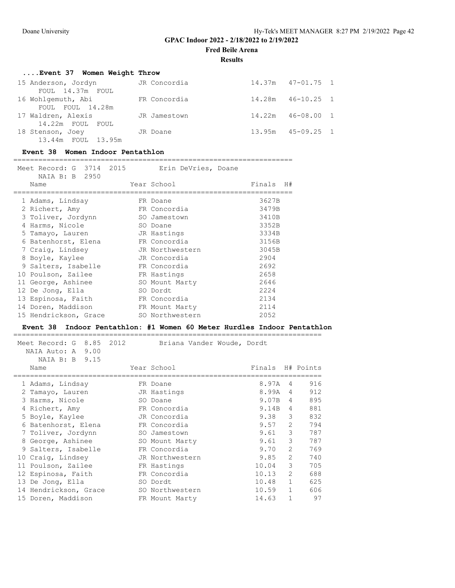**Fred Beile Arena**

**Results**

| Event 37 Women Weight Throw |              |                       |  |
|-----------------------------|--------------|-----------------------|--|
| 15 Anderson, Jordyn         | JR Concordia | $14.37m$ $47-01.75$ 1 |  |
| FOUL 14.37m FOUL            |              |                       |  |
| 16 Wohlgemuth, Abi          | FR Concordia | $14.28m$ $46-10.25$ 1 |  |
| FOUL FOUL 14.28m            |              |                       |  |
| 17 Waldren, Alexis          | JR Jamestown | $14.22m$ $46-08.00$ 1 |  |
| 14.22m FOUL FOUL            |              |                       |  |
| 18 Stenson, Joey            | JR Doane     | $13.95m$ $45-09.25$ 1 |  |
| 13.44m FOUL 13.95m          |              |                       |  |

## **Event 38 Women Indoor Pentathlon**

#### ===================================================================

| Meet Record: G 3714 2015<br>Erin DeVries, Doane<br>NAIA B: B 2950 |  |                 |              |
|-------------------------------------------------------------------|--|-----------------|--------------|
| Name                                                              |  | Year School     | Finals<br>H# |
| 1 Adams, Lindsay                                                  |  | FR Doane        | 3627B        |
| 2 Richert, Amy                                                    |  | FR Concordia    | 3479B        |
| 3 Toliver, Jordynn                                                |  | SO Jamestown    | 3410B        |
| 4 Harms, Nicole                                                   |  | SO Doane        | 3352B        |
| 5 Tamayo, Lauren                                                  |  | JR Hastings     | 3334B        |
| 6 Batenhorst, Elena                                               |  | FR Concordia    | 3156B        |
| 7 Craiq, Lindsey                                                  |  | JR Northwestern | 3045B        |
| 8 Boyle, Kaylee                                                   |  | JR Concordia    | 2904         |
| 9 Salters, Isabelle                                               |  | FR Concordia    | 2692         |
| 10 Poulson, Zailee                                                |  | FR Hastings     | 2658         |
| 11 George, Ashinee                                                |  | SO Mount Marty  | 2646         |
| 12 De Jonq, Ella                                                  |  | SO Dordt        | 2224         |
| 13 Espinosa, Faith                                                |  | FR Concordia    | 2134         |
| 14 Doren, Maddison                                                |  | FR Mount Marty  | 2114         |
| 15 Hendrickson, Grace                                             |  | SO Northwestern | 2052         |

### **Event 38 Indoor Pentathlon: #1 Women 60 Meter Hurdles Indoor Pentathlon**

| 8.85 2012<br>Meet Record: G<br>NAIA Auto: A 9.00 | Briana Vander Woude, Dordt |                  |                |     |
|--------------------------------------------------|----------------------------|------------------|----------------|-----|
| NAIA B: B 9.15                                   |                            |                  |                |     |
| Name                                             | Year School                | Finals H# Points |                |     |
| 1 Adams, Lindsay                                 | FR Doane                   | 8.97A            | 4              | 916 |
| Tamayo, Lauren                                   | JR Hastings                | 8.99A            | 4              | 912 |
| 3 Harms, Nicole                                  | SO Doane                   | 9.07B            | $\overline{4}$ | 895 |
| 4 Richert, Amy                                   | FR Concordia               | 9.14B            | $\overline{4}$ | 881 |
| 5 Boyle, Kaylee                                  | JR Concordia               | 9.38             | 3              | 832 |
| 6 Batenhorst, Elena                              | FR Concordia               | 9.57             | 2              | 794 |
| 7 Toliver, Jordynn                               | SO Jamestown               | 9.61             | 3              | 787 |
| 8 George, Ashinee                                | SO Mount Marty             | 9.61             | 3              | 787 |
| 9 Salters, Isabelle                              | FR Concordia               | 9.70             | $\overline{2}$ | 769 |
| 10 Craig, Lindsey                                | JR Northwestern            | 9.85             | $\mathcal{L}$  | 740 |
| 11 Poulson, Zailee                               | FR Hastings                | 10.04            | 3              | 705 |
| 12 Espinosa, Faith                               | FR Concordia               | 10.13            | $\mathcal{L}$  | 688 |
| 13 De Jonq, Ella                                 | SO Dordt                   | 10.48            | $\mathbf{1}$   | 625 |
| 14 Hendrickson, Grace                            | SO Northwestern            | 10.59            | $\mathbf{1}$   | 606 |
| 15 Doren, Maddison                               | FR Mount Marty             | 14.63            | 1              | 97  |
|                                                  |                            |                  |                |     |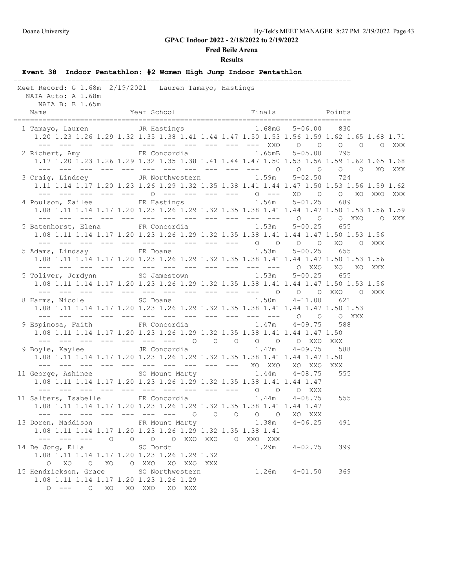#### **Fred Beile Arena**

#### **Results**

**Event 38 Indoor Pentathlon: #2 Women High Jump Indoor Pentathlon** ================================================================================= Meet Record: G 1.68m 2/19/2021 Lauren Tamayo, Hastings NAIA Auto: A 1.68m NAIA B: B 1.65m Name **Year School** Finals Points ================================================================================= 1 Tamayo, Lauren JR Hastings 1.68mG 5-06.00 830 1.20 1.23 1.26 1.29 1.32 1.35 1.38 1.41 1.44 1.47 1.50 1.53 1.56 1.59 1.62 1.65 1.68 1.71 --- --- --- --- --- --- --- --- --- --- --- XXO O O O O O XXX 2 Richert, Amy FR Concordia 1.65mB 5-05.00 795 1.17 1.20 1.23 1.26 1.29 1.32 1.35 1.38 1.41 1.44 1.47 1.50 1.53 1.56 1.59 1.62 1.65 1.68 --- --- --- --- --- --- --- --- --- --- --- O O O O O XO XXX 3 Craig, Lindsey JR Northwestern 1.59m 5-02.50 724 1.11 1.14 1.17 1.20 1.23 1.26 1.29 1.32 1.35 1.38 1.41 1.44 1.47 1.50 1.53 1.56 1.59 1.62 --- --- --- --- --- O --- --- --- --- O --- XO O O XO XXO XXX 4 Poulson, Zailee FR Hastings 1.56m 5-01.25 689 1.08 1.11 1.14 1.17 1.20 1.23 1.26 1.29 1.32 1.35 1.38 1.41 1.44 1.47 1.50 1.53 1.56 1.59 --- --- --- --- --- --- --- --- --- --- --- --- O O O XXO O XXX 5 Batenhorst, Elena FR Concordia 1.08 1.11 1.14 1.17 1.20 1.23 1.26 1.29 1.32 1.35 1.38 1.41 1.44 1.47 1.50 1.53 1.56 --- --- --- --- --- --- --- --- --- --- O O O O XO O XXX 5 Adams, Lindsay FR Doane 1.53m 5-00.25 655 1.08 1.11 1.14 1.17 1.20 1.23 1.26 1.29 1.32 1.35 1.38 1.41 1.44 1.47 1.50 1.53 1.56 --- --- --- --- --- --- --- --- --- --- --- --- O XXO XO XO XXX 5 Toliver, Jordynn SO Jamestown 1.08 1.11 1.14 1.17 1.20 1.23 1.26 1.29 1.32 1.35 1.38 1.41 1.44 1.47 1.50 1.53 1.56 --- --- --- --- --- --- --- --- --- --- --- O O O XXO O XXX 8 Harms, Nicole SO Doane 1.50m 4-11.00 621 1.08 1.11 1.14 1.17 1.20 1.23 1.26 1.29 1.32 1.35 1.38 1.41 1.44 1.47 1.50 1.53 --- --- --- --- --- --- --- --- --- --- --- --- O O O XXX 9 Espinosa, Faith FR Concordia 1.08 1.11 1.14 1.17 1.20 1.23 1.26 1.29 1.32 1.35 1.38 1.41 1.44 1.47 1.50 --- --- --- --- --- --- --- O O O O O O XXO XXX 9 Boyle, Kaylee JR Concordia 1.47m 4-09.75 588 1.08 1.11 1.14 1.17 1.20 1.23 1.26 1.29 1.32 1.35 1.38 1.41 1.44 1.47 1.50 --- --- --- --- --- --- --- --- --- --- XO XXO XO XXO XXX 11 George, Ashinee SO Mount Marty 1.44m 4-08.75 555 1.08 1.11 1.14 1.17 1.20 1.23 1.26 1.29 1.32 1.35 1.38 1.41 1.44 1.47 --- --- --- --- --- --- --- --- --- --- O O O XXX 11 Salters, Isabelle FR Concordia 1.44m 4-08.75 555 1.08 1.11 1.14 1.17 1.20 1.23 1.26 1.29 1.32 1.35 1.38 1.41 1.44 1.47 --- --- --- --- --- --- --- O O O O O XO XXX 13 Doren, Maddison FR Mount Marty 1.38m 4-06.25 491 1.08 1.11 1.14 1.17 1.20 1.23 1.26 1.29 1.32 1.35 1.38 1.41 --- --- --- O O O O XXO XXO O XXO XXX 14 De Jong, Ella SO Dordt 1.29m 4-02.75 399 1.08 1.11 1.14 1.17 1.20 1.23 1.26 1.29 1.32 O XO O XO O XXO XO XXO XXX 15 Hendrickson, Grace SO Northwestern 1.26m 4-01.50 369 1.08 1.11 1.14 1.17 1.20 1.23 1.26 1.29 O --- O XO XO XXO XO XXX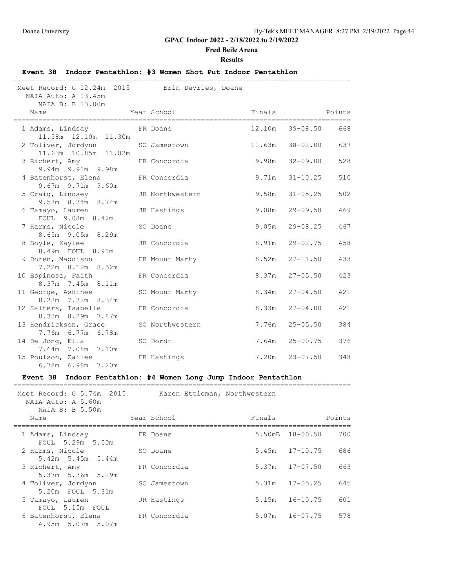### **Fred Beile Arena**

#### **Results**

### **Event 38 Indoor Pentathlon: #3 Women Shot Put Indoor Pentathlon** ================================================================================= Meet Record: G 12.24m 2015 Erin DeVries, Doane NAIA Auto: A 13.45m NAIA B: B 13.00m Name Year School Finals Points ================================================================================= 1 Adams, Lindsay **FR** Doane 11.58m 12.10m 11.30m 2 Toliver, Jordynn SO Jamestown 11.63m 38-02.00 637 11.63m 10.85m 11.02m 3 Richert, Amy FR Concordia 9.98m 32-09.00 528 9.94m 9.91m 9.98m 4 Batenhorst, Elena FR Concordia 9.71m 31-10.25 510 9.67m 9.71m 9.60m 5 Craig, Lindsey JR Northwestern 9.58m 31-05.25 502 9.58m 8.34m 8.74m 6 Tamayo, Lauren JR Hastings 9.08m 29-09.50 469 FOUL 9.08m 8.42m 7 Harms, Nicole SO Doane 9.05m 29-08.25 467 8.65m 9.05m 8.29m 8 Boyle, Kaylee JR Concordia 8.91m 29-02.75 458 8.49m FOUL 8.91m 9 Doren, Maddison FR Mount Marty 8.52m 27-11.50 433 7.22m 8.12m 8.52m 10 Espinosa, Faith FR Concordia 8.37m 27-05.50 423 8.37m 7.45m 8.11m 11 George, Ashinee SO Mount Marty 8.34m 27-04.50 421 8.28m 7.32m 8.34m 12 Salters, Isabelle FR Concordia 8.33m 27-04.00 421 8.33m 8.29m 7.87m 13 Hendrickson, Grace SO Northwestern 7.76m 25-05.50 384 7.76m 6.77m 6.78m 14 De Jong, Ella SO Dordt 7.64m 25-00.75 376 7.64m 7.08m 7.10m 15 Poulson, Zailee FR Hastings 7.20m 23-07.50 348

#### **Event 38 Indoor Pentathlon: #4 Women Long Jump Indoor Pentathlon**

6.78m 6.98m 7.20m

| Meet Record: G 5.74m 2015<br>NAIA Auto: A 5.60m<br>NAIA B: B 5.50m | Karen Ettleman, Northwestern |        |                           |
|--------------------------------------------------------------------|------------------------------|--------|---------------------------|
| Name                                                               | Year School                  | Finals | Points                    |
| 1 Adams, Lindsay<br>FOUL 5.29m 5.50m                               | FR Doane                     | 5.50mB | $18 - 00.50$<br>700       |
| 2 Harms, Nicole<br>$5.42m$ $5.45m$ $5.44m$                         | SO Doane                     | 5.45m  | $17 - 10.75$<br>686       |
| 3 Richert, Amy<br>$5.37m$ $5.36m$ $5.29m$                          | FR Concordia                 |        | $5.37m$ $17-07.50$<br>663 |
| 4 Toliver, Jordynn<br>5.20m FOUL 5.31m                             | SO Jamestown                 |        | $5.31m$ $17-05.25$<br>645 |
| 5 Tamayo, Lauren<br>FOUL 5.15m FOUL                                | JR Hastings                  | 5.15m  | $16 - 10.75$<br>601       |
| 6 Batenhorst, Elena<br>4.95m 5.07m 5.07m                           | FR Concordia                 |        | $5.07m$ $16-07.75$<br>578 |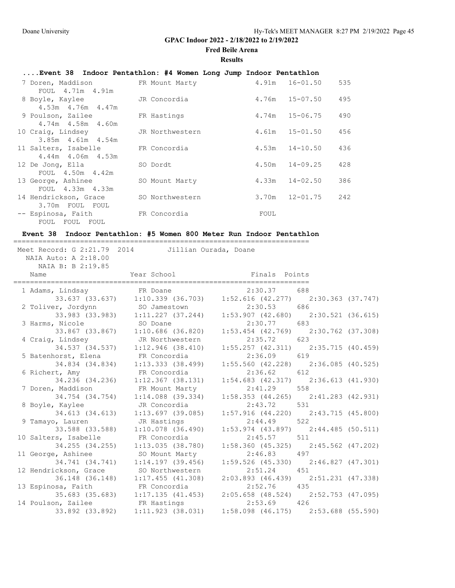# **Fred Beile Arena**

## **Results**

# **....Event 38 Indoor Pentathlon: #4 Women Long Jump Indoor Pentathlon**

| 7 Doren, Maddison       | FR Mount Marty  |       | $4.91m$ $16-01.50$ | 535 |
|-------------------------|-----------------|-------|--------------------|-----|
| FOUL 4.71m 4.91m        |                 |       |                    |     |
| 8 Boyle, Kaylee         | JR Concordia    | 4.76m | $15 - 07.50$       | 495 |
| $4.53m$ $4.76m$ $4.47m$ |                 |       |                    |     |
| 9 Poulson, Zailee       | FR Hastings     | 4.74m | 15-06.75           | 490 |
| $4.74m$ $4.58m$ $4.60m$ |                 |       |                    |     |
| 10 Craig, Lindsey       | JR Northwestern |       | $4.61m$ $15-01.50$ | 456 |
| $3.85m$ 4.61m 4.54m     |                 |       |                    |     |
| 11 Salters, Isabelle    | FR Concordia    |       | $4.53m$ $14-10.50$ | 436 |
| $4.44m$ $4.06m$ $4.53m$ |                 |       |                    |     |
| 12 De Jonq, Ella        | SO Dordt        | 4.50m | $14 - 09.25$       | 428 |
| FOUL 4.50m 4.42m        |                 |       |                    |     |
| 13 George, Ashinee      | SO Mount Marty  |       | $4.33m$ $14-02.50$ | 386 |
| FOUL 4.33m 4.33m        |                 |       |                    |     |
| 14 Hendrickson, Grace   | SO Northwestern | 3.70m | $12 - 01.75$       | 242 |
| 3.70m FOUL FOUL         |                 |       |                    |     |
| -- Espinosa, Faith      | FR Concordia    | FOUL  |                    |     |
| FOUL FOUL FOUL          |                 |       |                    |     |

### **Event 38 Indoor Pentathlon: #5 Women 800 Meter Run Indoor Pentathlon**

| Meet Record: G 2:21.79 2014 Jillian Ourada, Doane<br>NAIA Auto: A 2:18.00 |                                                                       |                                                    |     |  |  |  |
|---------------------------------------------------------------------------|-----------------------------------------------------------------------|----------------------------------------------------|-----|--|--|--|
| NAIA B: B 2:19.85<br>Name                                                 | Year School Near                                                      | Finals Points                                      |     |  |  |  |
|                                                                           | 1 Adams, Lindsay FR Doane                                             | 2:30.37                                            | 688 |  |  |  |
|                                                                           | 33.637 (33.637) 1:10.339 (36.703) 1:52.616 (42.277) 2:30.363 (37.747) |                                                    |     |  |  |  |
|                                                                           | 2 Toliver, Jordynn SO Jamestown                                       | 2:30.53                                            | 686 |  |  |  |
| 3 Harms, Nicole                                                           | 33.983 (33.983) 1:11.227 (37.244)<br>SO Doane                         | $1:53.907$ (42.680) $2:30.521$ (36.615)<br>2:30.77 | 683 |  |  |  |
|                                                                           | 33.867 (33.867) 1:10.686 (36.820)                                     | $1:53.454$ (42.769) 2:30.762 (37.308)              |     |  |  |  |
| 4 Craig, Lindsey                                                          | JR Northwestern                                                       | 2:35.72                                            | 623 |  |  |  |
|                                                                           | 34.537 (34.537) 1:12.946 (38.410)                                     | $1:55.257$ (42.311) $2:35.715$ (40.459)            |     |  |  |  |
| 5 Batenhorst, Elena FR Concordia                                          |                                                                       | 2:36.09                                            | 619 |  |  |  |
|                                                                           | $34.834$ (34.834) 1:13.333 (38.499)                                   | $1:55.560$ (42.228) 2:36.085 (40.525)              |     |  |  |  |
| 6 Richert, Amy                                                            | FR Concordia                                                          | 2:36.62                                            | 612 |  |  |  |
| 34.236 (34.236)                                                           | $1:12.367$ (38.131)                                                   | $1:54.683$ (42.317) $2:36.613$ (41.930)            |     |  |  |  |
| 7 Doren, Maddison                                                         | FR Mount Marty                                                        | 2:41.29                                            | 558 |  |  |  |
|                                                                           | 34.754 (34.754) 1:14.088 (39.334)                                     | $1:58.353$ (44.265) $2:41.283$ (42.931)            |     |  |  |  |
| 8 Boyle, Kaylee                                                           | JR Concordia                                                          | 2:43.72                                            | 531 |  |  |  |
|                                                                           | 34.613 (34.613) 1:13.697 (39.085)                                     | $1:57.916$ (44.220) $2:43.715$ (45.800)            | 522 |  |  |  |
| 9 Tamayo, Lauren                                                          | JR Hastings<br>33.588 (33.588) 1:10.078 (36.490)                      | 2:44.49<br>$1:53.974$ (43.897) $2:44.485$ (50.511) |     |  |  |  |
| 10 Salters, Isabelle                                                      | FR Concordia                                                          | 2:45.57                                            | 511 |  |  |  |
| 34.255 (34.255)                                                           | 1:13.035(38.780)                                                      | $1:58.360$ (45.325) $2:45.562$ (47.202)            |     |  |  |  |
| 11 George, Ashinee                                                        | SO Mount Marty                                                        | 2:46.83                                            | 497 |  |  |  |
| 34.741 (34.741)                                                           | $1:14.197$ (39.456)                                                   | 1:59.526 (45.330) 2:46.827 (47.301)                |     |  |  |  |
| 12 Hendrickson, Grace                                                     | SO Northwestern                                                       | 2:51.24                                            | 451 |  |  |  |
|                                                                           | 36.148 (36.148) 1:17.455 (41.308)                                     | $2:03.893$ (46.439) $2:51.231$ (47.338)            |     |  |  |  |
| 13 Espinosa, Faith                                                        | FR Concordia                                                          | $2:52.76$ 435                                      |     |  |  |  |
|                                                                           | 35.683 (35.683) 1:17.135 (41.453) 2:05.658 (48.524) 2:52.753 (47.095) |                                                    |     |  |  |  |
| 14 Poulson, Zailee FR Hastings                                            |                                                                       | 2:53.69                                            | 426 |  |  |  |
| 33.892 (33.892)                                                           | 1:11.923(38.031)                                                      | $1:58.098$ (46.175) $2:53.688$ (55.590)            |     |  |  |  |